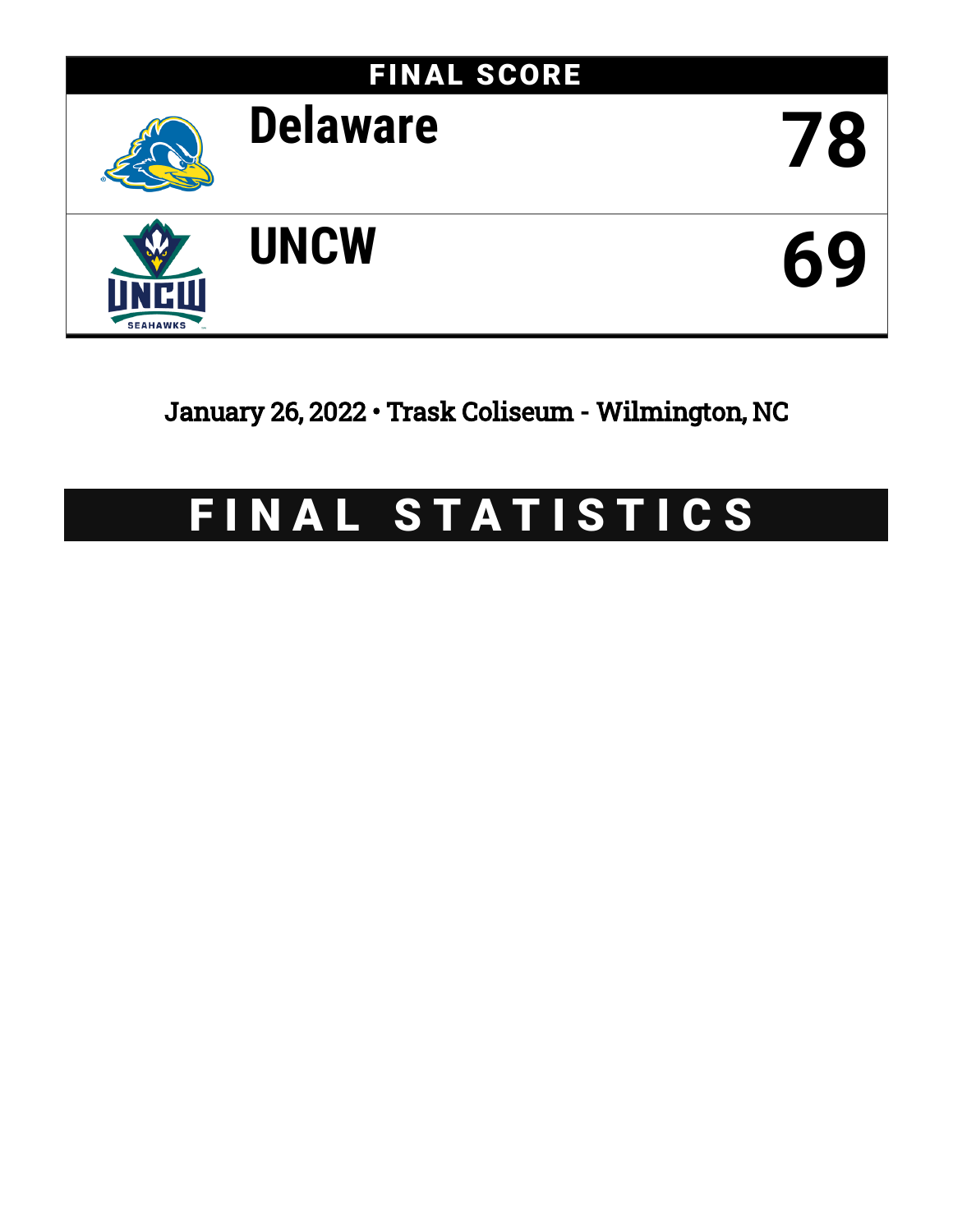

January 26, 2022 • Trask Coliseum - Wilmington, NC

# FINAL STATISTICS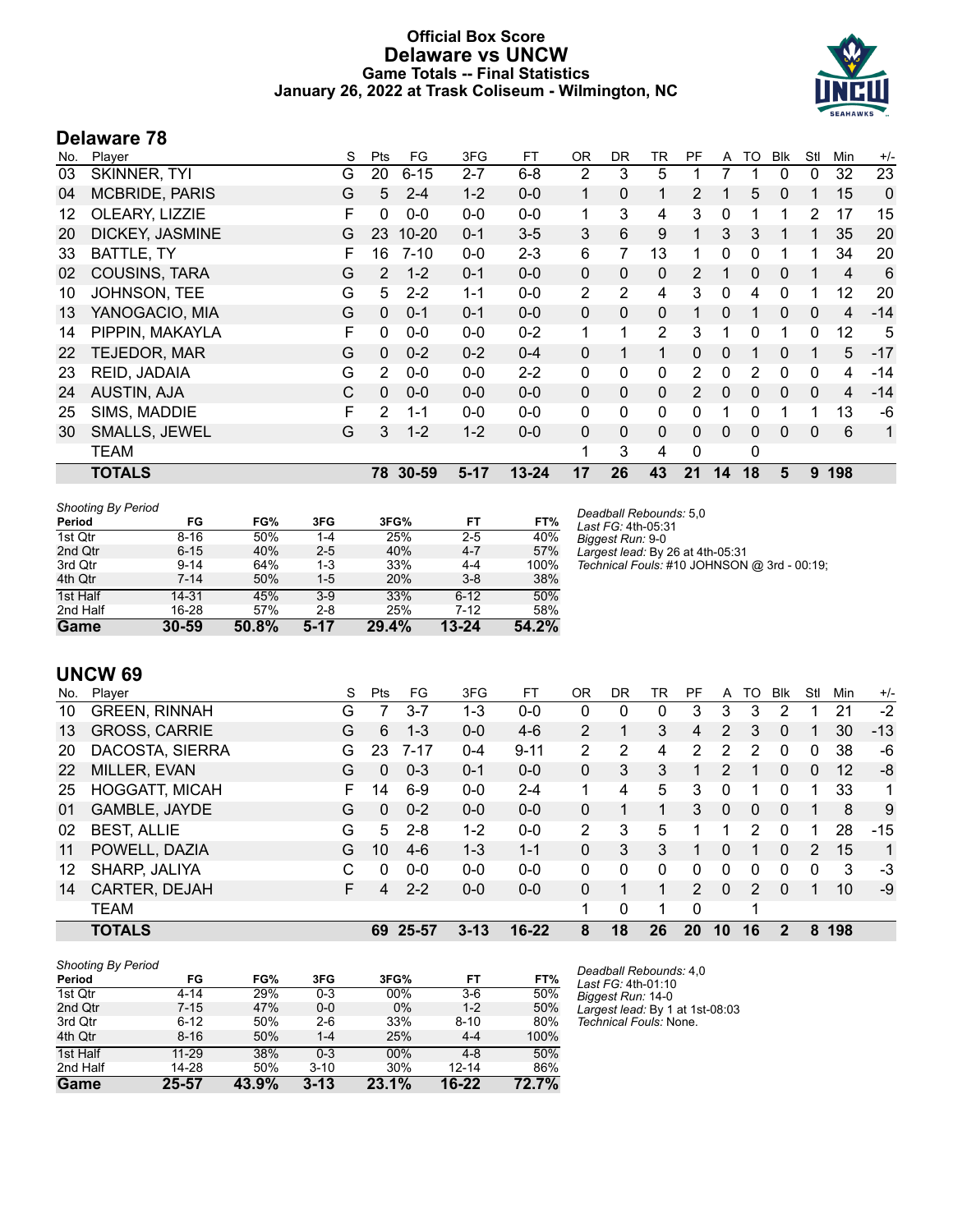# **Official Box Score Delaware vs UNCW Game Totals -- Final Statistics January 26, 2022 at Trask Coliseum - Wilmington, NC**



# **Delaware 78**

| No. | Player                | S | Pts      | FG        | 3FG      | <b>FT</b> | 0R           | DR.          | TR           | PF           | A            | TO       | <b>Blk</b>   | Stl            | Min | $+/-$ |
|-----|-----------------------|---|----------|-----------|----------|-----------|--------------|--------------|--------------|--------------|--------------|----------|--------------|----------------|-----|-------|
| 03  | SKINNER, TYI          | G | 20       | $6 - 15$  | $2 - 7$  | $6 - 8$   | 2            | 3            | 5            |              |              |          | 0            | 0              | 32  | 23    |
| 04  | <b>MCBRIDE, PARIS</b> | G | 5        | $2 - 4$   | $1 - 2$  | $0-0$     | 1            | $\Omega$     | 1            | 2            |              | 5        | $\mathbf{0}$ | 1              | 15  | 0     |
| 12  | OLEARY, LIZZIE        | F | $\Omega$ | $0-0$     | $0-0$    | $0-0$     | 1            | 3            | 4            | 3            | 0            |          |              | $\overline{2}$ | 17  | 15    |
| 20  | DICKEY, JASMINE       | G | 23       | $10 - 20$ | $0 - 1$  | $3 - 5$   | 3            | 6            | 9            | 1            | 3            | 3        |              | 1              | 35  | 20    |
| 33  | BATTLE, TY            | F | 16       | $7 - 10$  | $0-0$    | $2 - 3$   | 6            | 7            | 13           |              | 0            | 0        |              | 1              | 34  | 20    |
| 02  | COUSINS, TARA         | G | 2        | $1 - 2$   | $0 - 1$  | $0 - 0$   | $\mathbf{0}$ | 0            | 0            | 2            |              | 0        | 0            |                | 4   | 6     |
| 10  | JOHNSON, TEE          | G | 5        | $2 - 2$   | $1 - 1$  | $0-0$     | 2            | 2            | 4            | 3            | $\mathbf{0}$ | 4        | $\Omega$     | 1              | 12  | 20    |
| 13  | YANOGACIO, MIA        | G | 0        | $0 - 1$   | $0 - 1$  | $0 - 0$   | $\Omega$     | 0            | $\Omega$     | 1            | 0            |          | 0            | $\Omega$       | 4   | $-14$ |
| 14  | PIPPIN, MAKAYLA       | F | $\Omega$ | $0-0$     | $0 - 0$  | $0 - 2$   | $\mathbf{1}$ | 1            | 2            | 3            | 1            | 0        |              | 0              | 12  | 5     |
| 22  | TEJEDOR, MAR          | G | $\Omega$ | $0 - 2$   | $0 - 2$  | $0 - 4$   | 0            | 1            | 1.           | $\Omega$     | $\mathbf{0}$ |          | 0            | 1              | 5   | $-17$ |
| 23  | REID, JADAIA          | G | 2        | $0-0$     | $0 - 0$  | $2 - 2$   | $\mathbf{0}$ | 0            | 0            | 2            | 0            | 2        | 0            | 0              | 4   | $-14$ |
| 24  | <b>AUSTIN, AJA</b>    | C | $\Omega$ | $0 - 0$   | $0 - 0$  | $0 - 0$   | $\mathbf{0}$ | $\mathbf{0}$ | $\Omega$     | 2            | 0            | $\Omega$ | $\mathbf{0}$ | $\mathbf{0}$   | 4   | $-14$ |
| 25  | SIMS, MADDIE          | F | 2        | $1 - 1$   | $0 - 0$  | $0-0$     | $\Omega$     | $\mathbf{0}$ | $\mathbf{0}$ | 0            |              | $\Omega$ |              | 1              | 13  | -6    |
| 30  | SMALLS, JEWEL         | G | 3        | $1 - 2$   | $1 - 2$  | $0 - 0$   | 0            | $\mathbf{0}$ | $\Omega$     | $\Omega$     | 0            | $\Omega$ | 0            | 0              | 6   | 1     |
|     | <b>TEAM</b>           |   |          |           |          |           |              | 3            | 4            | $\mathbf{0}$ |              | 0        |              |                |     |       |
|     | <b>TOTALS</b>         |   | 78       | $30 - 59$ | $5 - 17$ | $13 - 24$ | 17           | 26           | 43           | 21           | 14           | 18       | 5            | 9              | 198 |       |

| <b>Shooting By Period</b> |           |       |         |       |           |       |
|---------------------------|-----------|-------|---------|-------|-----------|-------|
| Period                    | FG        | FG%   | 3FG     | 3FG%  | FT        | FT%   |
| 1st Qtr                   | $8 - 16$  | 50%   | 1-4     | 25%   | $2 - 5$   | 40%   |
| 2nd Qtr                   | $6 - 15$  | 40%   | $2 - 5$ | 40%   | $4 - 7$   | 57%   |
| 3rd Qtr                   | $9 - 14$  | 64%   | $1 - 3$ | 33%   | $4 - 4$   | 100%  |
| 4th Qtr                   | $7 - 14$  | 50%   | $1-5$   | 20%   | $3 - 8$   | 38%   |
| 1st Half                  | 14-31     | 45%   | $3-9$   | 33%   | $6 - 12$  | 50%   |
| 2nd Half                  | 16-28     | 57%   | $2 - 8$ | 25%   | $7-12$    | 58%   |
| Game                      | $30 - 59$ | 50.8% | $5-17$  | 29.4% | $13 - 24$ | 54.2% |

*Deadball Rebounds:* 5,0 *Last FG:* 4th-05:31 *Biggest Run:* 9-0 *Largest lead:* By 26 at 4th-05:31 *Technical Fouls:* #10 JOHNSON @ 3rd - 00:19;

# **UNCW 69**

| No. | Player                | S | Pts | FG       | 3FG      | FТ        | OR             | DR | TR       | PF                   | A            | TO | Blk          | Stl | Min | $+/-$ |
|-----|-----------------------|---|-----|----------|----------|-----------|----------------|----|----------|----------------------|--------------|----|--------------|-----|-----|-------|
| 10  | <b>GREEN, RINNAH</b>  | G |     | 3-7      | 1-3      | $0 - 0$   | 0              | 0  | 0        | 3                    | 3            | 3  | 2            |     | 21  | $-2$  |
| 13  | <b>GROSS, CARRIE</b>  | G | 6   | $1 - 3$  | $0 - 0$  | $4-6$     | $\overline{2}$ |    | 3        | 4                    | 2            | 3  | 0            |     | 30  | $-13$ |
| 20  | DACOSTA, SIERRA       | G | 23  | $7 - 17$ | $0 - 4$  | $9 - 11$  | 2              | 2  | 4        | $\mathbf{2}^{\circ}$ | 2            | 2  | 0            | 0   | 38  | -6    |
| 22  | MILLER, EVAN          | G | 0   | $0 - 3$  | $0 - 1$  | $0 - 0$   | 0              | 3  | 3        |                      | 2            |    | 0            | 0   | 12  | -8    |
| 25  | <b>HOGGATT, MICAH</b> | F | 14  | $6-9$    | $0 - 0$  | $2 - 4$   | 1              | 4  | 5        | 3                    | 0            | 1  | $\Omega$     |     | 33  | 1     |
| 01  | GAMBLE, JAYDE         | G | 0   | $0 - 2$  | $0 - 0$  | $0 - 0$   | 0              |    |          | 3                    | $\mathbf{0}$ | 0  | $\mathbf{0}$ |     | 8   | 9     |
| 02  | <b>BEST, ALLIE</b>    | G | 5.  | $2 - 8$  | 1-2      | $0 - 0$   | 2              | 3  | 5        |                      |              | 2  | $\Omega$     |     | 28  | $-15$ |
| 11  | POWELL, DAZIA         | G | 10  | $4-6$    | $1 - 3$  | $1 - 1$   | 0              | 3  | 3        |                      | 0            |    | $\Omega$     | 2   | 15  | 1     |
| 12  | SHARP, JALIYA         | С | 0   | $0 - 0$  | $0 - 0$  | $0 - 0$   | 0              | 0  | $\Omega$ | 0                    | 0            | 0  | $\Omega$     | 0   | 3   | -3    |
| 14  | CARTER, DEJAH         | F | 4   | $2 - 2$  | $0 - 0$  | $0 - 0$   | 0              |    |          | $\overline{2}$       | $\mathbf{0}$ | 2  | 0            |     | 10  | $-9$  |
|     | <b>TEAM</b>           |   |     |          |          |           |                | 0  |          | $\Omega$             |              |    |              |     |     |       |
|     | <b>TOTALS</b>         |   | 69  | 25-57    | $3 - 13$ | $16 - 22$ | 8              | 18 | 26       | 20                   | 10           | 16 | 2            | 8   | 198 |       |

| <b>Shooting By Period</b> |           |       |          |       |           |       |
|---------------------------|-----------|-------|----------|-------|-----------|-------|
| Period                    | FG        | FG%   | 3FG      | 3FG%  | FT        | FT%   |
| 1st Qtr                   | $4 - 14$  | 29%   | $0 - 3$  | 00%   | $3-6$     | 50%   |
| 2nd Qtr                   | $7 - 15$  | 47%   | $0-0$    | 0%    | $1 - 2$   | 50%   |
| 3rd Qtr                   | $6 - 12$  | 50%   | $2-6$    | 33%   | $8 - 10$  | 80%   |
| 4th Qtr                   | $8 - 16$  | 50%   | $1 - 4$  | 25%   | $4 - 4$   | 100%  |
| 1st Half                  | $11 - 29$ | 38%   | $0 - 3$  | 00%   | $4 - 8$   | 50%   |
| 2nd Half                  | 14-28     | 50%   | $3 - 10$ | 30%   | $12 - 14$ | 86%   |
| Game                      | 25-57     | 43.9% | $3 - 13$ | 23.1% | $16-22$   | 72.7% |

*Deadball Rebounds:* 4,0 *Last FG:* 4th-01:10 *Biggest Run:* 14-0 *Largest lead:* By 1 at 1st-08:03 *Technical Fouls:* None.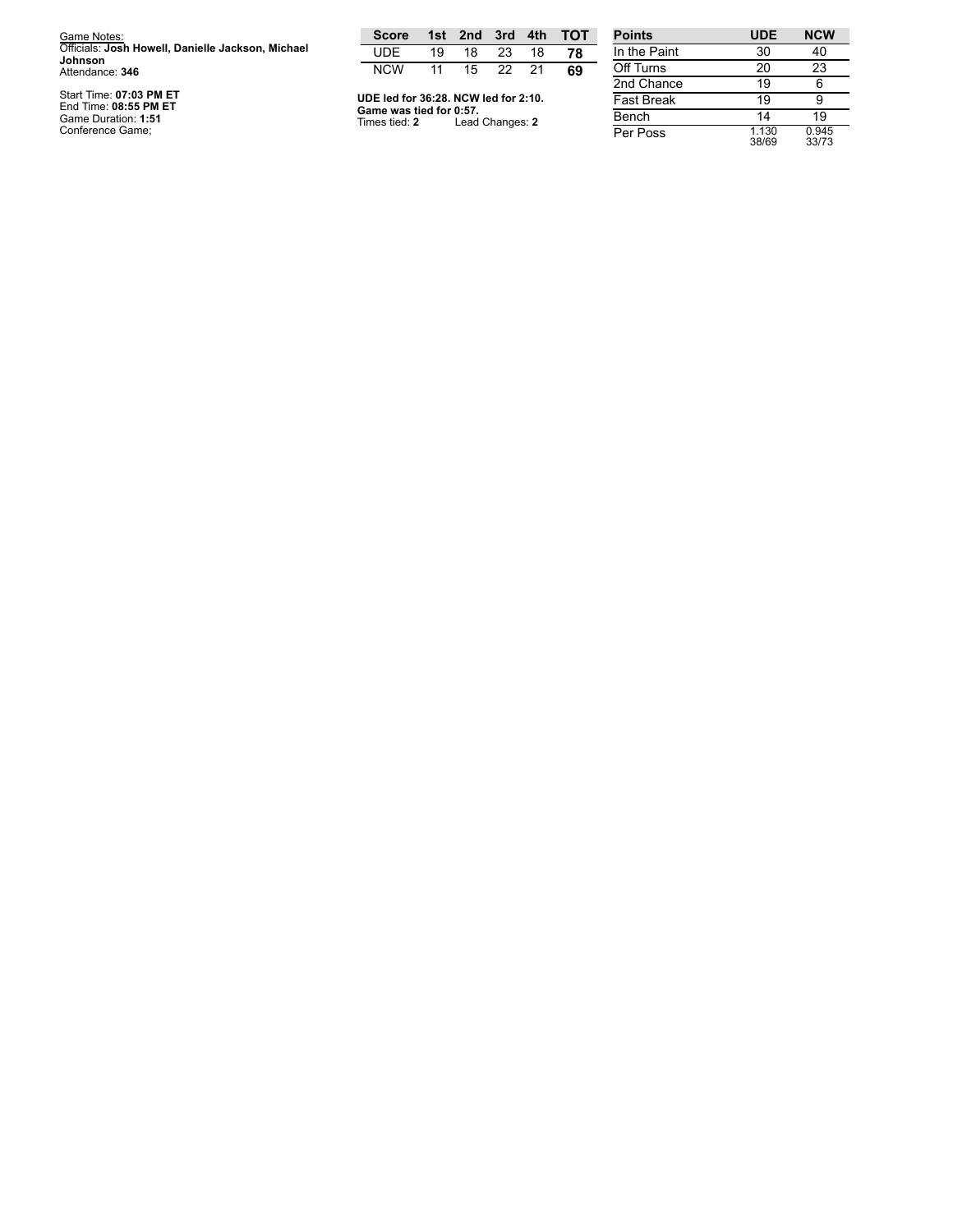| Game Notes:                                                         | <b>Score</b>                             |    |                 |    |    | 1st 2nd 3rd 4th TOT | <b>Points</b>     |
|---------------------------------------------------------------------|------------------------------------------|----|-----------------|----|----|---------------------|-------------------|
| Officials: Josh Howell, Danielle Jackson, Michael<br><b>Johnson</b> | UDE                                      | 19 | 18              | 23 | 18 | 78                  | In the Paint      |
| Attendance: 346                                                     | <b>NCW</b>                               | 11 | 15              | 22 | 21 | 69                  | Off Turns         |
|                                                                     |                                          |    |                 |    |    |                     | 2nd Chance        |
| Start Time: 07:03 PM ET<br>End Time: 08:55 PM ET                    | UDE led for 36:28. NCW led for 2:10.     |    |                 |    |    |                     | <b>Fast Break</b> |
| Game Duration: 1:51                                                 | Game was tied for 0:57.<br>Times tied: 2 |    | Lead Changes: 2 |    |    |                     | Bench             |
| Conference Game:                                                    |                                          |    |                 |    |    |                     | Per Poss          |

| <b>Points</b>     | <b>UDE</b>     | <b>NCW</b>     |
|-------------------|----------------|----------------|
| In the Paint      | 30             | 40             |
| Off Turns         | 20             | 23             |
| 2nd Chance        | 19             | 6              |
| <b>Fast Break</b> | 19             | 9              |
| Bench             | 14             | 19             |
| Per Poss          | 1.130<br>38/69 | 0.945<br>33/73 |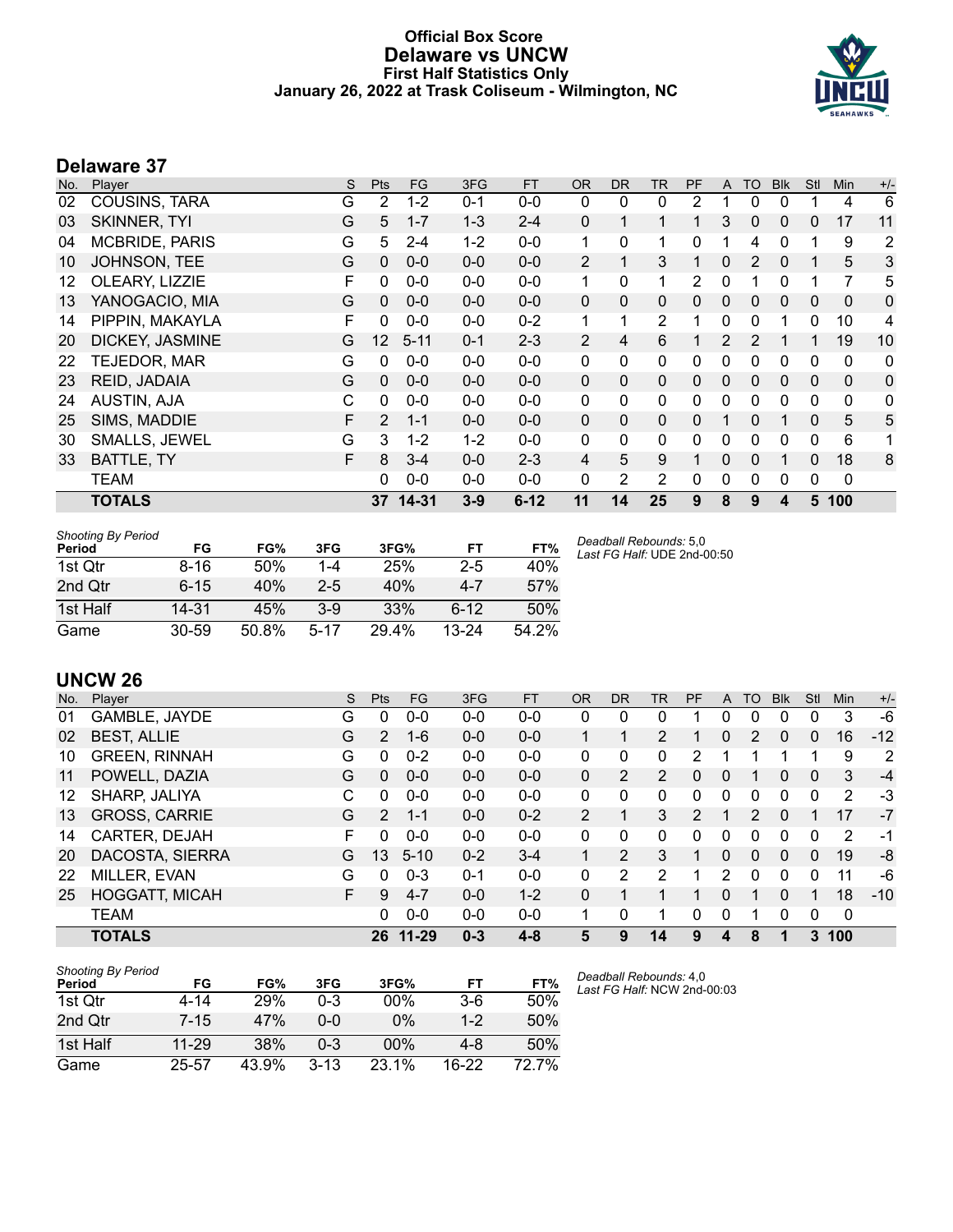### **Official Box Score Delaware vs UNCW First Half Statistics Only January 26, 2022 at Trask Coliseum - Wilmington, NC**



# **Delaware 37**

| No. | Player                | S | <b>Pts</b>        | <b>FG</b> | 3FG     | <b>FT</b> | <b>OR</b>      | <b>DR</b>      | TR           | PF           | A              | <b>TO</b>    | <b>Blk</b>   | Stl      | <b>Min</b>  | $+/-$ |
|-----|-----------------------|---|-------------------|-----------|---------|-----------|----------------|----------------|--------------|--------------|----------------|--------------|--------------|----------|-------------|-------|
| 02  | <b>COUSINS, TARA</b>  | G | 2                 | $1 - 2$   | $0 - 1$ | $0-0$     | 0              | 0              | 0            | 2            |                | 0            | 0            |          | 4           | 6     |
| 03  | <b>SKINNER, TYI</b>   | G | 5                 | $1 - 7$   | $1 - 3$ | $2 - 4$   | 0              | 1              | 1            | 1            | 3              | $\mathbf 0$  | $\mathbf{0}$ | 0        | 17          | 11    |
| 04  | <b>MCBRIDE, PARIS</b> | G | 5                 | $2 - 4$   | $1 - 2$ | $0-0$     | 1              | 0              | 1            | 0            |                | 4            | 0            | 1        | 9           | 2     |
| 10  | JOHNSON, TEE          | G | $\mathbf{0}$      | $0 - 0$   | $0 - 0$ | $0-0$     | $\overline{2}$ | $\mathbf{1}$   | 3            | 1            | 0              | 2            | 0            | 1        | 5           | 3     |
| 12  | OLEARY, LIZZIE        | F | 0                 | $0-0$     | $0 - 0$ | $0-0$     | 1              | 0              | 1            | 2            | 0              |              | 0            | 1        | 7           | 5     |
| 13  | YANOGACIO, MIA        | G | $\mathbf{0}$      | $0 - 0$   | $0 - 0$ | $0 - 0$   | 0              | $\mathbf 0$    | $\mathbf 0$  | 0            | 0              | 0            | $\mathbf{0}$ | 0        | $\mathbf 0$ | 0     |
| 14  | PIPPIN, MAKAYLA       | F | 0                 | $0 - 0$   | $0 - 0$ | $0 - 2$   | 1              | 1              | 2            | 1            | 0              | 0            |              | 0        | 10          | 4     |
| 20  | DICKEY, JASMINE       | G | $12 \overline{ }$ | $5 - 11$  | $0 - 1$ | $2 - 3$   | $\overline{2}$ | 4              | 6            | 1            | $\overline{2}$ | 2            |              | 1        | 19          | 10    |
| 22  | <b>TEJEDOR, MAR</b>   | G | 0                 | $0-0$     | $0 - 0$ | $0-0$     | 0              | 0              | 0            | 0            | 0              | 0            | 0            | 0        | 0           | 0     |
| 23  | REID, JADAIA          | G | $\mathbf{0}$      | $0 - 0$   | $0 - 0$ | $0-0$     | $\Omega$       | $\mathbf{0}$   | $\mathbf{0}$ | 0            | $\mathbf{0}$   | $\mathbf{0}$ | $\mathbf{0}$ | 0        | $\mathbf 0$ | 0     |
| 24  | AUSTIN, AJA           | С | 0                 | $0 - 0$   | $0-0$   | $0 - 0$   | 0              | 0              | 0            | 0            | 0              | 0            | $\mathbf{0}$ | 0        | 0           | 0     |
| 25  | SIMS, MADDIE          | F | 2                 | $1 - 1$   | $0 - 0$ | $0-0$     | 0              | $\mathbf{0}$   | $\mathbf 0$  | 0            |                | 0            |              | $\Omega$ | 5           | 5     |
| 30  | <b>SMALLS, JEWEL</b>  | G | 3                 | $1 - 2$   | $1 - 2$ | $0-0$     | 0              | $\mathbf{0}$   | $\mathbf{0}$ | $\Omega$     | 0              | 0            | $\Omega$     | 0        | 6           | 1     |
| 33  | BATTLE, TY            | F | 8                 | $3 - 4$   | $0 - 0$ | $2 - 3$   | 4              | 5              | 9            | 1            | 0              | $\Omega$     |              | $\Omega$ | 18          | 8     |
|     | <b>TEAM</b>           |   | 0                 | $0 - 0$   | $0 - 0$ | $0 - 0$   | 0              | $\overline{2}$ | 2            | $\mathbf{0}$ | 0              | $\mathbf 0$  | $\mathbf{0}$ | 0        | 0           |       |
|     | <b>TOTALS</b>         |   |                   | 37 14-31  | $3 - 9$ | $6 - 12$  | 11             | 14             | 25           | 9            | 8              | 9            | 4            | 5        | 100         |       |

| <b>Shooting By Period</b><br>Period | FG        | FG%   | 3FG     | 3FG%  | FT        | FT%   | Deadball Rebounds: 5,0<br>Last FG Half: UDE 2nd-00:50 |
|-------------------------------------|-----------|-------|---------|-------|-----------|-------|-------------------------------------------------------|
| 1st Otr                             | 8-16      | 50%   | $1-4$   | 25%   | $2 - 5$   | 40%   |                                                       |
| 2nd Qtr                             | $6 - 15$  | 40%   | $2 - 5$ | 40%   | $4 - 7$   | 57%   |                                                       |
| 1st Half                            | 14-31     | 45%   | $3-9$   | 33%   | $6 - 12$  | 50%   |                                                       |
| Game                                | $30 - 59$ | 50.8% | $5-17$  | 29.4% | $13 - 24$ | 54.2% |                                                       |

**UNCW 26**

|     | UNUW LU               |    |               |           |         |           |          |          |              |               |          |               |              |          |             |       |
|-----|-----------------------|----|---------------|-----------|---------|-----------|----------|----------|--------------|---------------|----------|---------------|--------------|----------|-------------|-------|
| No. | Plaver                | S  | <b>Pts</b>    | <b>FG</b> | 3FG     | <b>FT</b> | 0R       | DR       | TR           | <b>PF</b>     | A        | TO            | <b>B</b> lk  | Stl      | Min         | $+/-$ |
| 01  | GAMBLE, JAYDE         | G  | 0             | $0-0$     | $0-0$   | $0-0$     | 0        | 0        | 0            |               | 0        | 0             | 0            | $\Omega$ | 3           | $-6$  |
| 02  | <b>BEST, ALLIE</b>    | G  | 2             | $1 - 6$   | $0 - 0$ | $0 - 0$   |          |          | 2            |               | 0        | 2             | 0            | 0        | 16          | $-12$ |
| 10  | <b>GREEN, RINNAH</b>  | G  | 0             | $0 - 2$   | $0 - 0$ | $0 - 0$   | 0        | 0        | 0            | 2             | 1        |               |              |          | 9           | 2     |
| 11  | POWELL, DAZIA         | G  | 0             | $0 - 0$   | $0 - 0$ | $0 - 0$   | $\Omega$ | 2        | 2            | 0             | 0        |               | 0            | $\Omega$ | 3           | $-4$  |
| 12  | SHARP, JALIYA         | С  | 0             | $0-0$     | $0 - 0$ | $0 - 0$   | 0        | 0        | $\mathbf{0}$ | 0             | 0        | 0             | 0            | 0        | 2           | -3    |
| 13  | <b>GROSS, CARRIE</b>  | G  | $\mathcal{P}$ | $1 - 1$   | $0 - 0$ | $0 - 2$   | 2        |          | 3            | $\mathcal{P}$ | 1        | $\mathcal{P}$ | $\Omega$     |          | 17          | $-7$  |
| 14  | CARTER, DEJAH         | F  | 0             | $0-0$     | $0 - 0$ | $0 - 0$   | 0        | $\Omega$ | 0            | 0             | 0        | 0             | 0            | 0        | 2           | $-1$  |
| 20  | DACOSTA, SIERRA       | G  | 13            | $5 - 10$  | $0 - 2$ | $3 - 4$   |          | 2        | 3            |               | 0        | 0             | $\mathbf{0}$ | 0        | 19          | -8    |
| 22  | MILLER, EVAN          | G  | 0             | $0 - 3$   | $0 - 1$ | $0 - 0$   | 0        | 2        | 2            |               | 2        | 0             | 0            | 0        | 11          | -6    |
| 25  | <b>HOGGATT, MICAH</b> | F. | 9             | $4 - 7$   | $0 - 0$ | $1 - 2$   | $\Omega$ |          |              |               | $\Omega$ | 1             | 0            |          | 18          | $-10$ |
|     | <b>TEAM</b>           |    | 0             | $0 - 0$   | $0 - 0$ | $0 - 0$   | 1        | 0        | 1            | 0             | 0        | 1             | 0            | 0        | $\mathbf 0$ |       |
|     | <b>TOTALS</b>         |    | 26            | $11 - 29$ | $0 - 3$ | $4 - 8$   | 5        | 9        | 14           | 9             | 4        | 8             |              | 3        | 100         |       |

| <b>Shooting By Period</b> |           |       |          |        |         |       |
|---------------------------|-----------|-------|----------|--------|---------|-------|
| Period                    | FG        | FG%   | 3FG      | 3FG%   | FT      | FT%   |
| 1st Otr                   | 4-14      | 29%   | $0-3$    | 00%    | $3-6$   | 50%   |
| 2nd Qtr                   | $7 - 15$  | 47%   | 0-0      | $0\%$  | $1-2$   | 50%   |
| 1st Half                  | $11 - 29$ | 38%   | $0 - 3$  | $00\%$ | 4-8     | 50%   |
| Game                      | 25-57     | 43.9% | $3 - 13$ | 23.1%  | $16-22$ | 72 7% |

*Deadball Rebounds:* 4,0 *Last FG Half:* NCW 2nd-00:03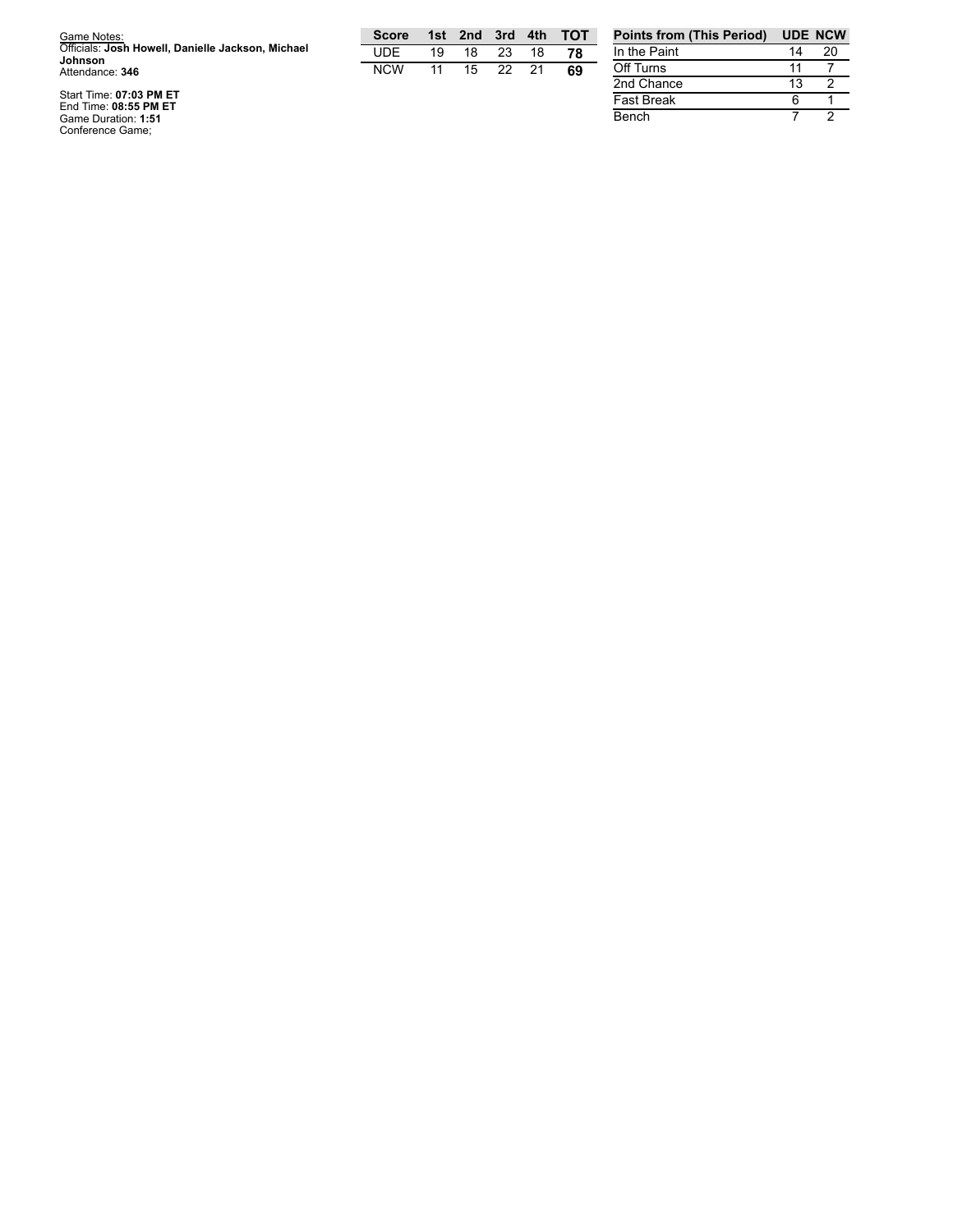| Game Notes:                                       |  |
|---------------------------------------------------|--|
| Officials: Josh Howell, Danielle Jackson, Michael |  |
| Johnson                                           |  |
| Attendance: 346                                   |  |

Start Time: 07:03 PM ET<br>End Time: 08:55 PM ET<br>Game Duration: 1:51<br>Conference Game;

| Score |    |     |      |     | 1st 2nd 3rd 4th TOT |
|-------|----|-----|------|-----|---------------------|
| UDE   | 19 | 18. | -23- | 18  | 78                  |
| NCW   | 11 | 15  | 22.  | -21 | 69                  |

| <b>Points from (This Period)</b> |    | <b>UDE NCW</b> |
|----------------------------------|----|----------------|
| In the Paint                     | 14 | 20             |
| Off Turns                        | 11 |                |
| 2nd Chance                       | 13 |                |
| <b>Fast Break</b>                | ค  |                |
| Bench                            |    |                |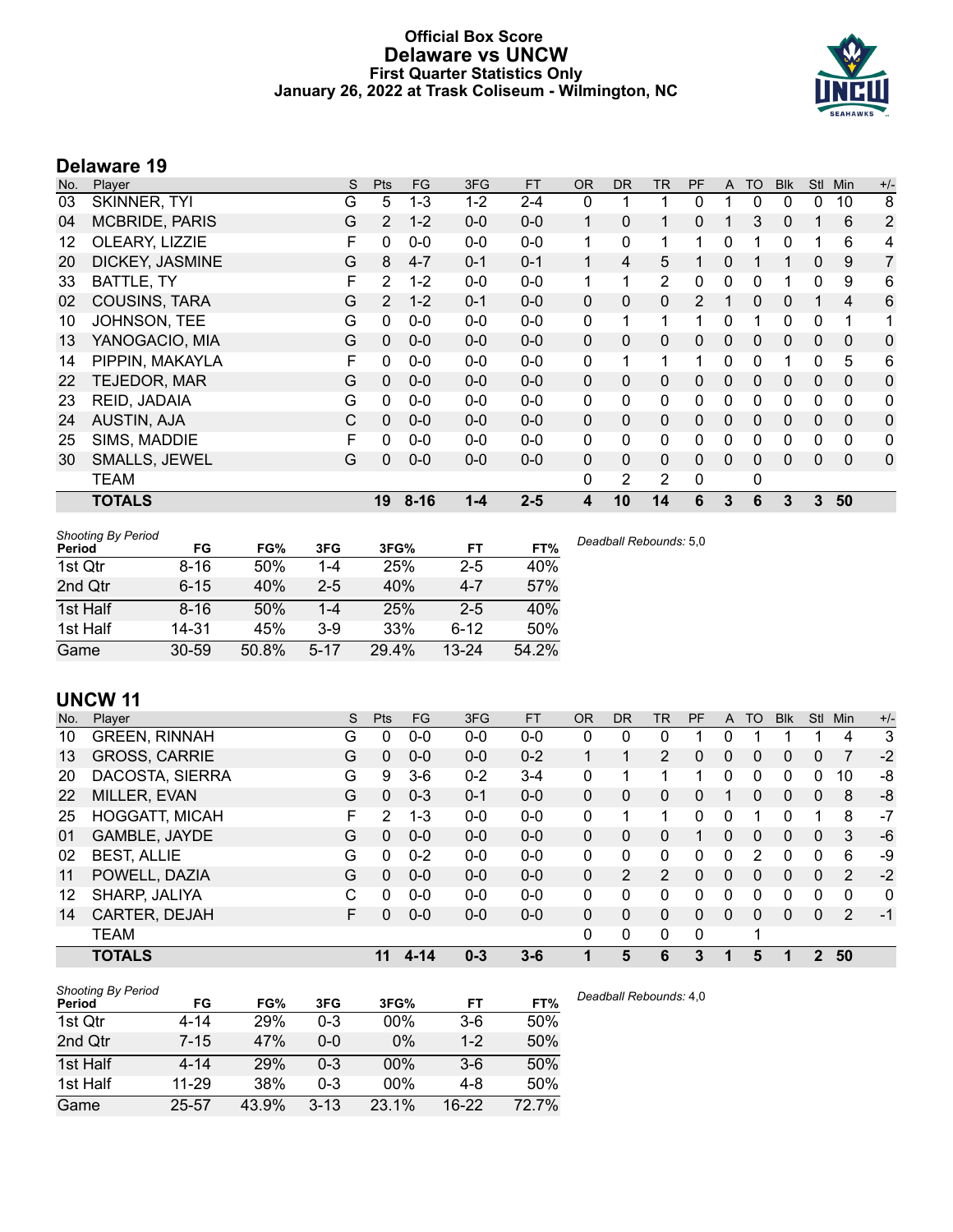### **Official Box Score Delaware vs UNCW First Quarter Statistics Only January 26, 2022 at Trask Coliseum - Wilmington, NC**



# **Delaware 19**

| No. | Player                 | S | <b>Pts</b>     | <b>FG</b> | 3FG     | <b>FT</b> | <b>OR</b>    | <b>DR</b>    | <b>TR</b>      | PF           | A            | <b>TO</b>    | <b>Blk</b> | Stl          | Min          | $+/-$          |
|-----|------------------------|---|----------------|-----------|---------|-----------|--------------|--------------|----------------|--------------|--------------|--------------|------------|--------------|--------------|----------------|
| 03  | SKINNER, TYI           | G | 5              | $1 - 3$   | $1 - 2$ | $2 - 4$   | 0            |              |                | 0            |              | 0            | 0          | 0            | 10           | 8              |
| 04  | <b>MCBRIDE, PARIS</b>  | G | $\overline{2}$ | $1 - 2$   | $0-0$   | $0-0$     | 1            | $\mathbf{0}$ | 1              | $\mathbf{0}$ |              | 3            | 0          |              | 6            | $\overline{2}$ |
| 12  | OLEARY, LIZZIE         | F | 0              | $0 - 0$   | $0-0$   | $0-0$     | 1            | $\mathbf{0}$ | 1              | 1            | 0            |              | 0          |              | 6            | 4              |
| 20  | <b>DICKEY, JASMINE</b> | G | 8              | $4 - 7$   | $0 - 1$ | $0 - 1$   | 1            | 4            | 5              |              | 0            |              |            | 0            | 9            | $\overline{7}$ |
| 33  | BATTLE, TY             | F | $\overline{2}$ | $1 - 2$   | $0-0$   | $0-0$     | 1            | 1            | $\overline{2}$ | 0            | $\Omega$     | 0            |            | $\Omega$     | 9            | 6              |
| 02  | <b>COUSINS, TARA</b>   | G | $\overline{2}$ | $1 - 2$   | $0 - 1$ | $0 - 0$   | $\mathbf 0$  | $\mathbf{0}$ | 0              | 2            |              | $\Omega$     | 0          |              | 4            | 6              |
| 10  | JOHNSON, TEE           | G | 0              | $0 - 0$   | $0-0$   | $0-0$     | 0            | 1            | 1              |              | $\mathbf{0}$ |              | 0          | 0            | 1            | 1              |
| 13  | YANOGACIO, MIA         | G | $\Omega$       | $0 - 0$   | $0 - 0$ | $0 - 0$   | $\mathbf{0}$ | $\Omega$     | $\mathbf{0}$   | $\mathbf{0}$ | $\mathbf{0}$ | $\mathbf{0}$ | 0          | $\Omega$     | $\mathbf{0}$ | 0              |
| 14  | PIPPIN, MAKAYLA        | F | 0              | $0 - 0$   | $0 - 0$ | $0 - 0$   | 0            | 1            | 1              | 1            | $\Omega$     | 0            |            | $\Omega$     | 5            | 6              |
| 22  | TEJEDOR, MAR           | G | 0              | $0 - 0$   | $0 - 0$ | $0 - 0$   | $\mathbf{0}$ | $\mathbf{0}$ | $\Omega$       | $\Omega$     | $\mathbf{0}$ | $\Omega$     | 0          | $\mathbf{0}$ | $\Omega$     | 0              |
| 23  | REID, JADAIA           | G | $\Omega$       | $0 - 0$   | $0-0$   | $0-0$     | 0            | $\mathbf{0}$ | 0              | 0            | 0            | 0            | 0          | 0            | 0            | 0              |
| 24  | AUSTIN, AJA            | C | $\Omega$       | $0 - 0$   | $0 - 0$ | $0-0$     | $\mathbf{0}$ | $\Omega$     | 0              | $\Omega$     | 0            | $\Omega$     | 0          | $\mathbf{0}$ | $\Omega$     | 0              |
| 25  | SIMS, MADDIE           | F | $\Omega$       | $0 - 0$   | $0 - 0$ | $0-0$     | $\Omega$     | $\Omega$     | $\mathbf{0}$   | 0            | $\Omega$     | 0            | 0          | $\Omega$     | $\mathbf 0$  | 0              |
| 30  | SMALLS, JEWEL          | G | 0              | $0 - 0$   | $0 - 0$ | $0 - 0$   | 0            | $\mathbf{0}$ | $\Omega$       | $\Omega$     | $\Omega$     | $\Omega$     | 0          | 0            | $\Omega$     | 0              |
|     | <b>TEAM</b>            |   |                |           |         |           | 0            | 2            | 2              | $\mathbf 0$  |              | 0            |            |              |              |                |
|     | <b>TOTALS</b>          |   | 19             | $8 - 16$  | $1 - 4$ | $2 - 5$   | 4            | 10           | 14             | 6            | 3            | 6            | 3          | 3            | 50           |                |

| <b>Shooting By Period</b><br>Period | FG        | FG%   | 3FG      | 3FG%  | FT        | FT%   | Deadball Rebounds: 5,0 |
|-------------------------------------|-----------|-------|----------|-------|-----------|-------|------------------------|
| 1st Qtr                             | $8 - 16$  | 50%   | 1-4      | 25%   | $2 - 5$   | 40%   |                        |
| 2nd Qtr                             | $6 - 15$  | 40%   | $2 - 5$  | 40%   | $4 - 7$   | 57%   |                        |
| 1st Half                            | $8 - 16$  | 50%   | -4       | 25%   | $2 - 5$   | 40%   |                        |
| 1st Half                            | 14-31     | 45%   | $3-9$    | 33%   | $6 - 12$  | 50%   |                        |
| Game                                | $30 - 59$ | 50.8% | $5 - 17$ | 29.4% | $13 - 24$ | 54.2% |                        |

# **UNCW 11**

| No. | Plaver                | S  | Pts | FG       | 3FG     | <b>FT</b> | 0R           | <b>DR</b>      | <b>TR</b>      | PF | A            | TO       | <b>Blk</b> | <b>Stl</b> | Min            | $+/-$ |
|-----|-----------------------|----|-----|----------|---------|-----------|--------------|----------------|----------------|----|--------------|----------|------------|------------|----------------|-------|
| 10  | <b>GREEN, RINNAH</b>  | G  | 0   | $0 - 0$  | $0 - 0$ | $0-0$     | 0            | 0              | 0              |    | 0            |          |            |            | 4              | 3     |
| 13  | <b>GROSS, CARRIE</b>  | G  | 0   | $0 - 0$  | $0 - 0$ | $0 - 2$   |              |                | $\overline{2}$ | 0  | 0            | $\Omega$ | 0          | 0          |                | $-2$  |
| 20  | DACOSTA, SIERRA       | G  | 9   | $3-6$    | $0 - 2$ | $3 - 4$   | 0            |                |                |    | 0            | 0        | 0          | 0          | 10             | -8    |
| 22  | MILLER, EVAN          | G  | 0   | $0 - 3$  | $0 - 1$ | $0 - 0$   | $\mathbf{0}$ | 0              | 0              | 0  |              | 0        | 0          | 0          | 8              | -8    |
| 25  | <b>HOGGATT, MICAH</b> | F  | 2   | $1 - 3$  | $0 - 0$ | $0 - 0$   | 0            |                | 1              | U  | 0            |          | 0          |            | 8              | $-7$  |
| 01  | GAMBLE, JAYDE         | G  | 0   | $0 - 0$  | $0 - 0$ | $0-0$     | $\Omega$     | 0              | 0              |    | 0            | 0        | 0          | 0          | 3              | -6    |
| 02  | <b>BEST, ALLIE</b>    | G  | 0   | $0 - 2$  | $0 - 0$ | $0 - 0$   | 0            | 0              | 0              | ი  | 0            | 2        | 0          | 0          | 6              | -9    |
| 11  | POWELL, DAZIA         | G  | 0   | $0 - 0$  | $0 - 0$ | $0 - 0$   | $\Omega$     | $\overline{2}$ | $\overline{2}$ | 0  | $\Omega$     | $\Omega$ | 0          | $\Omega$   | $\overline{2}$ | $-2$  |
| 12  | SHARP, JALIYA         | C  | O   | $0 - 0$  | $0 - 0$ | $0-0$     | $\mathbf{0}$ | 0              | 0              | 0  | 0            | $\Omega$ | 0          | 0          | 0              | 0     |
| 14  | CARTER, DEJAH         | F. | 0   | $0 - 0$  | $0 - 0$ | $0 - 0$   | $\mathbf{0}$ | 0              | 0              | 0  | $\mathbf{0}$ | $\Omega$ | 0          | $\Omega$   | 2              | $-1$  |
|     | <b>TEAM</b>           |    |     |          |         |           | 0            | 0              | 0              | 0  |              | 1        |            |            |                |       |
|     | <b>TOTALS</b>         |    | 11  | $4 - 14$ | $0 - 3$ | $3 - 6$   |              | 5              | 6              | 3  |              | 5        | 1          | 2          | 50             |       |

| <b>Shooting By Period</b> |           |       |          |       |         |       |
|---------------------------|-----------|-------|----------|-------|---------|-------|
| Period                    | FG        | FG%   | 3FG      | 3FG%  | FT      | FT%   |
| 1st Qtr                   | 4-14      | 29%   | 0-3      | 00%   | $3-6$   | 50%   |
| 2nd Qtr                   | $7 - 15$  | 47%   | $0 - 0$  | $0\%$ | $1 - 2$ | 50%   |
| 1st Half                  | $4 - 14$  | 29%   | $0 - 3$  | 00%   | $3-6$   | 50%   |
| 1st Half                  | $11 - 29$ | 38%   | 0-3      | 00%   | $4-8$   | 50%   |
| Game                      | $25 - 57$ | 43.9% | $3 - 13$ | 23.1% | $16-22$ | 72.7% |

*Deadball Rebounds:* 4,0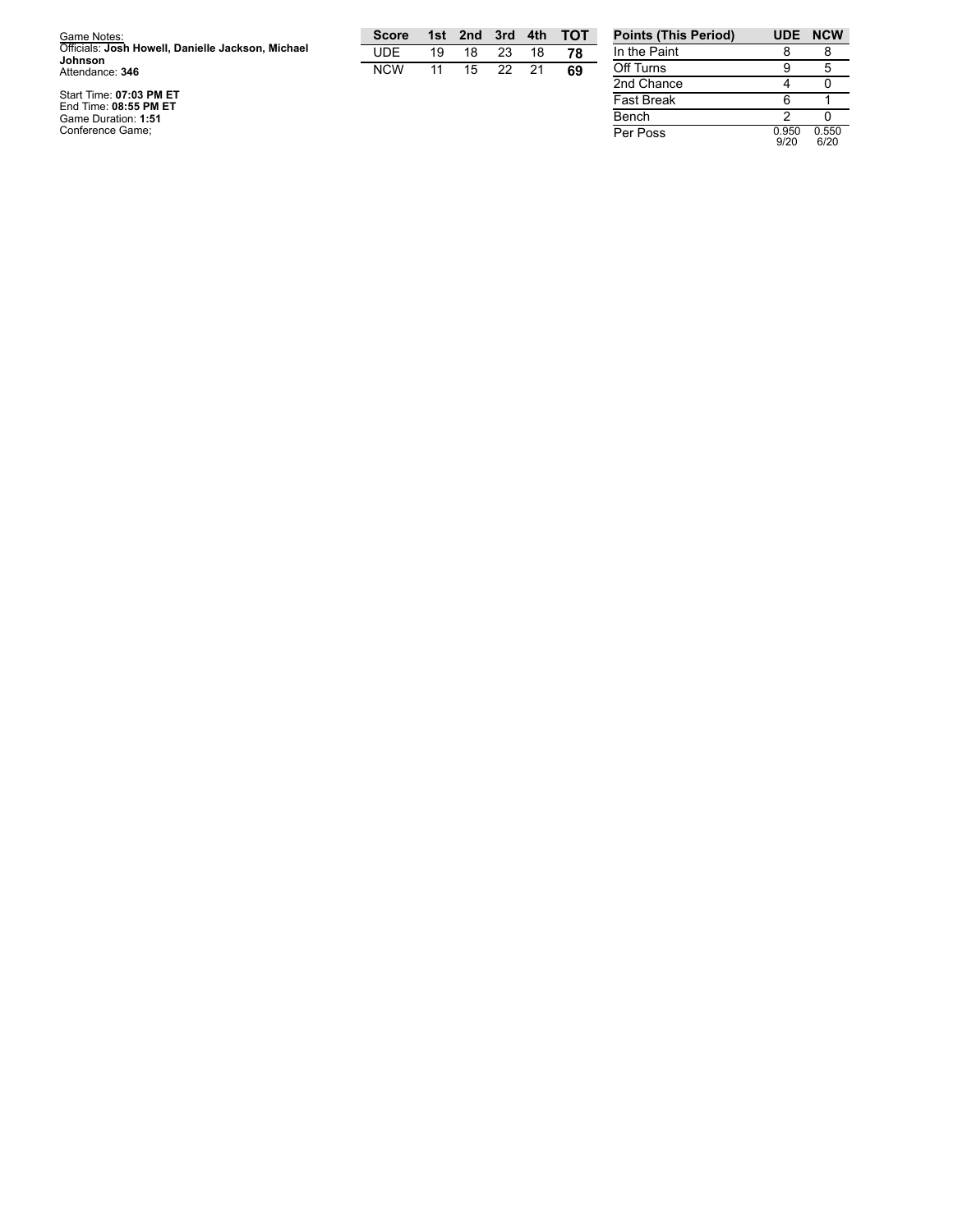| Game Notes:<br>Officials: Josh Howell, Danielle Jackson, Michael | <b>Score</b><br>UDE | 1st l<br>19 | 2nd<br>18 | 3rd<br>23 | 4th<br>18 | $\overline{a}$ TOT<br>78 | <b>Points (This Period)</b><br>In the Paint |       | UDE NCW |
|------------------------------------------------------------------|---------------------|-------------|-----------|-----------|-----------|--------------------------|---------------------------------------------|-------|---------|
| Johnson<br>Attendance: 346                                       | <b>NCW</b>          |             | 15        | 22        | 21        | 69                       | Off Turns                                   |       |         |
|                                                                  |                     |             |           |           |           |                          | 2nd Chance                                  |       |         |
| Start Time: 07:03 PM ET<br>End Time: 08:55 PM ET                 |                     |             |           |           |           |                          | <b>Fast Break</b>                           |       |         |
| Game Duration: 1:51                                              |                     |             |           |           |           |                          | Bench                                       |       |         |
| Conference Game:                                                 |                     |             |           |           |           |                          | Per Poss                                    | 0.950 | 0.550   |

| In the Paint      | 8             | 8             |
|-------------------|---------------|---------------|
| Off Turns         | 9             | 5             |
| 2nd Chance        |               |               |
| <b>Fast Break</b> | 6             |               |
| Bench             | 2             |               |
| Per Poss          | 0.950<br>9/20 | 0.550<br>6/20 |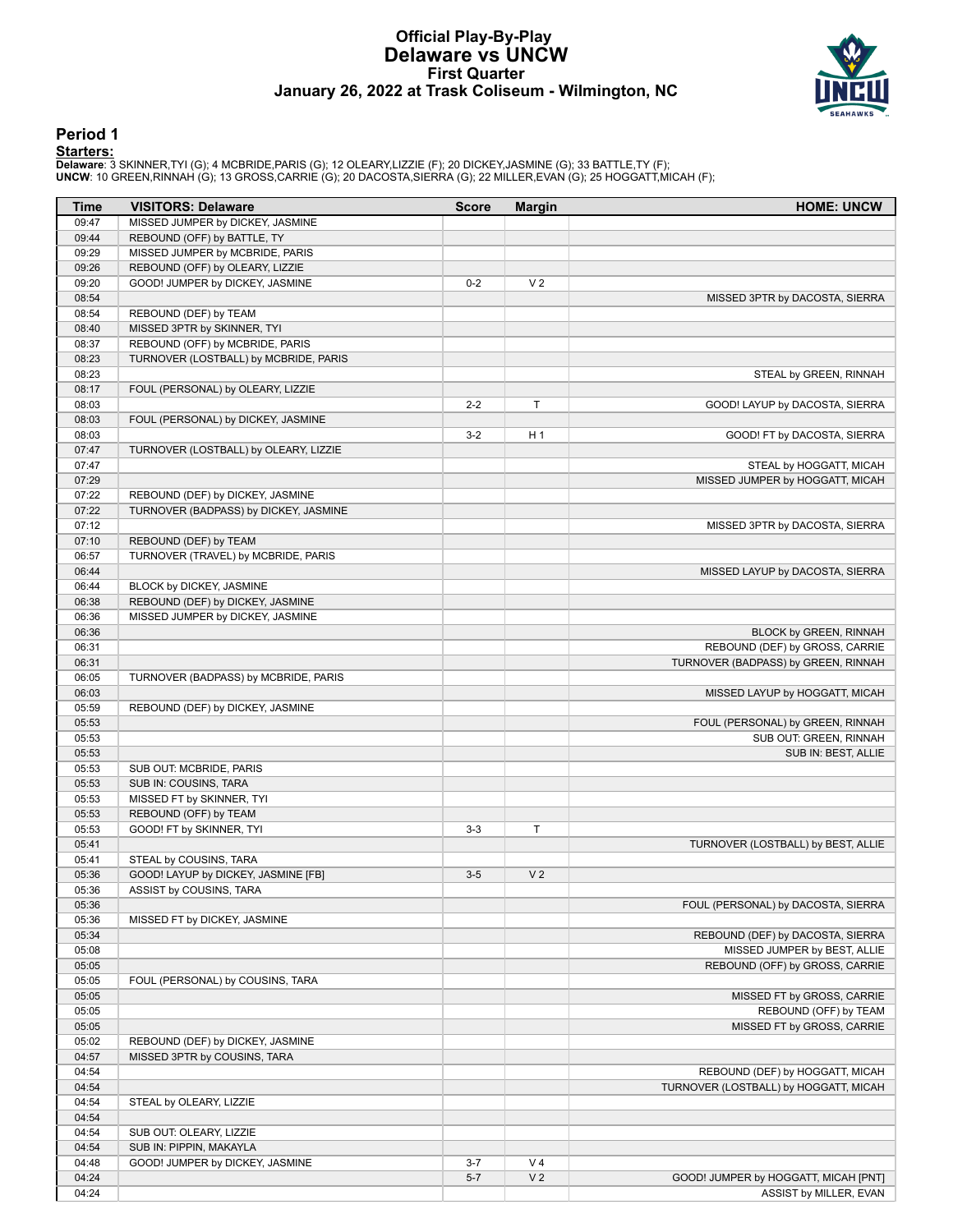### **Official Play-By-Play Delaware vs UNCW First Quarter January 26, 2022 at Trask Coliseum - Wilmington, NC**



# **Period 1**

<mark>Starters :</mark><br>Delaware: 3 SKINNER,TYI (G); 4 MCBRIDE,PARIS (G); 12 OLEARY,LIZZIE (F); 20 DICKEY,JASMINE (G); 33 BATTLE,TY (F);<br>UNCW: 10 GREEN,RINNAH (G); 13 GROSS,CARRIE (G); 20 DACOSTA,SIERRA (G); 22 MILLER,EVAN (G); 25 HO

| Time           | <b>VISITORS: Delaware</b>             | <b>Score</b> | <b>Margin</b>  | <b>HOME: UNCW</b>                                              |
|----------------|---------------------------------------|--------------|----------------|----------------------------------------------------------------|
| 09:47          | MISSED JUMPER by DICKEY, JASMINE      |              |                |                                                                |
| 09:44          | REBOUND (OFF) by BATTLE, TY           |              |                |                                                                |
| 09:29          | MISSED JUMPER by MCBRIDE, PARIS       |              |                |                                                                |
| 09:26          | REBOUND (OFF) by OLEARY, LIZZIE       |              |                |                                                                |
| 09:20          | GOOD! JUMPER by DICKEY, JASMINE       | $0 - 2$      | V <sub>2</sub> |                                                                |
| 08:54          |                                       |              |                | MISSED 3PTR by DACOSTA, SIERRA                                 |
| 08:54          | REBOUND (DEF) by TEAM                 |              |                |                                                                |
| 08:40          | MISSED 3PTR by SKINNER, TYI           |              |                |                                                                |
| 08:37          | REBOUND (OFF) by MCBRIDE, PARIS       |              |                |                                                                |
| 08:23          | TURNOVER (LOSTBALL) by MCBRIDE, PARIS |              |                |                                                                |
| 08:23          |                                       |              |                | STEAL by GREEN, RINNAH                                         |
| 08:17          | FOUL (PERSONAL) by OLEARY, LIZZIE     |              |                |                                                                |
| 08:03          |                                       | $2 - 2$      | T              | GOOD! LAYUP by DACOSTA, SIERRA                                 |
| 08:03          | FOUL (PERSONAL) by DICKEY, JASMINE    |              |                |                                                                |
| 08:03          |                                       | $3-2$        | H <sub>1</sub> | GOOD! FT by DACOSTA, SIERRA                                    |
| 07:47          | TURNOVER (LOSTBALL) by OLEARY, LIZZIE |              |                |                                                                |
| 07:47          |                                       |              |                | STEAL by HOGGATT, MICAH                                        |
| 07:29          |                                       |              |                | MISSED JUMPER by HOGGATT, MICAH                                |
| 07:22          | REBOUND (DEF) by DICKEY, JASMINE      |              |                |                                                                |
| 07:22          | TURNOVER (BADPASS) by DICKEY, JASMINE |              |                |                                                                |
| 07:12          |                                       |              |                | MISSED 3PTR by DACOSTA, SIERRA                                 |
| 07:10          | REBOUND (DEF) by TEAM                 |              |                |                                                                |
| 06:57          | TURNOVER (TRAVEL) by MCBRIDE, PARIS   |              |                |                                                                |
| 06:44          |                                       |              |                | MISSED LAYUP by DACOSTA, SIERRA                                |
| 06:44          | BLOCK by DICKEY, JASMINE              |              |                |                                                                |
| 06:38          | REBOUND (DEF) by DICKEY, JASMINE      |              |                |                                                                |
| 06:36          | MISSED JUMPER by DICKEY, JASMINE      |              |                |                                                                |
| 06:36          |                                       |              |                | <b>BLOCK by GREEN, RINNAH</b>                                  |
| 06:31          |                                       |              |                | REBOUND (DEF) by GROSS, CARRIE                                 |
| 06:31          |                                       |              |                | TURNOVER (BADPASS) by GREEN, RINNAH                            |
| 06:05          | TURNOVER (BADPASS) by MCBRIDE, PARIS  |              |                |                                                                |
| 06:03          |                                       |              |                | MISSED LAYUP by HOGGATT, MICAH                                 |
| 05:59          | REBOUND (DEF) by DICKEY, JASMINE      |              |                |                                                                |
| 05:53          |                                       |              |                | FOUL (PERSONAL) by GREEN, RINNAH                               |
| 05:53          |                                       |              |                | SUB OUT: GREEN, RINNAH                                         |
| 05:53          |                                       |              |                | SUB IN: BEST, ALLIE                                            |
| 05:53          | SUB OUT: MCBRIDE, PARIS               |              |                |                                                                |
| 05:53          | SUB IN: COUSINS, TARA                 |              |                |                                                                |
| 05:53          | MISSED FT by SKINNER, TYI             |              |                |                                                                |
| 05:53          | REBOUND (OFF) by TEAM                 |              |                |                                                                |
| 05:53          | GOOD! FT by SKINNER, TYI              | $3 - 3$      | Τ              |                                                                |
| 05:41          |                                       |              |                | TURNOVER (LOSTBALL) by BEST, ALLIE                             |
| 05:41          | STEAL by COUSINS, TARA                |              |                |                                                                |
| 05:36          | GOOD! LAYUP by DICKEY, JASMINE [FB]   | $3-5$        | V <sub>2</sub> |                                                                |
| 05:36          | ASSIST by COUSINS, TARA               |              |                |                                                                |
| 05:36          |                                       |              |                | FOUL (PERSONAL) by DACOSTA, SIERRA                             |
|                |                                       |              |                |                                                                |
| 05:36<br>05:34 | MISSED FT by DICKEY, JASMINE          |              |                | REBOUND (DEF) by DACOSTA, SIERRA                               |
|                |                                       |              |                |                                                                |
| 05:08<br>05:05 |                                       |              |                | MISSED JUMPER by BEST, ALLIE<br>REBOUND (OFF) by GROSS, CARRIE |
|                |                                       |              |                |                                                                |
| 05:05          | FOUL (PERSONAL) by COUSINS, TARA      |              |                |                                                                |
| 05:05          |                                       |              |                | MISSED FT by GROSS, CARRIE                                     |
| 05:05          |                                       |              |                | REBOUND (OFF) by TEAM                                          |
| 05:05          |                                       |              |                | MISSED FT by GROSS, CARRIE                                     |
| 05:02          | REBOUND (DEF) by DICKEY, JASMINE      |              |                |                                                                |
| 04:57          | MISSED 3PTR by COUSINS, TARA          |              |                |                                                                |
| 04:54          |                                       |              |                | REBOUND (DEF) by HOGGATT, MICAH                                |
| 04:54          |                                       |              |                | TURNOVER (LOSTBALL) by HOGGATT, MICAH                          |
| 04:54          | STEAL by OLEARY, LIZZIE               |              |                |                                                                |
| 04:54          |                                       |              |                |                                                                |
| 04:54          | SUB OUT: OLEARY, LIZZIE               |              |                |                                                                |
| 04:54          | SUB IN: PIPPIN, MAKAYLA               |              |                |                                                                |
| 04:48          | GOOD! JUMPER by DICKEY, JASMINE       | $3 - 7$      | V <sub>4</sub> |                                                                |
| 04:24          |                                       | $5 - 7$      | V <sub>2</sub> | GOOD! JUMPER by HOGGATT, MICAH [PNT]                           |
| 04:24          |                                       |              |                | ASSIST by MILLER, EVAN                                         |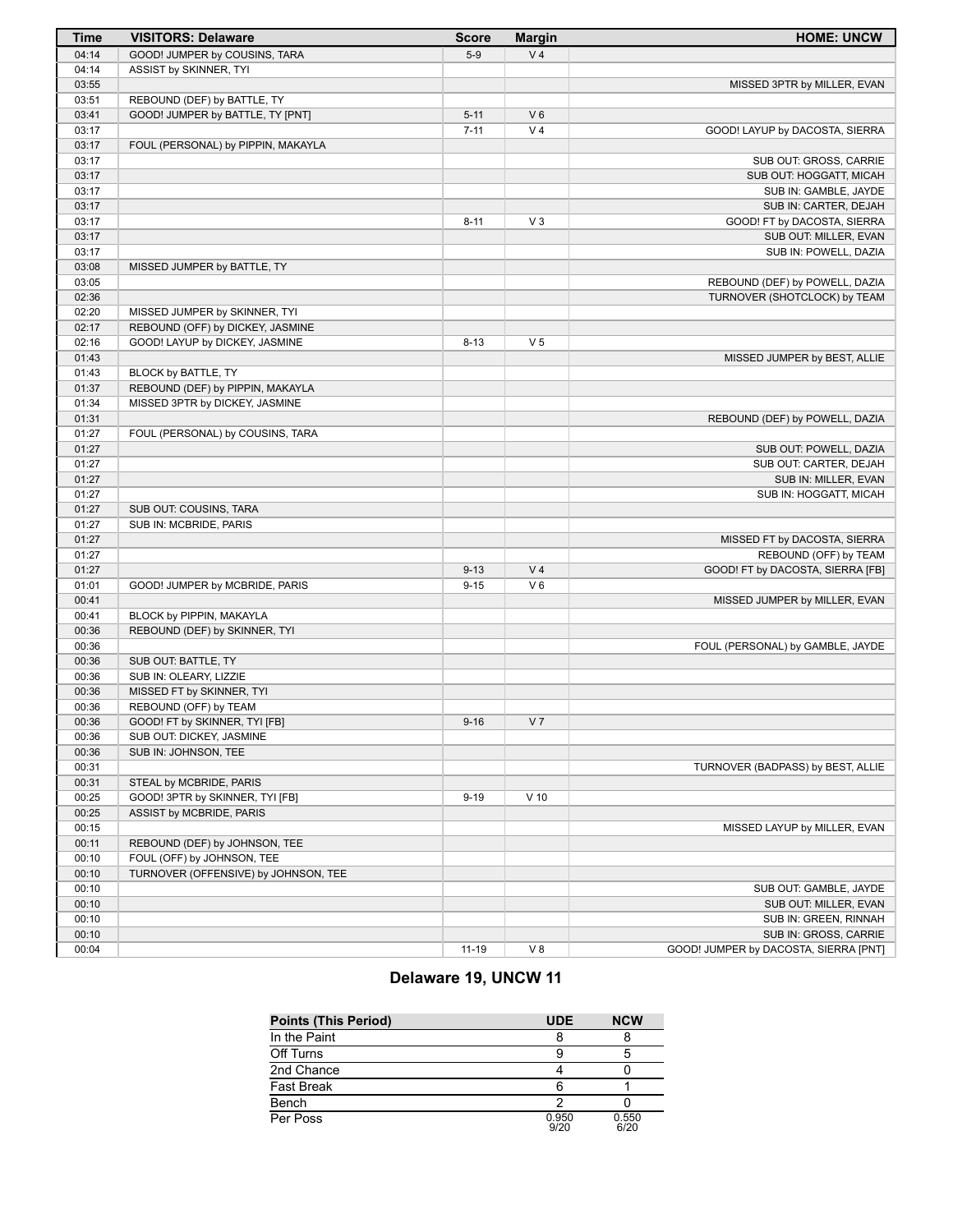| <b>Time</b>    | <b>VISITORS: Delaware</b>            | <b>Score</b> | <b>Margin</b>  | <b>HOME: UNCW</b>                                |
|----------------|--------------------------------------|--------------|----------------|--------------------------------------------------|
| 04:14          | GOOD! JUMPER by COUSINS, TARA        | $5-9$        | V <sub>4</sub> |                                                  |
| 04:14          | ASSIST by SKINNER, TYI               |              |                |                                                  |
| 03:55          |                                      |              |                | MISSED 3PTR by MILLER, EVAN                      |
| 03:51          | REBOUND (DEF) by BATTLE, TY          |              |                |                                                  |
| 03:41          | GOOD! JUMPER by BATTLE, TY [PNT]     | $5 - 11$     | $V_6$          |                                                  |
| 03:17          |                                      | $7 - 11$     | V <sub>4</sub> | GOOD! LAYUP by DACOSTA, SIERRA                   |
| 03:17          | FOUL (PERSONAL) by PIPPIN, MAKAYLA   |              |                |                                                  |
| 03:17          |                                      |              |                | SUB OUT: GROSS, CARRIE                           |
| 03:17          |                                      |              |                | SUB OUT: HOGGATT, MICAH                          |
| 03:17          |                                      |              |                | SUB IN: GAMBLE, JAYDE                            |
| 03:17          |                                      |              |                | SUB IN: CARTER, DEJAH                            |
| 03:17          |                                      | $8 - 11$     | $V_3$          | GOOD! FT by DACOSTA, SIERRA                      |
| 03:17          |                                      |              |                | SUB OUT: MILLER, EVAN                            |
| 03:17          |                                      |              |                | SUB IN: POWELL, DAZIA                            |
| 03:08          | MISSED JUMPER by BATTLE, TY          |              |                |                                                  |
| 03:05          |                                      |              |                | REBOUND (DEF) by POWELL, DAZIA                   |
| 02:36          |                                      |              |                | TURNOVER (SHOTCLOCK) by TEAM                     |
| 02:20          | MISSED JUMPER by SKINNER, TYI        |              |                |                                                  |
| 02:17          | REBOUND (OFF) by DICKEY, JASMINE     |              |                |                                                  |
| 02:16          | GOOD! LAYUP by DICKEY, JASMINE       | $8 - 13$     | V <sub>5</sub> |                                                  |
| 01:43          |                                      |              |                | MISSED JUMPER by BEST, ALLIE                     |
| 01:43          | BLOCK by BATTLE, TY                  |              |                |                                                  |
| 01:37          | REBOUND (DEF) by PIPPIN, MAKAYLA     |              |                |                                                  |
| 01:34          | MISSED 3PTR by DICKEY, JASMINE       |              |                |                                                  |
| 01:31<br>01:27 |                                      |              |                | REBOUND (DEF) by POWELL, DAZIA                   |
| 01:27          | FOUL (PERSONAL) by COUSINS, TARA     |              |                |                                                  |
| 01:27          |                                      |              |                | SUB OUT: POWELL, DAZIA<br>SUB OUT: CARTER, DEJAH |
| 01:27          |                                      |              |                | SUB IN: MILLER, EVAN                             |
| 01:27          |                                      |              |                | SUB IN: HOGGATT, MICAH                           |
| 01:27          | SUB OUT: COUSINS, TARA               |              |                |                                                  |
| 01:27          | SUB IN: MCBRIDE, PARIS               |              |                |                                                  |
| 01:27          |                                      |              |                | MISSED FT by DACOSTA, SIERRA                     |
| 01:27          |                                      |              |                | REBOUND (OFF) by TEAM                            |
| 01:27          |                                      | $9 - 13$     | V <sub>4</sub> | GOOD! FT by DACOSTA, SIERRA [FB]                 |
| 01:01          | GOOD! JUMPER by MCBRIDE, PARIS       | $9 - 15$     | $V_6$          |                                                  |
| 00:41          |                                      |              |                | MISSED JUMPER by MILLER, EVAN                    |
| 00:41          | BLOCK by PIPPIN, MAKAYLA             |              |                |                                                  |
| 00:36          | REBOUND (DEF) by SKINNER, TYI        |              |                |                                                  |
| 00:36          |                                      |              |                | FOUL (PERSONAL) by GAMBLE, JAYDE                 |
| 00:36          | SUB OUT: BATTLE, TY                  |              |                |                                                  |
| 00:36          | SUB IN: OLEARY, LIZZIE               |              |                |                                                  |
| 00:36          | MISSED FT by SKINNER, TYI            |              |                |                                                  |
| 00:36          | REBOUND (OFF) by TEAM                |              |                |                                                  |
| 00:36          | GOOD! FT by SKINNER, TYI [FB]        | $9 - 16$     | V <sub>7</sub> |                                                  |
| 00:36          | SUB OUT: DICKEY, JASMINE             |              |                |                                                  |
| 00:36          | SUB IN: JOHNSON, TEE                 |              |                |                                                  |
| 00:31          |                                      |              |                | TURNOVER (BADPASS) by BEST, ALLIE                |
| 00:31          | STEAL by MCBRIDE, PARIS              |              |                |                                                  |
| 00:25          | GOOD! 3PTR by SKINNER, TYI [FB]      | $9 - 19$     | $V$ 10         |                                                  |
| 00:25          | ASSIST by MCBRIDE, PARIS             |              |                |                                                  |
| 00:15          |                                      |              |                | MISSED LAYUP by MILLER, EVAN                     |
| 00:11          | REBOUND (DEF) by JOHNSON, TEE        |              |                |                                                  |
| 00:10          | FOUL (OFF) by JOHNSON, TEE           |              |                |                                                  |
| 00:10          | TURNOVER (OFFENSIVE) by JOHNSON, TEE |              |                |                                                  |
| 00:10          |                                      |              |                | SUB OUT: GAMBLE, JAYDE                           |
| 00:10          |                                      |              |                | SUB OUT: MILLER, EVAN                            |
| 00:10          |                                      |              |                | SUB IN: GREEN, RINNAH                            |
| 00:10          |                                      |              |                | SUB IN: GROSS, CARRIE                            |
| 00:04          |                                      | $11 - 19$    | V 8            | GOOD! JUMPER by DACOSTA, SIERRA [PNT]            |

# **Delaware 19, UNCW 11**

| <b>Points (This Period)</b> | <b>UDE</b>    | <b>NCW</b>    |
|-----------------------------|---------------|---------------|
| In the Paint                |               |               |
| Off Turns                   |               |               |
| 2nd Chance                  |               |               |
| Fast Break                  |               |               |
| Bench                       |               |               |
| Per Poss                    | 0.950<br>9/20 | 0.550<br>6/20 |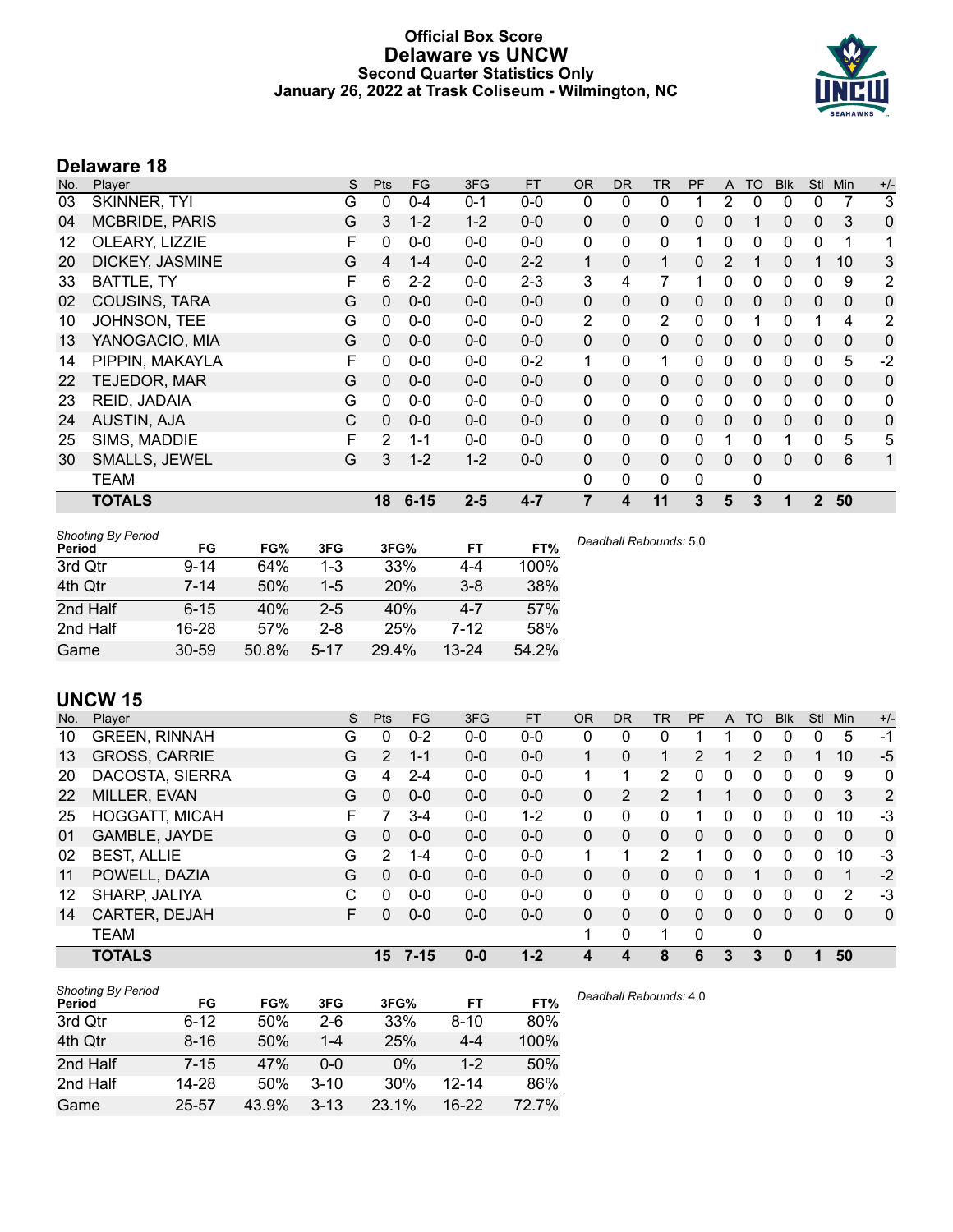# **Official Box Score Delaware vs UNCW Second Quarter Statistics Only January 26, 2022 at Trask Coliseum - Wilmington, NC**



# **Delaware 18**

| No. | Player                | S | <b>Pts</b>     | <b>FG</b> | 3FG     | <b>FT</b> | <b>OR</b>    | <b>DR</b>    | <b>TR</b>      | PF          | A            | <b>TO</b> | <b>Blk</b> | Stl          | Min          | $+/-$ |
|-----|-----------------------|---|----------------|-----------|---------|-----------|--------------|--------------|----------------|-------------|--------------|-----------|------------|--------------|--------------|-------|
| 03  | SKINNER, TYI          | G | 0              | $0 - 4$   | $0 - 1$ | $0 - 0$   | 0            | $\mathbf{0}$ | 0              |             | 2            | 0         | 0          | 0            |              | 3     |
| 04  | <b>MCBRIDE, PARIS</b> | G | 3              | $1 - 2$   | $1 - 2$ | $0-0$     | $\Omega$     | $\Omega$     | 0              | 0           | $\mathbf{0}$ | 1         | 0          | $\mathbf{0}$ | 3            | 0     |
| 12  | OLEARY, LIZZIE        | F | 0              | $0 - 0$   | $0-0$   | $0-0$     | $\mathbf{0}$ | $\mathbf{0}$ | 0              | 1           | $\Omega$     | 0         | 0          | $\mathbf 0$  | 1            | 1     |
| 20  | DICKEY, JASMINE       | G | 4              | $1 - 4$   | $0 - 0$ | $2 - 2$   | $\mathbf{1}$ | $\mathbf{0}$ | $\mathbf{1}$   | 0           | 2            |           | 0          |              | 10           | 3     |
| 33  | BATTLE, TY            | F | 6              | $2 - 2$   | $0-0$   | $2 - 3$   | 3            | 4            | 7              |             | 0            | 0         | 0          | 0            | 9            | 2     |
| 02  | <b>COUSINS, TARA</b>  | G | $\Omega$       | $0 - 0$   | $0 - 0$ | $0 - 0$   | 0            | $\mathbf{0}$ | 0              | 0           | $\mathbf{0}$ | $\Omega$  | 0          | $\mathbf{0}$ | 0            | 0     |
| 10  | JOHNSON, TEE          | G | 0              | $0 - 0$   | $0-0$   | $0-0$     | 2            | $\mathbf{0}$ | $\overline{2}$ | 0           | $\mathbf{0}$ |           | 0          |              | 4            | 2     |
| 13  | YANOGACIO, MIA        | G | $\Omega$       | $0 - 0$   | $0 - 0$ | $0 - 0$   | 0            | $\mathbf{0}$ | 0              | 0           | $\mathbf{0}$ | 0         | $\Omega$   | $\mathbf{0}$ | $\mathbf{0}$ | 0     |
| 14  | PIPPIN, MAKAYLA       | F | 0              | $0 - 0$   | $0 - 0$ | $0 - 2$   | 1            | $\mathbf{0}$ | 1              | 0           | $\Omega$     | 0         | 0          | $\Omega$     | 5            | $-2$  |
| 22  | TEJEDOR, MAR          | G | 0              | $0 - 0$   | $0 - 0$ | $0 - 0$   | $\Omega$     | $\Omega$     | $\Omega$       | 0           | $\mathbf{0}$ | $\Omega$  | 0          | $\mathbf{0}$ | $\mathbf{0}$ | 0     |
| 23  | REID, JADAIA          | G | 0              | $0 - 0$   | $0-0$   | $0-0$     | 0            | $\mathbf{0}$ | 0              | 0           | $\Omega$     | 0         | 0          | 0            | 0            | 0     |
| 24  | <b>AUSTIN, AJA</b>    | C | $\mathbf{0}$   | $0 - 0$   | $0 - 0$ | $0-0$     | 0            | $\Omega$     | 0              | 0           | $\mathbf{0}$ | $\Omega$  | 0          | $\mathbf{0}$ | $\mathbf{0}$ | 0     |
| 25  | SIMS, MADDIE          | F | $\overline{2}$ | $1 - 1$   | $0 - 0$ | $0 - 0$   | $\Omega$     | $\mathbf{0}$ | 0              | 0           |              | $\Omega$  |            | $\Omega$     | 5            | 5     |
| 30  | <b>SMALLS, JEWEL</b>  | G | 3              | $1 - 2$   | $1 - 2$ | $0 - 0$   | 0            | $\mathbf{0}$ | 0              | $\Omega$    | $\Omega$     | 0         | 0          | $\mathbf{0}$ | 6            | 1     |
|     | <b>TEAM</b>           |   |                |           |         |           | $\mathbf{0}$ | 0            | 0              | $\mathbf 0$ |              | 0         |            |              |              |       |
|     | <b>TOTALS</b>         |   | 18             | $6 - 15$  | $2 - 5$ | $4 - 7$   | 7            | 4            | 11             | 3           | 5            | 3         |            | $\mathbf{2}$ | 50           |       |

| <b>Shooting By Period</b><br>Period | FG        | FG%   | 3FG      | 3FG%       | FT        | FT%   | Deadball Rebounds: 5,0 |
|-------------------------------------|-----------|-------|----------|------------|-----------|-------|------------------------|
| 3rd Qtr                             | $9 - 14$  | 64%   | $1 - 3$  | 33%        | 4-4       | 100%  |                        |
| 4th Qtr                             | $7 - 14$  | 50%   | $1-5$    | <b>20%</b> | $3 - 8$   | 38%   |                        |
| 2nd Half                            | $6 - 15$  | 40%   | $2 - 5$  | 40%        | $4 - 7$   | 57%   |                        |
| 2nd Half                            | 16-28     | 57%   | $2 - 8$  | 25%        | 7-12      | 58%   |                        |
| Game                                | $30 - 59$ | 50.8% | $5 - 17$ | 29.4%      | $13 - 24$ | 54.2% |                        |

# **UNCW 15**

| No. | Plaver                | S  | Pts | <b>FG</b> | 3FG     | <b>FT</b> | 0R       | <b>DR</b> | TR           | PF | A            | TO       | <b>Blk</b> | <b>Stl</b> | Min          | $+/-$        |
|-----|-----------------------|----|-----|-----------|---------|-----------|----------|-----------|--------------|----|--------------|----------|------------|------------|--------------|--------------|
| 10  | <b>GREEN, RINNAH</b>  | G  | 0   | $0 - 2$   | $0 - 0$ | $0-0$     | 0        | 0         | 0            |    |              | 0        | 0          | 0          | 5            | -1           |
| 13  | <b>GROSS, CARRIE</b>  | G  | 2   | $1 - 1$   | $0 - 0$ | $0 - 0$   |          | 0         | 1            | 2  |              | 2        | 0          |            | 10           | $-5$         |
| 20  | DACOSTA, SIERRA       | G  | 4   | $2 - 4$   | $0 - 0$ | $0 - 0$   |          |           | 2            | 0  | 0            | 0        | 0          | 0          | 9            | $\mathbf 0$  |
| 22  | MILLER, EVAN          | G  | 0   | $0-0$     | $0 - 0$ | $0 - 0$   | 0        | 2         | 2            |    |              | 0        | 0          | 0          | 3            | 2            |
| 25  | <b>HOGGATT, MICAH</b> | F  |     | $3 - 4$   | $0 - 0$ | $1 - 2$   | 0        | 0         | 0            |    | 0            | 0        | 0          | 0          | 10           | -3           |
| 01  | GAMBLE, JAYDE         | G  | 0   | $0 - 0$   | $0 - 0$ | $0-0$     | 0        | 0         | 0            | 0  | $\mathbf{0}$ | 0        | 0          | 0          | $\Omega$     | $\mathbf 0$  |
| 02  | <b>BEST, ALLIE</b>    | G  | 2   | 1-4       | $0 - 0$ | $0 - 0$   | 1        |           | 2            |    | 0            | 0        | 0          | 0          | 10           | $-3$         |
| 11  | POWELL, DAZIA         | G  | 0   | $0 - 0$   | $0 - 0$ | $0 - 0$   | $\Omega$ | 0         | 0            | 0  | $\Omega$     |          | 0          | 0          | 1            | $-2$         |
| 12  | SHARP, JALIYA         | C  | O   | $0 - 0$   | $0 - 0$ | $0-0$     | 0        | 0         | $\mathbf{0}$ | 0  | 0            | 0        | 0          | 0          | 2            | -3           |
| 14  | CARTER, DEJAH         | F. | 0   | $0 - 0$   | $0 - 0$ | $0 - 0$   | 0        | 0         | $\Omega$     | 0  | $\mathbf{0}$ | $\Omega$ | 0          | 0          | $\mathbf{0}$ | $\mathbf{0}$ |
|     | TEAM                  |    |     |           |         |           | 1        | 0         | 1            | 0  |              | 0        |            |            |              |              |
|     | <b>TOTALS</b>         |    | 15  | $7 - 15$  | $0 - 0$ | $1 - 2$   | 4        | 4         | 8            | 6  | 3            | 3        | 0          | 1          | 50           |              |

| <b>Shooting By Period</b> |          |       |          |       |           |       |
|---------------------------|----------|-------|----------|-------|-----------|-------|
| Period                    | FG       | FG%   | 3FG      | 3FG%  | FT        | FT%   |
| 3rd Qtr                   | $6-12$   | 50%   | $2-6$    | 33%   | $8 - 10$  | 80%   |
| 4th Qtr                   | $8 - 16$ | 50%   | $1 - 4$  | 25%   | $4 - 4$   | 100%  |
| 2nd Half                  | $7 - 15$ | 47%   | 0-0      | 0%    | $1 - 2$   | 50%   |
| 2nd Half                  | 14-28    | 50%   | $3 - 10$ | 30%   | $12 - 14$ | 86%   |
| Game                      | 25-57    | 43.9% | $3 - 13$ | 23.1% | $16-22$   | 72.7% |

*Deadball Rebounds:* 4,0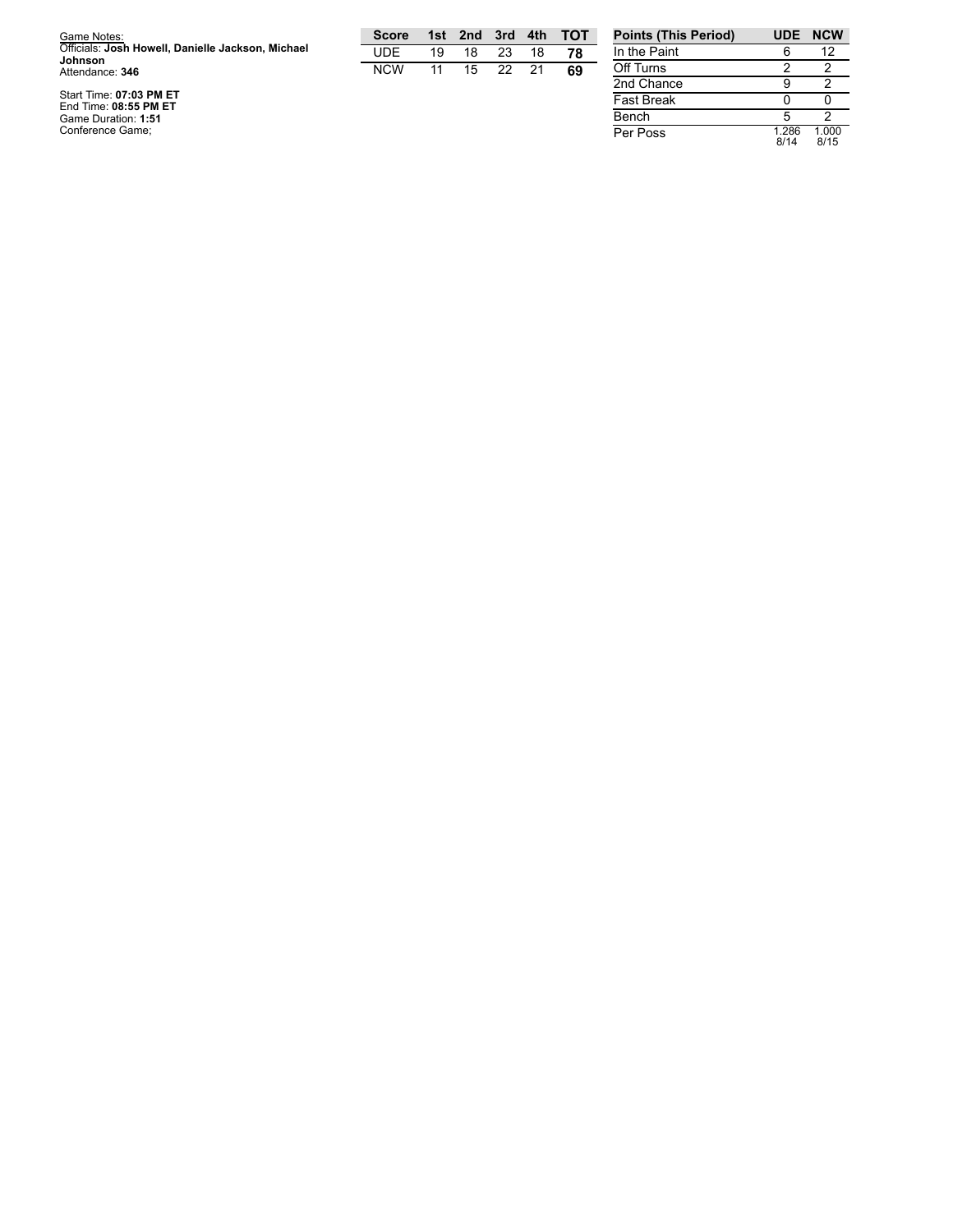| Game Notes:                                                  | <b>Score</b> | 1st l | 2nd | 3rd | 4th | <b>- тот</b> | <b>Points (This Period)</b> | <b>UDE</b>      | <b>NCW</b>                   |
|--------------------------------------------------------------|--------------|-------|-----|-----|-----|--------------|-----------------------------|-----------------|------------------------------|
| Officials: Josh Howell, Danielle Jackson, Michael<br>Johnson | <b>UDE</b>   | 19    | 18  | 23  | 18  | 78           | In the Paint                |                 | 12                           |
| Attendance: 346                                              | <b>NCW</b>   |       | 15  | 22  | 21  | 69           | Off Turns                   |                 |                              |
|                                                              |              |       |     |     |     |              | 2nd Chance                  |                 |                              |
| Start Time: 07:03 PM ET<br>End Time: 08:55 PM ET             |              |       |     |     |     |              | <b>Fast Break</b>           |                 |                              |
| Game Duration: 1:51                                          |              |       |     |     |     |              | Bench                       |                 |                              |
| Conference Game:                                             |              |       |     |     |     |              | Per Poss                    | l.286<br>$\sim$ | .000<br>$\sim$ $\sim$ $\sim$ |

0 0 5 2 1.2 8 6 8 / 1 4 1.0 0 0 8 / 1 5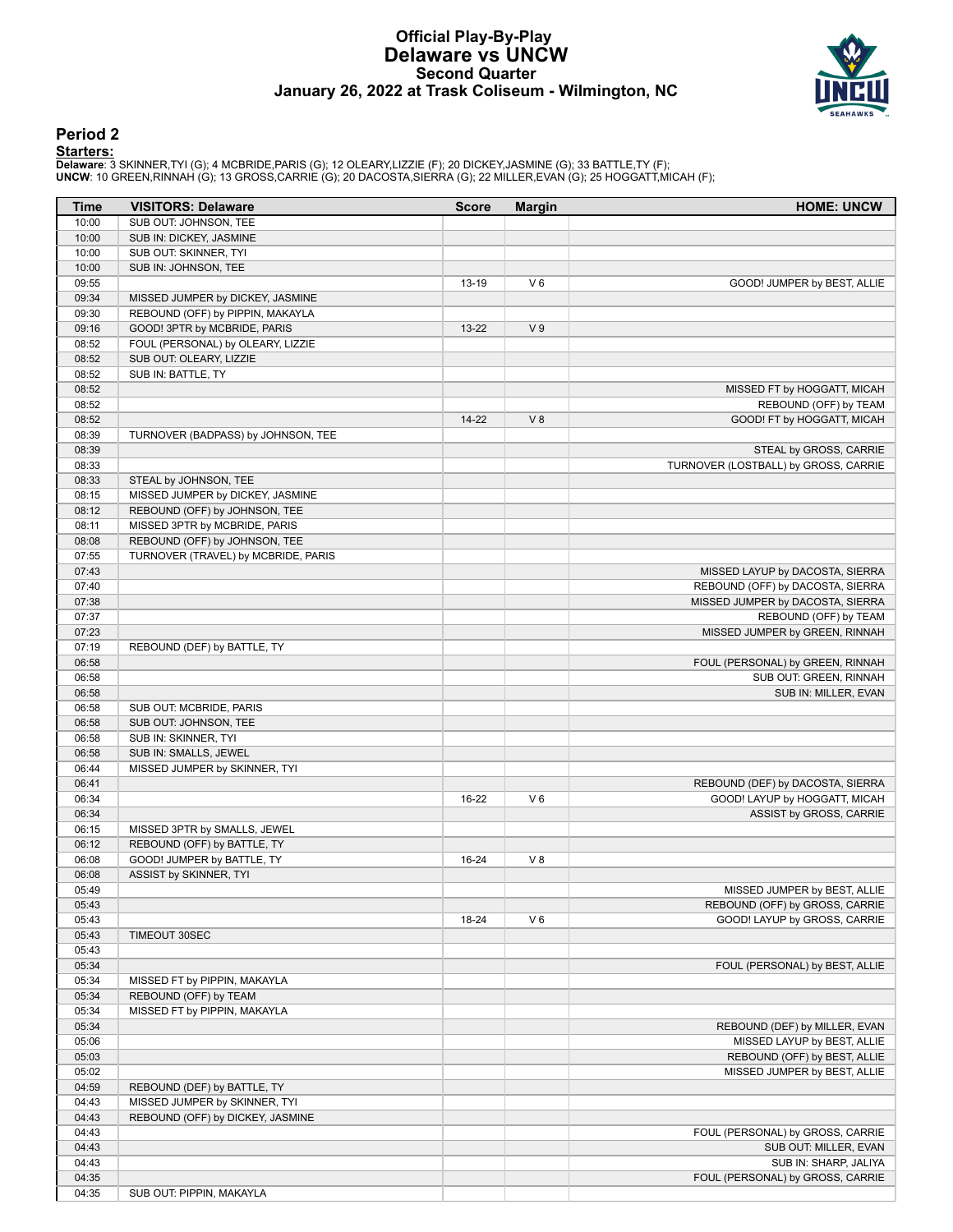### **Official Play-By-Play Delaware vs UNCW Second Quarter January 26, 2022 at Trask Coliseum - Wilmington, NC**



# **Period 2**

<mark>Starters :</mark><br>Delaware: 3 SKINNER,TYI (G); 4 MCBRIDE,PARIS (G); 12 OLEARY,LIZZIE (F); 20 DICKEY,JASMINE (G); 33 BATTLE,TY (F);<br>UNCW: 10 GREEN,RINNAH (G); 13 GROSS,CARRIE (G); 20 DACOSTA,SIERRA (G); 22 MILLER,EVAN (G); 25 HO

| Time  | <b>VISITORS: Delaware</b>           | <b>Score</b> | <b>Margin</b>  | <b>HOME: UNCW</b>                    |
|-------|-------------------------------------|--------------|----------------|--------------------------------------|
| 10:00 | SUB OUT: JOHNSON, TEE               |              |                |                                      |
| 10:00 | SUB IN: DICKEY, JASMINE             |              |                |                                      |
| 10:00 | SUB OUT: SKINNER, TYI               |              |                |                                      |
| 10:00 | SUB IN: JOHNSON, TEE                |              |                |                                      |
| 09:55 |                                     | 13-19        | $V_6$          | GOOD! JUMPER by BEST, ALLIE          |
| 09:34 | MISSED JUMPER by DICKEY, JASMINE    |              |                |                                      |
| 09:30 | REBOUND (OFF) by PIPPIN, MAKAYLA    |              |                |                                      |
| 09:16 | GOOD! 3PTR by MCBRIDE, PARIS        | 13-22        | V <sub>9</sub> |                                      |
| 08:52 | FOUL (PERSONAL) by OLEARY, LIZZIE   |              |                |                                      |
| 08:52 | SUB OUT: OLEARY, LIZZIE             |              |                |                                      |
| 08:52 | SUB IN: BATTLE, TY                  |              |                |                                      |
| 08:52 |                                     |              |                | MISSED FT by HOGGATT, MICAH          |
| 08:52 |                                     |              |                | REBOUND (OFF) by TEAM                |
| 08:52 |                                     | $14 - 22$    | V8             | GOOD! FT by HOGGATT, MICAH           |
| 08:39 | TURNOVER (BADPASS) by JOHNSON, TEE  |              |                |                                      |
| 08:39 |                                     |              |                | STEAL by GROSS, CARRIE               |
| 08:33 |                                     |              |                | TURNOVER (LOSTBALL) by GROSS, CARRIE |
|       |                                     |              |                |                                      |
| 08:33 | STEAL by JOHNSON, TEE               |              |                |                                      |
| 08:15 | MISSED JUMPER by DICKEY, JASMINE    |              |                |                                      |
| 08:12 | REBOUND (OFF) by JOHNSON, TEE       |              |                |                                      |
| 08:11 | MISSED 3PTR by MCBRIDE, PARIS       |              |                |                                      |
| 08:08 | REBOUND (OFF) by JOHNSON, TEE       |              |                |                                      |
| 07:55 | TURNOVER (TRAVEL) by MCBRIDE, PARIS |              |                |                                      |
| 07:43 |                                     |              |                | MISSED LAYUP by DACOSTA, SIERRA      |
| 07:40 |                                     |              |                | REBOUND (OFF) by DACOSTA, SIERRA     |
| 07:38 |                                     |              |                | MISSED JUMPER by DACOSTA, SIERRA     |
| 07:37 |                                     |              |                | REBOUND (OFF) by TEAM                |
| 07:23 |                                     |              |                | MISSED JUMPER by GREEN, RINNAH       |
| 07:19 | REBOUND (DEF) by BATTLE, TY         |              |                |                                      |
| 06:58 |                                     |              |                | FOUL (PERSONAL) by GREEN, RINNAH     |
| 06:58 |                                     |              |                | SUB OUT: GREEN, RINNAH               |
| 06:58 |                                     |              |                | SUB IN: MILLER, EVAN                 |
| 06:58 | SUB OUT: MCBRIDE, PARIS             |              |                |                                      |
| 06:58 | SUB OUT: JOHNSON, TEE               |              |                |                                      |
| 06:58 | SUB IN: SKINNER, TYI                |              |                |                                      |
| 06:58 | SUB IN: SMALLS, JEWEL               |              |                |                                      |
| 06:44 | MISSED JUMPER by SKINNER, TYI       |              |                |                                      |
| 06:41 |                                     |              |                | REBOUND (DEF) by DACOSTA, SIERRA     |
| 06:34 |                                     | 16-22        | $V_6$          | GOOD! LAYUP by HOGGATT, MICAH        |
|       |                                     |              |                |                                      |
| 06:34 |                                     |              |                | ASSIST by GROSS, CARRIE              |
| 06:15 | MISSED 3PTR by SMALLS, JEWEL        |              |                |                                      |
| 06:12 | REBOUND (OFF) by BATTLE, TY         |              |                |                                      |
| 06:08 | GOOD! JUMPER by BATTLE, TY          | 16-24        | V 8            |                                      |
| 06:08 | ASSIST by SKINNER, TYI              |              |                |                                      |
| 05:49 |                                     |              |                | MISSED JUMPER by BEST, ALLIE         |
| 05:43 |                                     |              |                | REBOUND (OFF) by GROSS, CARRIE       |
| 05:43 |                                     | 18-24        | $V_6$          | GOOD! LAYUP by GROSS, CARRIE         |
| 05:43 | TIMEOUT 30SEC                       |              |                |                                      |
| 05:43 |                                     |              |                |                                      |
| 05:34 |                                     |              |                | FOUL (PERSONAL) by BEST, ALLIE       |
| 05:34 | MISSED FT by PIPPIN, MAKAYLA        |              |                |                                      |
| 05:34 | REBOUND (OFF) by TEAM               |              |                |                                      |
| 05:34 | MISSED FT by PIPPIN, MAKAYLA        |              |                |                                      |
| 05:34 |                                     |              |                | REBOUND (DEF) by MILLER, EVAN        |
| 05:06 |                                     |              |                | MISSED LAYUP by BEST, ALLIE          |
| 05:03 |                                     |              |                | REBOUND (OFF) by BEST, ALLIE         |
| 05:02 |                                     |              |                | MISSED JUMPER by BEST, ALLIE         |
| 04:59 | REBOUND (DEF) by BATTLE, TY         |              |                |                                      |
|       |                                     |              |                |                                      |
| 04:43 | MISSED JUMPER by SKINNER, TYI       |              |                |                                      |
| 04:43 | REBOUND (OFF) by DICKEY, JASMINE    |              |                |                                      |
| 04:43 |                                     |              |                | FOUL (PERSONAL) by GROSS, CARRIE     |
| 04:43 |                                     |              |                | SUB OUT: MILLER, EVAN                |
| 04:43 |                                     |              |                | SUB IN: SHARP, JALIYA                |
| 04:35 |                                     |              |                | FOUL (PERSONAL) by GROSS, CARRIE     |
| 04:35 | SUB OUT: PIPPIN, MAKAYLA            |              |                |                                      |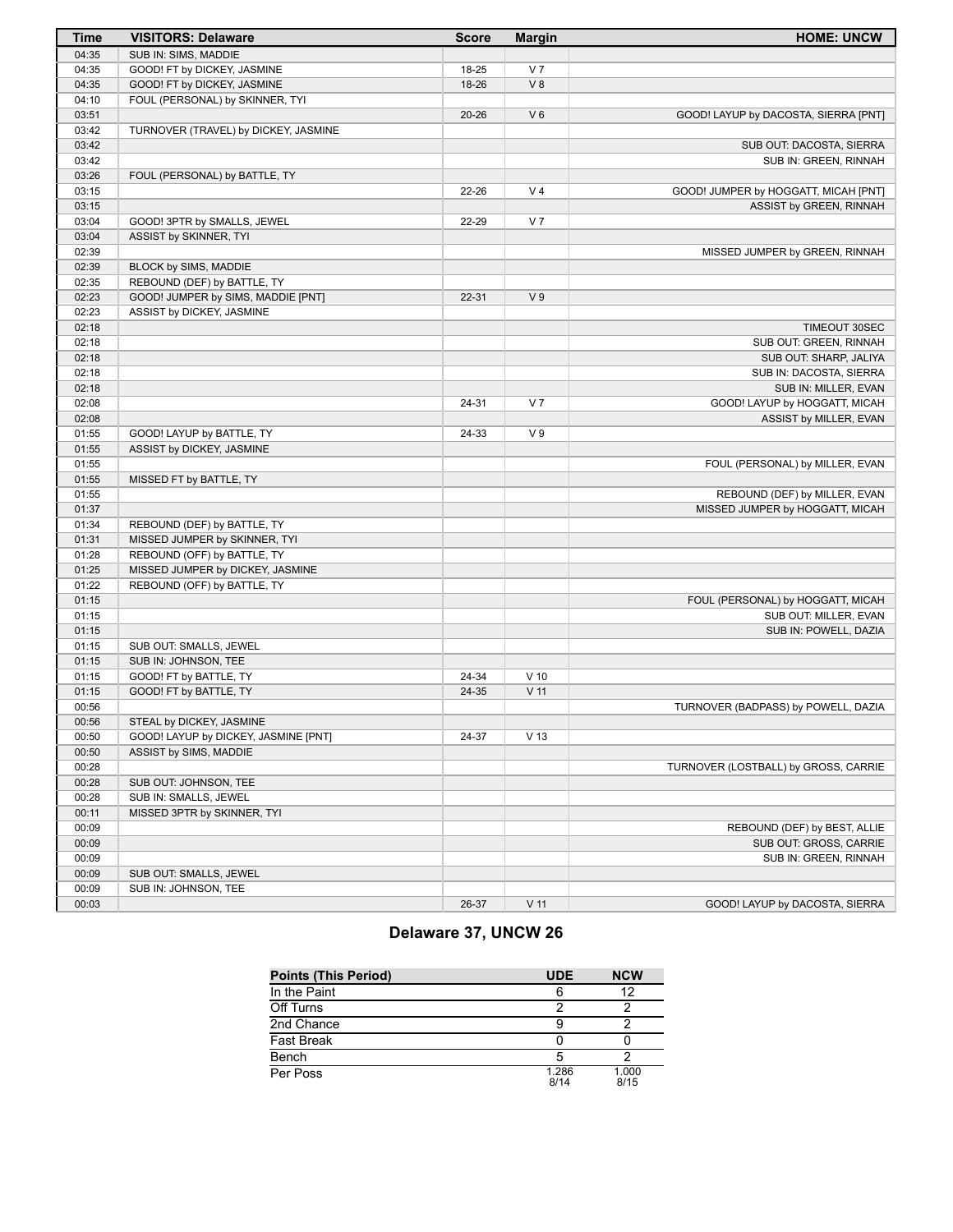| <b>Time</b>    | <b>VISITORS: Delaware</b>            | <b>Score</b> | <b>Margin</b>   | <b>HOME: UNCW</b>                                 |
|----------------|--------------------------------------|--------------|-----------------|---------------------------------------------------|
| 04:35          | SUB IN: SIMS, MADDIE                 |              |                 |                                                   |
| 04:35          | GOOD! FT by DICKEY, JASMINE          | 18-25        | V <sub>7</sub>  |                                                   |
| 04:35          | GOOD! FT by DICKEY, JASMINE          | 18-26        | V8              |                                                   |
| 04:10          | FOUL (PERSONAL) by SKINNER, TYI      |              |                 |                                                   |
| 03:51          |                                      | $20 - 26$    | $V_6$           | GOOD! LAYUP by DACOSTA, SIERRA [PNT]              |
| 03:42          | TURNOVER (TRAVEL) by DICKEY, JASMINE |              |                 |                                                   |
| 03:42          |                                      |              |                 | SUB OUT: DACOSTA, SIERRA                          |
| 03:42          |                                      |              |                 | SUB IN: GREEN, RINNAH                             |
| 03:26          | FOUL (PERSONAL) by BATTLE, TY        |              |                 |                                                   |
| 03:15          |                                      | 22-26        | V <sub>4</sub>  | GOOD! JUMPER by HOGGATT, MICAH [PNT]              |
| 03:15          |                                      |              |                 | ASSIST by GREEN, RINNAH                           |
| 03:04          | GOOD! 3PTR by SMALLS, JEWEL          | 22-29        | V <sub>7</sub>  |                                                   |
| 03:04          | ASSIST by SKINNER, TYI               |              |                 |                                                   |
| 02:39          |                                      |              |                 | MISSED JUMPER by GREEN, RINNAH                    |
| 02:39          | BLOCK by SIMS, MADDIE                |              |                 |                                                   |
| 02:35          | REBOUND (DEF) by BATTLE, TY          |              |                 |                                                   |
| 02:23          | GOOD! JUMPER by SIMS, MADDIE [PNT]   | $22 - 31$    | V <sub>9</sub>  |                                                   |
| 02:23          | ASSIST by DICKEY, JASMINE            |              |                 |                                                   |
| 02:18          |                                      |              |                 | TIMEOUT 30SEC                                     |
| 02:18          |                                      |              |                 | SUB OUT: GREEN, RINNAH                            |
| 02:18<br>02:18 |                                      |              |                 | SUB OUT: SHARP, JALIYA<br>SUB IN: DACOSTA, SIERRA |
| 02:18          |                                      |              |                 | SUB IN: MILLER, EVAN                              |
| 02:08          |                                      | 24-31        | V <sub>7</sub>  | GOOD! LAYUP by HOGGATT, MICAH                     |
| 02:08          |                                      |              |                 | ASSIST by MILLER, EVAN                            |
| 01:55          | GOOD! LAYUP by BATTLE, TY            | 24-33        | V <sub>9</sub>  |                                                   |
| 01:55          | ASSIST by DICKEY, JASMINE            |              |                 |                                                   |
| 01:55          |                                      |              |                 | FOUL (PERSONAL) by MILLER, EVAN                   |
| 01:55          | MISSED FT by BATTLE, TY              |              |                 |                                                   |
| 01:55          |                                      |              |                 | REBOUND (DEF) by MILLER, EVAN                     |
| 01:37          |                                      |              |                 | MISSED JUMPER by HOGGATT, MICAH                   |
| 01:34          | REBOUND (DEF) by BATTLE, TY          |              |                 |                                                   |
| 01:31          | MISSED JUMPER by SKINNER, TYI        |              |                 |                                                   |
| 01:28          | REBOUND (OFF) by BATTLE, TY          |              |                 |                                                   |
| 01:25          | MISSED JUMPER by DICKEY, JASMINE     |              |                 |                                                   |
| 01:22          | REBOUND (OFF) by BATTLE, TY          |              |                 |                                                   |
| 01:15          |                                      |              |                 | FOUL (PERSONAL) by HOGGATT, MICAH                 |
| 01:15          |                                      |              |                 | SUB OUT: MILLER, EVAN                             |
| 01:15          |                                      |              |                 | SUB IN: POWELL, DAZIA                             |
| 01:15          | SUB OUT: SMALLS, JEWEL               |              |                 |                                                   |
| 01:15          | SUB IN: JOHNSON, TEE                 |              |                 |                                                   |
| 01:15          | GOOD! FT by BATTLE, TY               | 24-34        | $V$ 10          |                                                   |
| 01:15          | GOOD! FT by BATTLE, TY               | 24-35        | $V$ 11          |                                                   |
| 00:56          |                                      |              |                 | TURNOVER (BADPASS) by POWELL, DAZIA               |
| 00:56          | STEAL by DICKEY, JASMINE             |              |                 |                                                   |
| 00:50          | GOOD! LAYUP by DICKEY, JASMINE [PNT] | 24-37        | V <sub>13</sub> |                                                   |
| 00:50          | ASSIST by SIMS, MADDIE               |              |                 |                                                   |
| 00:28          |                                      |              |                 | TURNOVER (LOSTBALL) by GROSS, CARRIE              |
| 00:28          | SUB OUT: JOHNSON, TEE                |              |                 |                                                   |
| 00:28          | SUB IN: SMALLS, JEWEL                |              |                 |                                                   |
| 00:11          | MISSED 3PTR by SKINNER, TYI          |              |                 |                                                   |
| 00:09          |                                      |              |                 | REBOUND (DEF) by BEST, ALLIE                      |
| 00:09          |                                      |              |                 | SUB OUT: GROSS, CARRIE                            |
| 00:09          |                                      |              |                 | SUB IN: GREEN, RINNAH                             |
| 00:09          | SUB OUT: SMALLS, JEWEL               |              |                 |                                                   |
| 00:09          | SUB IN: JOHNSON, TEE                 |              |                 |                                                   |
| 00:03          |                                      | 26-37        | $V$ 11          | GOOD! LAYUP by DACOSTA, SIERRA                    |

# **Delaware 37, UNCW 26**

| <b>Points (This Period)</b> | <b>UDE</b>    | <b>NCW</b>    |
|-----------------------------|---------------|---------------|
| In the Paint                |               | 12            |
| Off Turns                   |               |               |
| 2nd Chance                  |               |               |
| <b>Fast Break</b>           |               |               |
| Bench                       |               |               |
| Per Poss                    | 1.286<br>8/14 | 1.000<br>8/15 |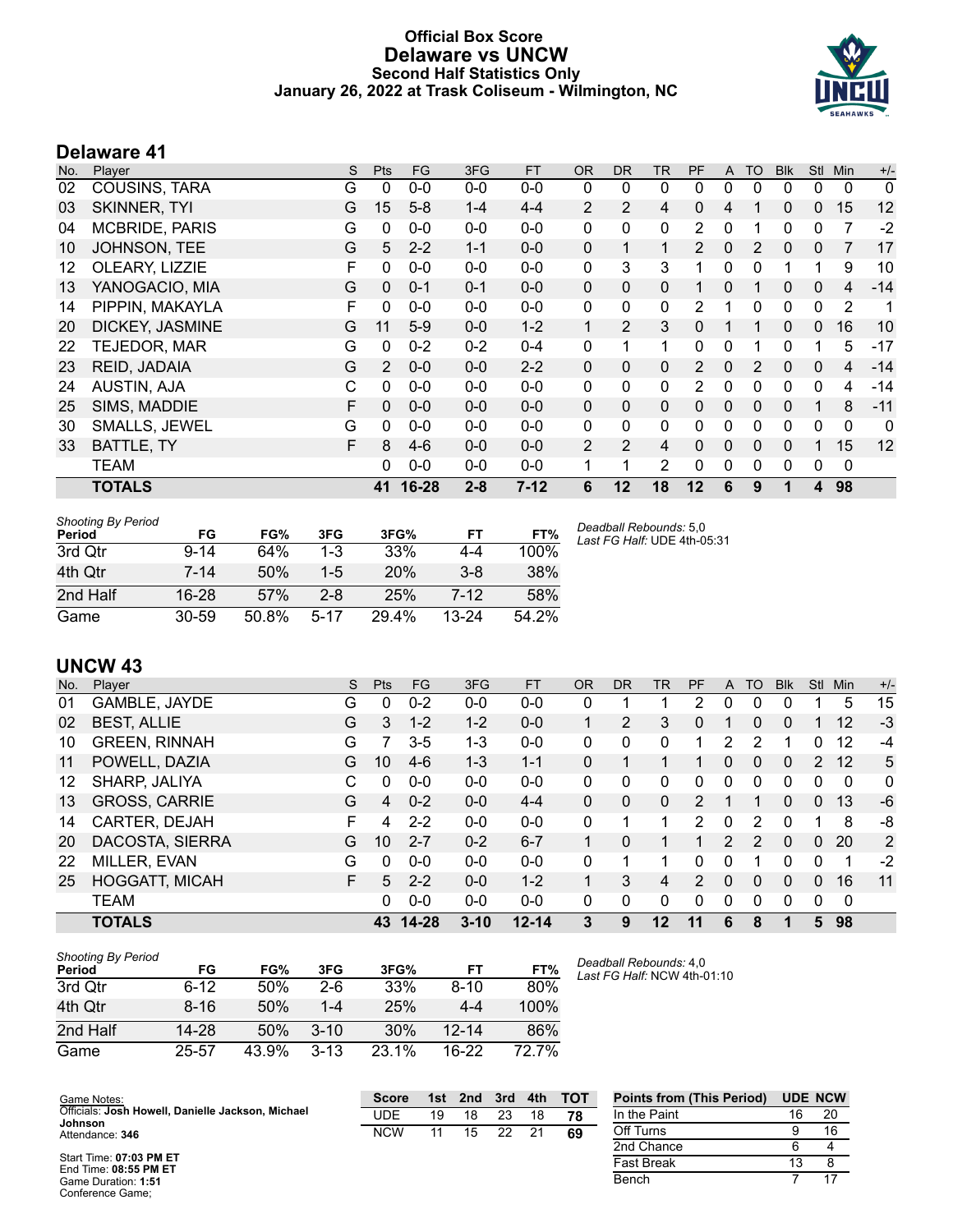# **Official Box Score Delaware vs UNCW Second Half Statistics Only January 26, 2022 at Trask Coliseum - Wilmington, NC**



# **Delaware 41**

| No. | Player                | S | Pts          | <b>FG</b> | 3FG     | <b>FT</b> | OR.          | <b>DR</b>    | TR             | PF             | A            | <b>TO</b> | <b>Blk</b> | Stl          | Min            | $+/-$ |
|-----|-----------------------|---|--------------|-----------|---------|-----------|--------------|--------------|----------------|----------------|--------------|-----------|------------|--------------|----------------|-------|
| 02  | COUSINS, TARA         | G | 0            | $0 - 0$   | $0-0$   | $0-0$     | 0            | 0            | 0              | 0              | 0            | 0         | 0          | 0            | 0              | 0     |
| 03  | <b>SKINNER, TYI</b>   | G | $15\,$       | $5 - 8$   | $1 - 4$ | $4 - 4$   | 2            | 2            | 4              | $\Omega$       | 4            |           | 0          | $\mathbf{0}$ | 15             | 12    |
| 04  | <b>MCBRIDE, PARIS</b> | G | 0            | $0 - 0$   | $0 - 0$ | $0 - 0$   | $\mathbf{0}$ | 0            | 0              | 2              | $\Omega$     |           | 0          | 0            | 7              | $-2$  |
| 10  | JOHNSON, TEE          | G | 5            | $2 - 2$   | $1 - 1$ | $0 - 0$   | $\mathbf{0}$ | $\mathbf 1$  | $\mathbf{1}$   | 2              | 0            | 2         | 0          | 0            | 7              | 17    |
| 12  | OLEARY, LIZZIE        | F | 0            | $0 - 0$   | $0-0$   | $0-0$     | 0            | 3            | 3              |                | $\Omega$     | 0         |            |              | 9              | 10    |
| 13  | YANOGACIO, MIA        | G | $\mathbf{0}$ | $0 - 1$   | $0 - 1$ | $0 - 0$   | $\mathbf{0}$ | $\mathbf{0}$ | 0              |                | 0            |           | 0          | 0            | 4              | $-14$ |
| 14  | PIPPIN, MAKAYLA       | F | $\mathbf 0$  | $0 - 0$   | $0 - 0$ | $0 - 0$   | $\mathbf{0}$ | $\mathbf{0}$ | $\mathbf{0}$   | 2              |              | 0         | 0          | $\mathbf{0}$ | $\overline{2}$ | 1     |
| 20  | DICKEY, JASMINE       | G | 11           | $5-9$     | $0 - 0$ | $1 - 2$   | 1            | 2            | 3              | $\Omega$       |              | 1         | $\Omega$   | 0            | 16             | 10    |
| 22  | TEJEDOR, MAR          | G | 0            | $0 - 2$   | $0 - 2$ | $0 - 4$   | $\mathbf{0}$ | 1            | $\mathbf 1$    | 0              | $\Omega$     |           | 0          |              | 5              | $-17$ |
| 23  | REID, JADAIA          | G | 2            | $0 - 0$   | $0 - 0$ | $2 - 2$   | $\mathbf{0}$ | $\Omega$     | 0              | $\overline{2}$ | $\Omega$     | 2         | $\Omega$   | $\Omega$     | 4              | $-14$ |
| 24  | AUSTIN, AJA           | С | $\Omega$     | $0 - 0$   | $0 - 0$ | $0 - 0$   | $\mathbf{0}$ | $\mathbf{0}$ | 0              | 2              | $\mathbf{0}$ | 0         | 0          | 0            | 4              | $-14$ |
| 25  | SIMS, MADDIE          | F | $\mathbf{0}$ | $0 - 0$   | $0 - 0$ | $0 - 0$   | $\mathbf{0}$ | $\mathbf{0}$ | 0              | $\mathbf{0}$   | 0            | $\Omega$  | 0          |              | 8              | $-11$ |
| 30  | SMALLS, JEWEL         | G | 0            | $0 - 0$   | $0 - 0$ | $0 - 0$   | 0            | 0            | $\mathbf{0}$   | 0              | $\Omega$     | 0         | 0          | $\Omega$     | 0              | 0     |
| 33  | <b>BATTLE, TY</b>     | F | 8            | $4-6$     | $0 - 0$ | $0 - 0$   | 2            | 2            | 4              | $\Omega$       | 0            | $\Omega$  | 0          |              | 15             | 12    |
|     | <b>TEAM</b>           |   | 0            | $0 - 0$   | $0 - 0$ | $0-0$     |              | 1            | $\overline{2}$ | 0              | $\mathbf{0}$ | 0         | 0          | $\mathbf{0}$ | $\mathbf{0}$   |       |
|     | <b>TOTALS</b>         |   | 41           | 16-28     | $2 - 8$ | $7 - 12$  | 6            | 12           | 18             | $12 \,$        | 6            | 9         |            | 4            | 98             |       |

| <b>Shooting By Period</b><br>Period | FG        | FG%   | 3FG      | 3FG%  | FT        | FT%   | Dea<br>Last |
|-------------------------------------|-----------|-------|----------|-------|-----------|-------|-------------|
| 3rd Otr                             | $9 - 14$  | 64%   | $1 - 3$  | 33%   | 4-4       | 100%  |             |
| 4th Qtr                             | $7 - 14$  | 50%   | $1 - 5$  | 20%   | $3 - 8$   | 38%   |             |
| 2nd Half                            | $16 - 28$ | 57%   | $2 - 8$  | 25%   | 7-12      | 58%   |             |
| Game                                | $30 - 59$ | 50.8% | $5 - 17$ | 29.4% | $13 - 24$ | 54.2% |             |

*Deadball Rebounds:* 5,0 *Last FG Half:* UDE 4th-05:31

# **UNCW 43**

| No. | Plaver                | S | Pts | <b>FG</b> | 3FG      | <b>FT</b> | <b>OR</b>    | DR           | TR | <b>PF</b>     | A        | TO            | <b>Blk</b> | Stl      | <b>Min</b> | $+/-$ |
|-----|-----------------------|---|-----|-----------|----------|-----------|--------------|--------------|----|---------------|----------|---------------|------------|----------|------------|-------|
| 01  | GAMBLE, JAYDE         | G | 0   | $0 - 2$   | $0 - 0$  | $0-0$     | 0            |              |    | 2             | 0        | 0             | 0          |          | 5          | 15    |
| 02  | <b>BEST, ALLIE</b>    | G | 3   | $1 - 2$   | $1 - 2$  | $0 - 0$   |              | 2            | 3  | 0             |          | 0             | 0          |          | 12         | $-3$  |
| 10  | <b>GREEN, RINNAH</b>  | G |     | $3-5$     | $1 - 3$  | $0 - 0$   | $\mathbf{0}$ | 0            | 0  |               | 2        | 2             |            | 0        | 12         | -4    |
| 11  | POWELL, DAZIA         | G | 10  | $4-6$     | $1 - 3$  | $1 - 1$   | 0            |              |    |               | 0        | 0             | 0          | 2        | 12         | 5     |
| 12  | SHARP, JALIYA         | C | U   | $0 - 0$   | $0 - 0$  | $0-0$     | 0            | 0            | 0  | 0             | 0        | 0             | 0          | 0        | 0          | 0     |
| 13  | <b>GROSS, CARRIE</b>  | G | 4   | $0 - 2$   | $0 - 0$  | $4 - 4$   | $\Omega$     | 0            | 0  | $\mathcal{P}$ |          |               | 0          | 0        | 13         | -6    |
| 14  | CARTER, DEJAH         | F | 4   | $2 - 2$   | $0 - 0$  | $0 - 0$   | $\Omega$     |              |    | 2             | 0        | 2             | 0          |          | 8          | -8    |
| 20  | DACOSTA, SIERRA       | G | 10  | $2 - 7$   | $0 - 2$  | $6 - 7$   | 1            | 0            | 1  |               | 2        | $\mathcal{P}$ | $\Omega$   | $\Omega$ | 20         | 2     |
| 22  | MILLER, EVAN          | G | 0   | $0 - 0$   | $0 - 0$  | $0 - 0$   | $\Omega$     | 1            | 1  | 0             | 0        |               | 0          | 0        | 1          | $-2$  |
| 25  | <b>HOGGATT, MICAH</b> | F | 5   | $2 - 2$   | $0 - 0$  | $1 - 2$   | 1            | 3            | 4  | $\mathcal{P}$ | $\Omega$ | 0             | 0          | $\Omega$ | 16         | 11    |
|     | <b>TEAM</b>           |   | 0   | $0 - 0$   | $0 - 0$  | $0 - 0$   | $\Omega$     | $\mathbf{0}$ | 0  | 0             | 0        | 0             | 0          | 0        | 0          |       |
|     | <b>TOTALS</b>         |   | 43  | $14 - 28$ | $3 - 10$ | $12 - 14$ | 3            | 9            | 12 | 11            | 6        | 8             |            | 5        | 98         |       |

| <b>Shooting By Period</b><br>Period | FG        | FG%   | 3FG      | 3FG%  | FТ        | FT%   |
|-------------------------------------|-----------|-------|----------|-------|-----------|-------|
| 3rd Qtr                             | $6-12$    | 50%   | 2-6      | 33%   | $8-10$    | 80%   |
| 4th Qtr                             | $8 - 16$  | 50%   | $1 - 4$  | 25%   | $4 - 4$   | 100%  |
| 2nd Half                            | 14-28     | 50%   | $3 - 10$ | 30%   | $12 - 14$ | 86%   |
| Game                                | $25 - 57$ | 43.9% | $3 - 13$ | 23.1% | $16-22$   | 72.7% |

*Deadball Rebounds:* 4,0 *Last FG Half:* NCW 4th-01:10

| Game Notes:                                                  | <b>Score</b> | 1st | 2nd | 3rd | 4th | тот | <b>Points from (This Period)</b> | <b>UDE NCW</b> |
|--------------------------------------------------------------|--------------|-----|-----|-----|-----|-----|----------------------------------|----------------|
| Officials: Josh Howell, Danielle Jackson, Michael<br>Johnson | UDE          | 19  | 18  | 23  | 18  | 78  | In the Paint                     | 20             |
| Attendance: 346                                              | <b>NCW</b>   | 11  | 15  | 22  |     | 69  | Off Turns                        |                |
|                                                              |              |     |     |     |     |     | 2nd Chance                       |                |
| Start Time: 07:03 PM ET<br>$End Timo: 09:55$ DM ET           |              |     |     |     |     |     | <b>Fast Break</b>                |                |

End Time: **08:55 PM ET** Game Duration: **1:51** Conference Game;

| In the Paint | 16  | 20 |
|--------------|-----|----|
| Off Turns    | я   | 16 |
| 2nd Chance   | 6   |    |
| Fast Break   | 1.3 |    |
| Bench        |     | 17 |
|              |     |    |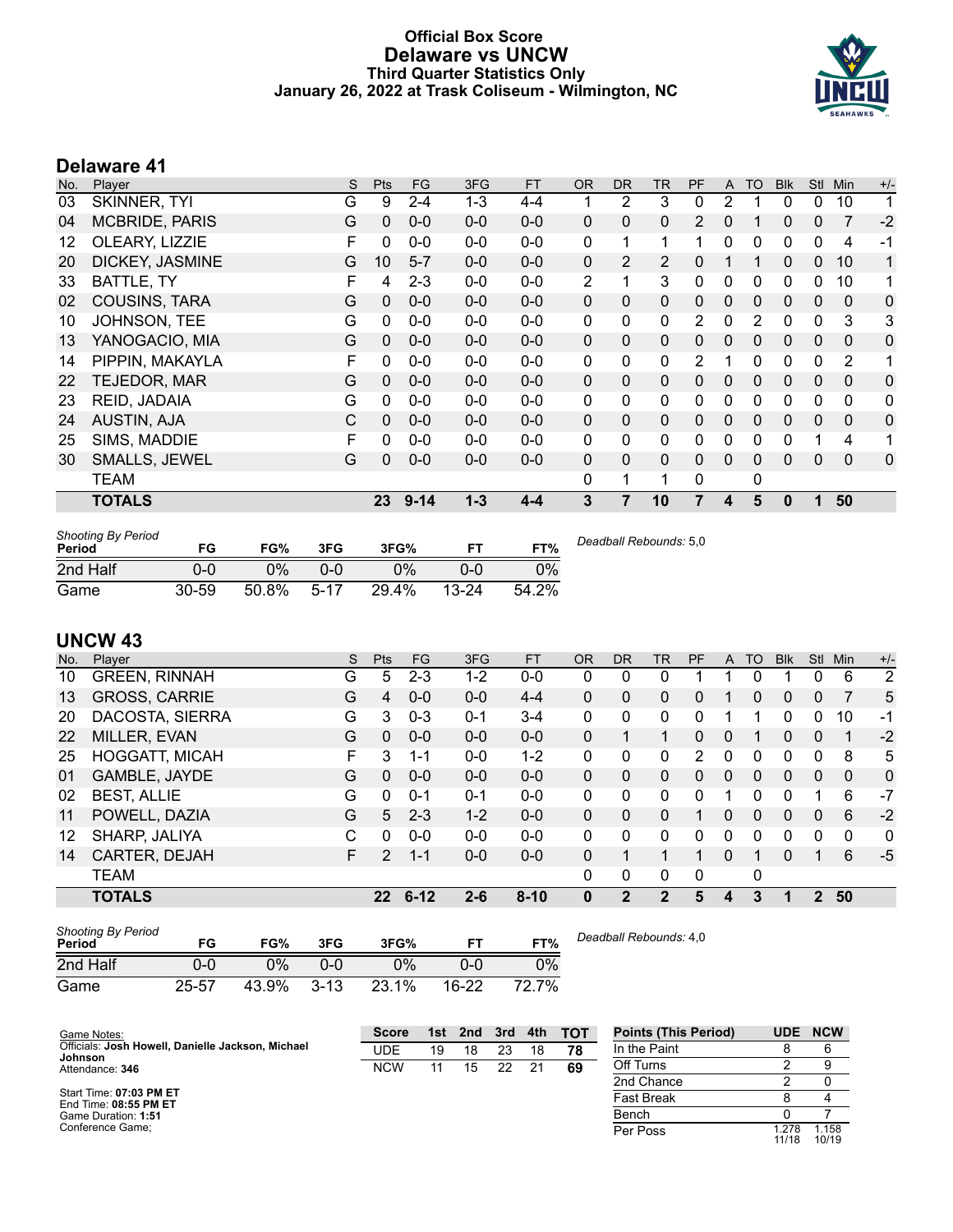### **Official Box Score Delaware vs UNCW Third Quarter Statistics Only January 26, 2022 at Trask Coliseum - Wilmington, NC**



# **Delaware 41**

| No. | Player                | S | <b>Pts</b>      | <b>FG</b> | 3FG     | <b>FT</b> | <b>OR</b>    | <b>DR</b>    | TR       | PF       | A            | <b>TO</b> | <b>Blk</b> | Stl          | Min          | $+/-$ |
|-----|-----------------------|---|-----------------|-----------|---------|-----------|--------------|--------------|----------|----------|--------------|-----------|------------|--------------|--------------|-------|
| 03  | SKINNER, TYI          | G | 9               | $2 - 4$   | $1 - 3$ | $4 - 4$   |              | 2            | 3        | 0        | 2            |           | 0          | 0            | 10           | 1     |
| 04  | <b>MCBRIDE, PARIS</b> | G | $\Omega$        | $0 - 0$   | $0 - 0$ | $0-0$     | $\mathbf{0}$ | $\mathbf{0}$ | 0        | 2        | $\mathbf{0}$ |           | 0          | $\mathbf{0}$ | 7            | $-2$  |
| 12  | OLEARY, LIZZIE        | F | 0               | $0 - 0$   | $0-0$   | $0-0$     | $\mathbf{0}$ | 1            | 1        | 1        | $\Omega$     | 0         | 0          | $\mathbf{0}$ | 4            | $-1$  |
| 20  | DICKEY, JASMINE       | G | 10 <sup>1</sup> | $5 - 7$   | $0 - 0$ | $0-0$     | 0            | 2            | 2        | 0        |              | 1         | 0          | $\mathbf{0}$ | 10           | 1     |
| 33  | BATTLE, TY            | F | 4               | $2 - 3$   | $0-0$   | $0-0$     | 2            |              | 3        | 0        | $\Omega$     | 0         | 0          | $\Omega$     | 10           | 1     |
| 02  | <b>COUSINS, TARA</b>  | G | $\Omega$        | $0 - 0$   | $0 - 0$ | $0-0$     | $\Omega$     | $\mathbf{0}$ | 0        | 0        | $\Omega$     | $\Omega$  | 0          | $\mathbf{0}$ | $\mathbf{0}$ | 0     |
| 10  | JOHNSON, TEE          | G | 0               | $0 - 0$   | $0 - 0$ | $0-0$     | 0            | $\mathbf{0}$ | 0        | 2        | $\mathbf{0}$ | 2         | 0          | $\mathbf{0}$ | 3            | 3     |
| 13  | YANOGACIO, MIA        | G | $\Omega$        | $0 - 0$   | $0 - 0$ | $0 - 0$   | $\mathbf{0}$ | $\mathbf{0}$ | 0        | 0        | $\Omega$     | $\Omega$  | $\Omega$   | $\mathbf{0}$ | $\Omega$     | 0     |
| 14  | PIPPIN, MAKAYLA       | F | 0               | $0 - 0$   | $0 - 0$ | $0 - 0$   | 0            | 0            | 0        | 2        |              | 0         | 0          | $\mathbf{0}$ | 2            | 1     |
| 22  | TEJEDOR, MAR          | G | 0               | $0-0$     | $0-0$   | $0-0$     | $\Omega$     | $\mathbf{0}$ | $\Omega$ | 0        | $\mathbf{0}$ | $\Omega$  | 0          | $\mathbf{0}$ | $\mathbf{0}$ | 0     |
| 23  | REID, JADAIA          | G | 0               | $0 - 0$   | $0-0$   | $0-0$     | 0            | $\mathbf{0}$ | 0        | 0        | $\Omega$     | 0         | 0          | 0            | 0            | 0     |
| 24  | <b>AUSTIN, AJA</b>    | C | $\Omega$        | $0 - 0$   | $0 - 0$ | $0 - 0$   | 0            | $\mathbf{0}$ | 0        | 0        | $\mathbf{0}$ | $\Omega$  | 0          | $\mathbf{0}$ | $\Omega$     | 0     |
| 25  | SIMS, MADDIE          | F | 0               | $0 - 0$   | $0 - 0$ | $0 - 0$   | $\Omega$     | $\Omega$     | 0        | 0        | $\Omega$     | 0         | 0          |              | 4            | 1     |
| 30  | <b>SMALLS, JEWEL</b>  | G | 0               | $0 - 0$   | $0-0$   | $0 - 0$   | $\Omega$     | $\Omega$     | $\Omega$ | $\Omega$ | $\Omega$     | $\Omega$  | 0          | $\Omega$     | $\Omega$     | 0     |
|     | <b>TEAM</b>           |   |                 |           |         |           | $\mathbf{0}$ | 1            | 1        | 0        |              | 0         |            |              |              |       |
|     | <b>TOTALS</b>         |   | 23 <sub>2</sub> | $9 - 14$  | $1 - 3$ | $4 - 4$   | 3            |              | 10       | 7        | 4            | 5         | 0          |              | 50           |       |

| <b>Shooting By Period</b><br>Period | FG    | FG%   | 3FG    | 3FG%  |           | FT%   | Deadball Rebounds: 5,0 |
|-------------------------------------|-------|-------|--------|-------|-----------|-------|------------------------|
| 2nd Half                            | 0-0   | ን%    | 0-0    | $0\%$ | 0-0       | 0%    |                        |
| Game                                | 30-59 | 50.8% | $5-17$ | 29.4% | $13 - 24$ | 54.2% |                        |

# **UNCW 43**

| No. | Plaver                | S  | Pts             | <b>FG</b> | 3FG     | <b>FT</b> | <b>OR</b> | <b>DR</b>    | <b>TR</b>    | PF | A        | <b>TO</b> | <b>Blk</b> | <b>Stl</b>   | Min | $+/-$       |
|-----|-----------------------|----|-----------------|-----------|---------|-----------|-----------|--------------|--------------|----|----------|-----------|------------|--------------|-----|-------------|
| 10  | <b>GREEN, RINNAH</b>  | G  | 5               | $2 - 3$   | $1 - 2$ | $0 - 0$   | 0         | 0            | 0            |    |          |           |            | 0            | 6   | 2           |
| 13  | <b>GROSS, CARRIE</b>  | G  | 4               | $0 - 0$   | $0 - 0$ | $4 - 4$   | 0         | 0            | 0            | 0  |          | 0         | 0          | $\mathbf{0}$ | 7   | 5           |
| 20  | DACOSTA, SIERRA       | G  | 3               | $0 - 3$   | $0 - 1$ | $3 - 4$   | 0         | 0            | $\mathbf{0}$ | 0  |          |           | 0          | 0            | 10  | -1          |
| 22  | MILLER, EVAN          | G  | $\Omega$        | $0 - 0$   | $0 - 0$ | $0 - 0$   | 0         |              | $\mathbf 1$  | 0  | 0        |           | 0          | $\mathbf{0}$ | 1   | $-2$        |
| 25  | <b>HOGGATT, MICAH</b> | F. | 3               | $1 - 1$   | $0 - 0$ | $1 - 2$   | 0         | 0            | $\mathbf{0}$ | 2  | 0        | 0         | 0          | 0            | 8   | 5           |
| 01  | GAMBLE, JAYDE         | G  | $\Omega$        | $0 - 0$   | $0 - 0$ | $0 - 0$   | $\Omega$  | 0            | 0            | 0  | $\Omega$ | $\Omega$  | $\Omega$   | $\Omega$     | 0   | $\mathbf 0$ |
| 02  | <b>BEST, ALLIE</b>    | G  | $\Omega$        | $0 - 1$   | $0 - 1$ | $0 - 0$   | 0         | 0            | $\mathbf{0}$ | 0  |          | 0         | 0          |              | 6   | $-7$        |
| 11  | POWELL, DAZIA         | G  | 5               | $2 - 3$   | $1 - 2$ | $0 - 0$   | $\Omega$  | 0            | $\Omega$     |    | 0        | $\Omega$  | 0          | 0            | 6   | $-2$        |
| 12  | SHARP, JALIYA         | С  | $\Omega$        | $0 - 0$   | $0 - 0$ | $0-0$     | 0         | 0            | $\mathbf{0}$ | 0  | 0        | $\Omega$  | 0          | $\Omega$     | 0   | 0           |
| 14  | CARTER, DEJAH         | F. | $\mathcal{P}$   | $1 - 1$   | $0 - 0$ | $0 - 0$   | $\Omega$  |              | $\mathbf{1}$ |    | 0        |           | $\Omega$   |              | 6   | $-5$        |
|     | <b>TEAM</b>           |    |                 |           |         |           | 0         | 0            | $\mathbf{0}$ | 0  |          | 0         |            |              |     |             |
|     | <b>TOTALS</b>         |    | 22 <sub>2</sub> | $6 - 12$  | $2 - 6$ | $8 - 10$  | 0         | $\mathbf{2}$ | 2            | 5  | 4        | 3         | 1          | $\mathbf{2}$ | 50  |             |
|     |                       |    |                 |           |         |           |           |              |              |    |          |           |            |              |     |             |

| <b>Shooting By Period</b><br>Period | FG        | FG%   | 3FG      | 3FG%  |           | FT%   |
|-------------------------------------|-----------|-------|----------|-------|-----------|-------|
| 2nd Half                            | 0-0       | 2%    | ი-ი      | $0\%$ | 0-0       | $0\%$ |
| Game                                | $25 - 57$ | 43.9% | $3 - 13$ | 23.1% | $16 - 22$ | 72.7% |

*Deadball Rebounds:* 4,0

| Game Notes:                                       | <b>Score</b> | 1st | 2nd | 3rd | 4th | <b>TOT</b> | <b>Points (This Period)</b> | <b>UDE</b>    | <b>NCW</b>     |
|---------------------------------------------------|--------------|-----|-----|-----|-----|------------|-----------------------------|---------------|----------------|
| Officials: Josh Howell, Danielle Jackson, Michael | UDE          | 19  | 18  | 23  | 18  | 78         | In the Paint                |               |                |
| Johnson<br>Attendance: 346                        | <b>NCW</b>   | 11  | 15  | 22  | 21  | 69         | Off Turns                   |               |                |
|                                                   |              |     |     |     |     |            | 2nd Chance                  |               |                |
| Start Time: 07:03 PM ET<br>End Time: 08:55 PM ET  |              |     |     |     |     |            | Fast Break                  |               |                |
| Game Duration: 1:51                               |              |     |     |     |     |            | Bench                       |               |                |
| Conference Game:                                  |              |     |     |     |     |            | Per Poss                    | .278<br>11/18 | 1.158<br>10/19 |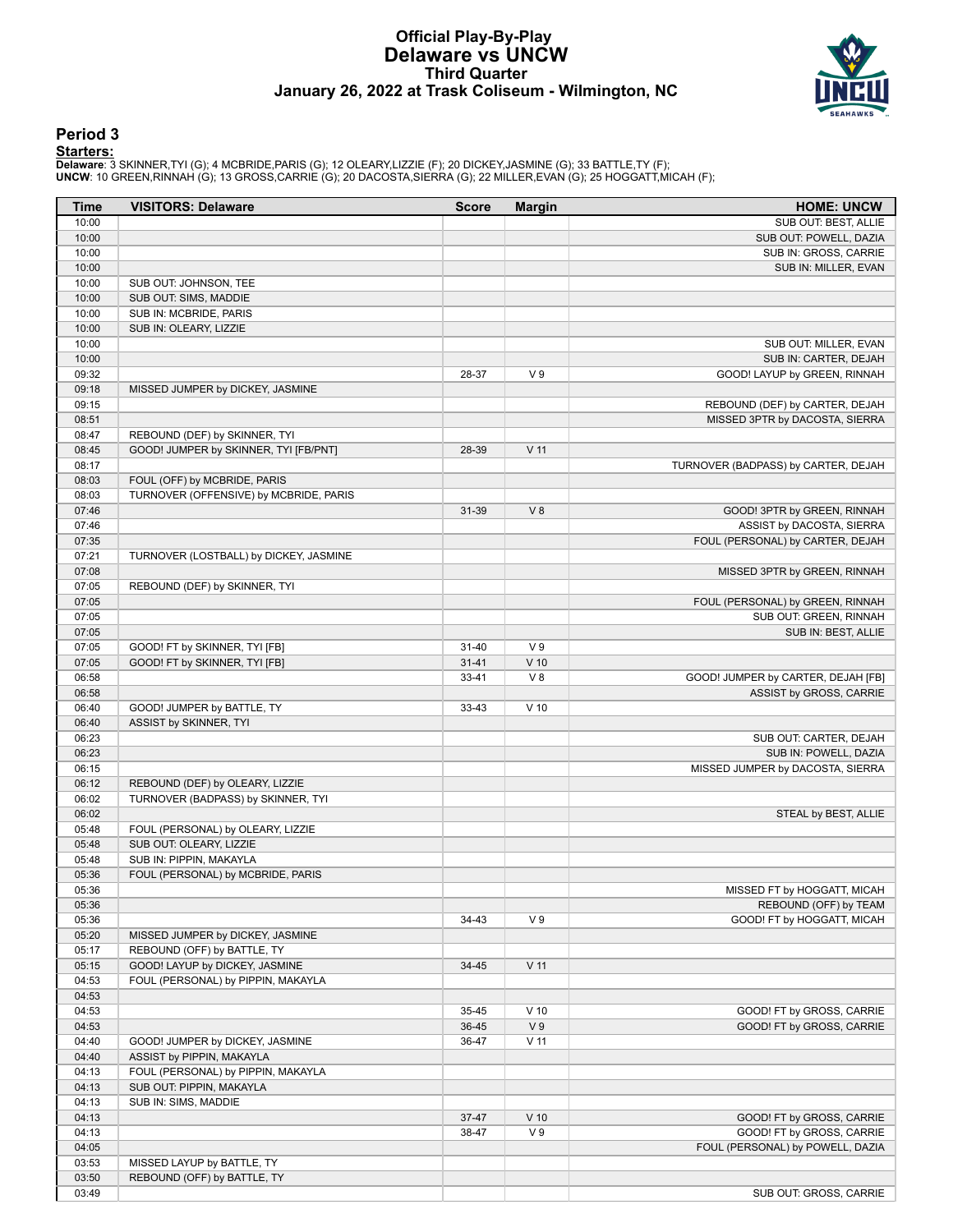### **Official Play-By-Play Delaware vs UNCW Third Quarter January 26, 2022 at Trask Coliseum - Wilmington, NC**



### **Period 3**

<mark>Starters :</mark><br>Delaware: 3 SKINNER,TYI (G); 4 MCBRIDE,PARIS (G); 12 OLEARY,LIZZIE (F); 20 DICKEY,JASMINE (G); 33 BATTLE,TY (F);<br>UNCW: 10 GREEN,RINNAH (G); 13 GROSS,CARRIE (G); 20 DACOSTA,SIERRA (G); 22 MILLER,EVAN (G); 25 HO

| <b>Time</b>    | <b>VISITORS: Delaware</b>                                             | <b>Score</b> | <b>Margin</b>   | <b>HOME: UNCW</b>                   |
|----------------|-----------------------------------------------------------------------|--------------|-----------------|-------------------------------------|
| 10:00          |                                                                       |              |                 | SUB OUT: BEST, ALLIE                |
| 10:00          |                                                                       |              |                 | SUB OUT: POWELL, DAZIA              |
| 10:00          |                                                                       |              |                 | SUB IN: GROSS, CARRIE               |
| 10:00          |                                                                       |              |                 | SUB IN: MILLER, EVAN                |
| 10:00          | SUB OUT: JOHNSON, TEE                                                 |              |                 |                                     |
| 10:00<br>10:00 | SUB OUT: SIMS, MADDIE<br>SUB IN: MCBRIDE, PARIS                       |              |                 |                                     |
| 10:00          | SUB IN: OLEARY, LIZZIE                                                |              |                 |                                     |
| 10:00          |                                                                       |              |                 | SUB OUT: MILLER, EVAN               |
| 10:00          |                                                                       |              |                 | SUB IN: CARTER, DEJAH               |
| 09:32          |                                                                       | 28-37        | V <sub>9</sub>  | GOOD! LAYUP by GREEN, RINNAH        |
| 09:18          | MISSED JUMPER by DICKEY, JASMINE                                      |              |                 |                                     |
| 09:15          |                                                                       |              |                 | REBOUND (DEF) by CARTER, DEJAH      |
| 08:51          |                                                                       |              |                 | MISSED 3PTR by DACOSTA, SIERRA      |
| 08:47          | REBOUND (DEF) by SKINNER, TYI                                         |              |                 |                                     |
| 08:45          | GOOD! JUMPER by SKINNER, TYI [FB/PNT]                                 | 28-39        | $V$ 11          |                                     |
| 08:17          |                                                                       |              |                 | TURNOVER (BADPASS) by CARTER, DEJAH |
| 08:03          | FOUL (OFF) by MCBRIDE, PARIS                                          |              |                 |                                     |
| 08:03          | TURNOVER (OFFENSIVE) by MCBRIDE, PARIS                                |              |                 |                                     |
| 07:46          |                                                                       | 31-39        | V8              | GOOD! 3PTR by GREEN, RINNAH         |
| 07:46          |                                                                       |              |                 | ASSIST by DACOSTA, SIERRA           |
| 07:35          |                                                                       |              |                 | FOUL (PERSONAL) by CARTER, DEJAH    |
| 07:21<br>07:08 | TURNOVER (LOSTBALL) by DICKEY, JASMINE                                |              |                 | MISSED 3PTR by GREEN, RINNAH        |
| 07:05          | REBOUND (DEF) by SKINNER, TYI                                         |              |                 |                                     |
| 07:05          |                                                                       |              |                 | FOUL (PERSONAL) by GREEN, RINNAH    |
| 07:05          |                                                                       |              |                 | SUB OUT: GREEN, RINNAH              |
| 07:05          |                                                                       |              |                 | SUB IN: BEST, ALLIE                 |
| 07:05          | GOOD! FT by SKINNER, TYI [FB]                                         | $31 - 40$    | V <sub>9</sub>  |                                     |
| 07:05          | GOOD! FT by SKINNER, TYI [FB]                                         | $31 - 41$    | $V$ 10          |                                     |
| 06:58          |                                                                       | 33-41        | V8              | GOOD! JUMPER by CARTER, DEJAH [FB]  |
| 06:58          |                                                                       |              |                 | ASSIST by GROSS, CARRIE             |
| 06:40          | GOOD! JUMPER by BATTLE, TY                                            | 33-43        | $V$ 10          |                                     |
| 06:40          | ASSIST by SKINNER, TYI                                                |              |                 |                                     |
| 06:23          |                                                                       |              |                 | SUB OUT: CARTER, DEJAH              |
| 06:23          |                                                                       |              |                 | SUB IN: POWELL, DAZIA               |
| 06:15          |                                                                       |              |                 | MISSED JUMPER by DACOSTA, SIERRA    |
| 06:12<br>06:02 | REBOUND (DEF) by OLEARY, LIZZIE<br>TURNOVER (BADPASS) by SKINNER, TYI |              |                 |                                     |
| 06:02          |                                                                       |              |                 | STEAL by BEST, ALLIE                |
| 05:48          | FOUL (PERSONAL) by OLEARY, LIZZIE                                     |              |                 |                                     |
| 05:48          | SUB OUT: OLEARY, LIZZIE                                               |              |                 |                                     |
| 05:48          | SUB IN: PIPPIN, MAKAYLA                                               |              |                 |                                     |
| 05:36          | FOUL (PERSONAL) by MCBRIDE, PARIS                                     |              |                 |                                     |
| 05:36          |                                                                       |              |                 | MISSED FT by HOGGATT, MICAH         |
| 05:36          |                                                                       |              |                 | REBOUND (OFF) by TEAM               |
| 05:36          |                                                                       | 34-43        | V <sub>9</sub>  | GOOD! FT by HOGGATT, MICAH          |
| 05:20          | MISSED JUMPER by DICKEY, JASMINE                                      |              |                 |                                     |
| 05:17          | REBOUND (OFF) by BATTLE, TY                                           |              |                 |                                     |
| 05:15          | GOOD! LAYUP by DICKEY, JASMINE                                        | $34 - 45$    | $V$ 11          |                                     |
| 04:53          | FOUL (PERSONAL) by PIPPIN, MAKAYLA                                    |              |                 |                                     |
| 04:53          |                                                                       |              |                 |                                     |
| 04:53          |                                                                       | 35-45        | $V$ 10          | GOOD! FT by GROSS, CARRIE           |
| 04:53          |                                                                       | 36-45        | V <sub>9</sub>  | GOOD! FT by GROSS, CARRIE           |
| 04:40<br>04:40 | GOOD! JUMPER by DICKEY, JASMINE<br>ASSIST by PIPPIN, MAKAYLA          | 36-47        | V <sub>11</sub> |                                     |
| 04:13          | FOUL (PERSONAL) by PIPPIN, MAKAYLA                                    |              |                 |                                     |
| 04:13          | SUB OUT: PIPPIN, MAKAYLA                                              |              |                 |                                     |
| 04:13          | SUB IN: SIMS, MADDIE                                                  |              |                 |                                     |
| 04:13          |                                                                       | 37-47        | $V$ 10          | GOOD! FT by GROSS, CARRIE           |
| 04:13          |                                                                       | 38-47        | V <sub>9</sub>  | GOOD! FT by GROSS, CARRIE           |
| 04:05          |                                                                       |              |                 | FOUL (PERSONAL) by POWELL, DAZIA    |
| 03:53          | MISSED LAYUP by BATTLE, TY                                            |              |                 |                                     |
| 03:50          | REBOUND (OFF) by BATTLE, TY                                           |              |                 |                                     |
| 03:49          |                                                                       |              |                 | SUB OUT: GROSS, CARRIE              |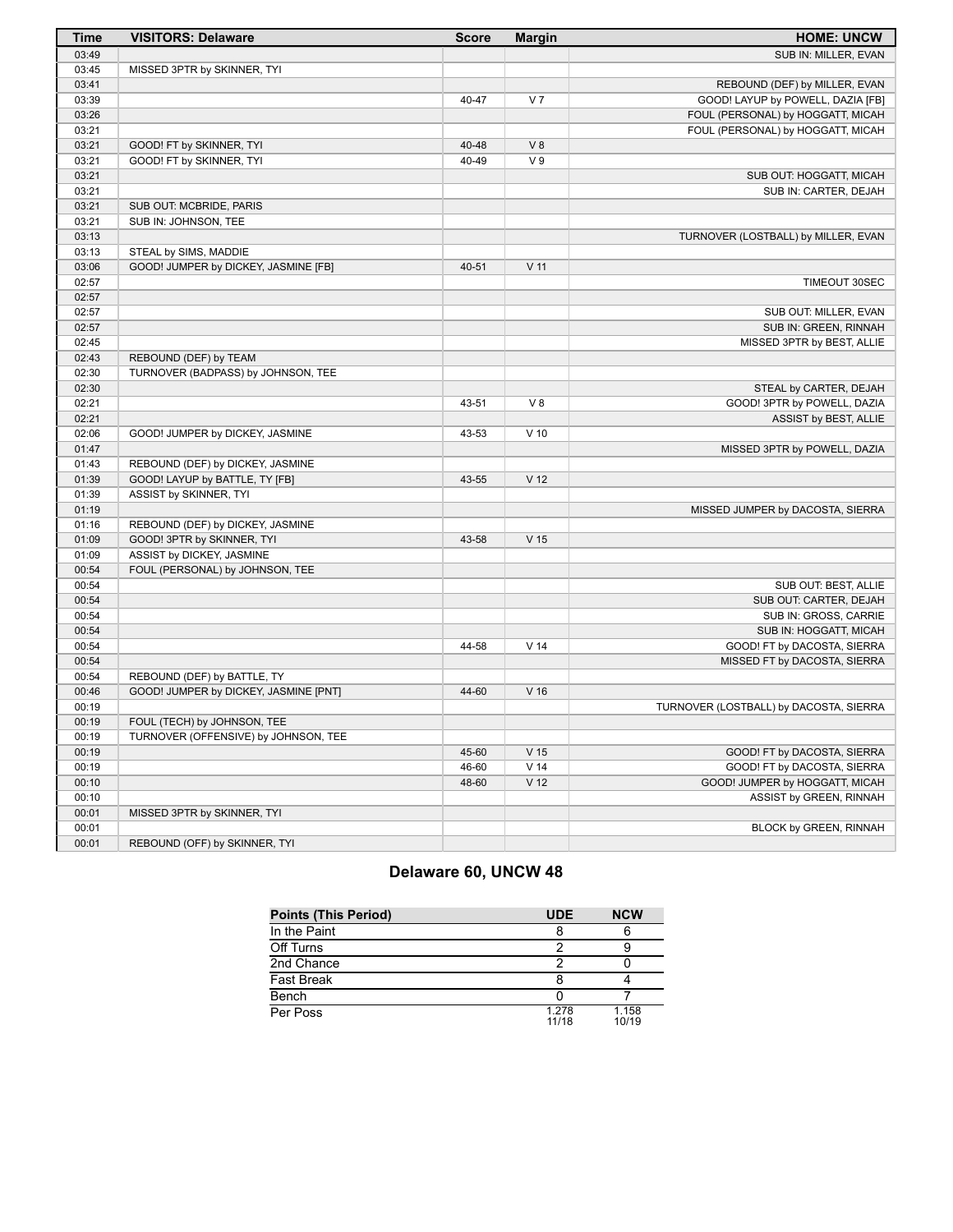| <b>Time</b> | <b>VISITORS: Delaware</b>             | <b>Score</b> | <b>Margin</b>   | <b>HOME: UNCW</b>                      |
|-------------|---------------------------------------|--------------|-----------------|----------------------------------------|
| 03:49       |                                       |              |                 | SUB IN: MILLER, EVAN                   |
| 03:45       | MISSED 3PTR by SKINNER, TYI           |              |                 |                                        |
| 03:41       |                                       |              |                 | REBOUND (DEF) by MILLER, EVAN          |
| 03:39       |                                       | 40-47        | V <sub>7</sub>  | GOOD! LAYUP by POWELL, DAZIA [FB]      |
| 03:26       |                                       |              |                 | FOUL (PERSONAL) by HOGGATT, MICAH      |
| 03:21       |                                       |              |                 | FOUL (PERSONAL) by HOGGATT, MICAH      |
| 03:21       | GOOD! FT by SKINNER, TYI              | 40-48        | V8              |                                        |
| 03:21       | GOOD! FT by SKINNER, TYI              | 40-49        | V <sub>9</sub>  |                                        |
| 03:21       |                                       |              |                 | SUB OUT: HOGGATT, MICAH                |
| 03:21       |                                       |              |                 | SUB IN: CARTER, DEJAH                  |
| 03:21       | SUB OUT: MCBRIDE, PARIS               |              |                 |                                        |
| 03:21       | SUB IN: JOHNSON, TEE                  |              |                 |                                        |
| 03:13       |                                       |              |                 | TURNOVER (LOSTBALL) by MILLER, EVAN    |
| 03:13       | STEAL by SIMS, MADDIE                 |              |                 |                                        |
| 03:06       | GOOD! JUMPER by DICKEY, JASMINE [FB]  | 40-51        | V <sub>11</sub> |                                        |
| 02:57       |                                       |              |                 | TIMEOUT 30SEC                          |
| 02:57       |                                       |              |                 |                                        |
| 02:57       |                                       |              |                 | SUB OUT: MILLER, EVAN                  |
| 02:57       |                                       |              |                 | SUB IN: GREEN, RINNAH                  |
| 02:45       |                                       |              |                 | MISSED 3PTR by BEST, ALLIE             |
| 02:43       | REBOUND (DEF) by TEAM                 |              |                 |                                        |
| 02:30       | TURNOVER (BADPASS) by JOHNSON, TEE    |              |                 |                                        |
| 02:30       |                                       |              |                 | STEAL by CARTER, DEJAH                 |
| 02:21       |                                       | 43-51        | V8              | GOOD! 3PTR by POWELL, DAZIA            |
| 02:21       |                                       |              |                 | ASSIST by BEST, ALLIE                  |
| 02:06       | GOOD! JUMPER by DICKEY, JASMINE       | 43-53        | $V$ 10          |                                        |
| 01:47       |                                       |              |                 | MISSED 3PTR by POWELL, DAZIA           |
| 01:43       | REBOUND (DEF) by DICKEY, JASMINE      |              |                 |                                        |
| 01:39       | GOOD! LAYUP by BATTLE, TY [FB]        | 43-55        | V <sub>12</sub> |                                        |
| 01:39       | ASSIST by SKINNER, TYI                |              |                 |                                        |
| 01:19       |                                       |              |                 | MISSED JUMPER by DACOSTA, SIERRA       |
| 01:16       | REBOUND (DEF) by DICKEY, JASMINE      |              |                 |                                        |
| 01:09       | GOOD! 3PTR by SKINNER, TYI            | 43-58        | V <sub>15</sub> |                                        |
| 01:09       | ASSIST by DICKEY, JASMINE             |              |                 |                                        |
| 00:54       | FOUL (PERSONAL) by JOHNSON, TEE       |              |                 |                                        |
| 00:54       |                                       |              |                 | SUB OUT: BEST, ALLIE                   |
| 00:54       |                                       |              |                 | SUB OUT: CARTER, DEJAH                 |
| 00:54       |                                       |              |                 | SUB IN: GROSS, CARRIE                  |
| 00:54       |                                       |              |                 | SUB IN: HOGGATT, MICAH                 |
| 00:54       |                                       | 44-58        | V <sub>14</sub> | GOOD! FT by DACOSTA, SIERRA            |
| 00:54       |                                       |              |                 | MISSED FT by DACOSTA, SIERRA           |
| 00:54       | REBOUND (DEF) by BATTLE, TY           |              |                 |                                        |
| 00:46       | GOOD! JUMPER by DICKEY, JASMINE [PNT] | 44-60        | V <sub>16</sub> |                                        |
| 00:19       |                                       |              |                 | TURNOVER (LOSTBALL) by DACOSTA, SIERRA |
| 00:19       | FOUL (TECH) by JOHNSON, TEE           |              |                 |                                        |
| 00:19       | TURNOVER (OFFENSIVE) by JOHNSON, TEE  |              |                 |                                        |
| 00:19       |                                       | 45-60        | V <sub>15</sub> | GOOD! FT by DACOSTA, SIERRA            |
| 00:19       |                                       | 46-60        | $V$ 14          | GOOD! FT by DACOSTA, SIERRA            |
| 00:10       |                                       | 48-60        | V <sub>12</sub> | GOOD! JUMPER by HOGGATT, MICAH         |
| 00:10       |                                       |              |                 | ASSIST by GREEN, RINNAH                |
| 00:01       | MISSED 3PTR by SKINNER, TYI           |              |                 |                                        |
| 00:01       |                                       |              |                 | BLOCK by GREEN, RINNAH                 |
| 00:01       | REBOUND (OFF) by SKINNER, TYI         |              |                 |                                        |

# **Delaware 60, UNCW 48**

| <b>Points (This Period)</b> | <b>UDE</b>     | <b>NCW</b>     |
|-----------------------------|----------------|----------------|
| In the Paint                |                |                |
| Off Turns                   |                |                |
| 2nd Chance                  |                |                |
| <b>Fast Break</b>           |                |                |
| Bench                       |                |                |
| Per Poss                    | 1.278<br>11/18 | 1.158<br>10/19 |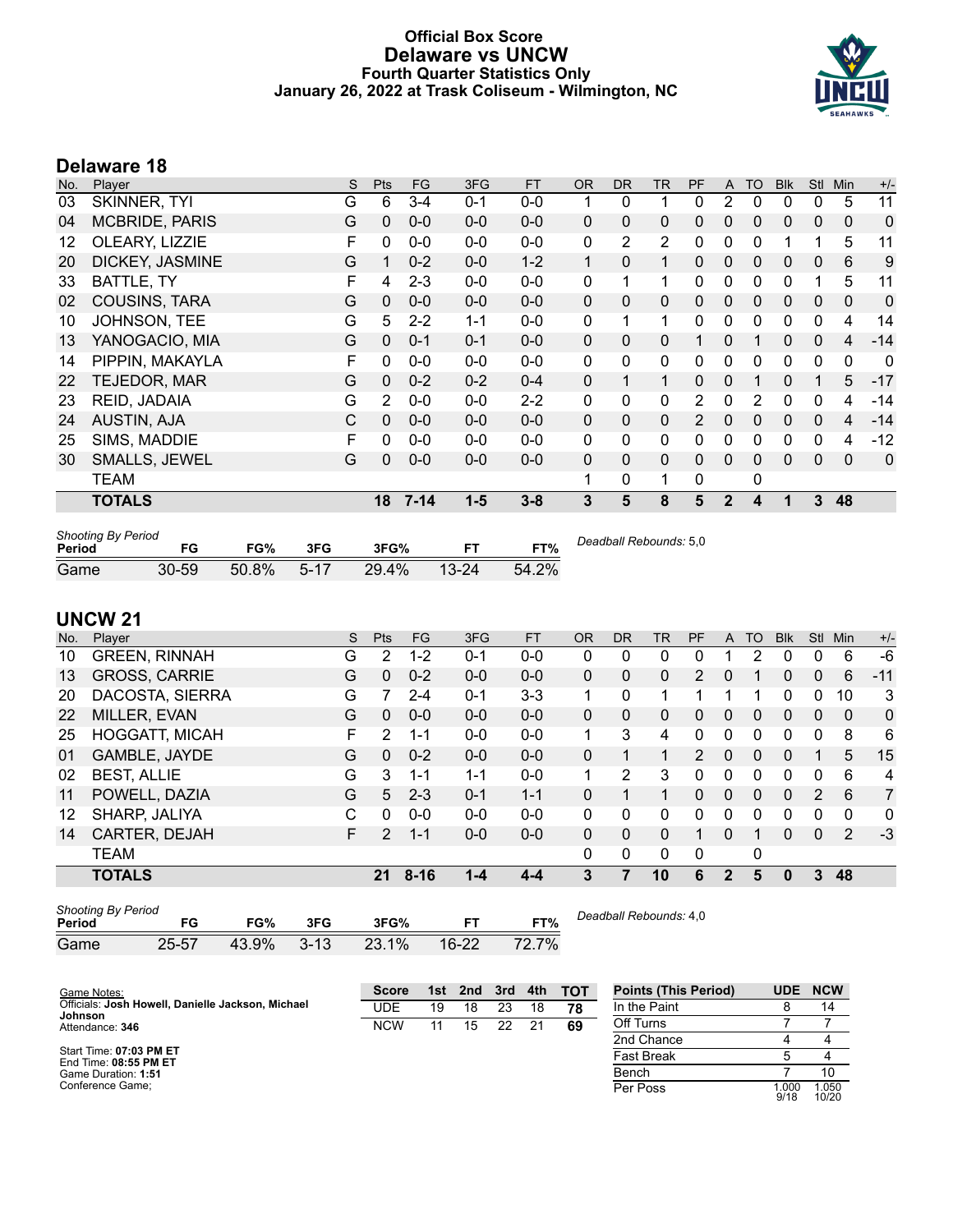# **Official Box Score Delaware vs UNCW Fourth Quarter Statistics Only January 26, 2022 at Trask Coliseum - Wilmington, NC**



# **Delaware 18**

| No. | Player                | S | <b>Pts</b>   | FG       | 3FG     | <b>FT</b> | <b>OR</b>    | <b>DR</b>      | TR             | PF           | A            | TO             | <b>Blk</b> | <b>Stl</b>   | Min         | $+/-$ |
|-----|-----------------------|---|--------------|----------|---------|-----------|--------------|----------------|----------------|--------------|--------------|----------------|------------|--------------|-------------|-------|
| 03  | SKINNER, TYI          | G | 6            | $3 - 4$  | $0 - 1$ | $0-0$     |              | 0              |                | 0            | 2            | 0              | 0          | 0            | 5           | 11    |
| 04  | <b>MCBRIDE, PARIS</b> | G | $\mathbf{0}$ | $0 - 0$  | $0-0$   | $0-0$     | $\mathbf{0}$ | $\mathbf{0}$   | 0              | $\mathbf{0}$ | $\mathbf{0}$ | $\mathbf{0}$   | 0          | $\mathbf{0}$ | $\mathbf 0$ | 0     |
| 12  | OLEARY, LIZZIE        | F | $\mathbf{0}$ | $0 - 0$  | $0 - 0$ | $0 - 0$   | 0            | $\overline{2}$ | $\overline{2}$ | 0            | $\mathbf{0}$ | 0              |            |              | 5           | 11    |
| 20  | DICKEY, JASMINE       | G | 1            | $0 - 2$  | $0 - 0$ | $1 - 2$   | 1            | $\mathbf{0}$   | $\mathbf{1}$   | $\Omega$     | 0            | $\Omega$       | 0          | 0            | 6           | 9     |
| 33  | BATTLE, TY            | F | 4            | $2 - 3$  | $0-0$   | $0-0$     | $\mathbf{0}$ | 1              | $\mathbf 1$    | $\mathbf{0}$ | $\mathbf{0}$ | 0              | 0          |              | 5           | 11    |
| 02  | <b>COUSINS, TARA</b>  | G | $\Omega$     | $0 - 0$  | $0 - 0$ | $0 - 0$   | $\mathbf{0}$ | $\mathbf{0}$   | 0              | $\Omega$     | $\mathbf{0}$ | $\Omega$       | 0          | 0            | $\mathbf 0$ | 0     |
| 10  | JOHNSON, TEE          | G | 5            | $2 - 2$  | $1 - 1$ | $0-0$     | $\mathbf{0}$ |                | $\mathbf{1}$   | 0            | $\mathbf{0}$ | 0              | 0          | 0            | 4           | 14    |
| 13  | YANOGACIO, MIA        | G | $\mathbf{0}$ | $0 - 1$  | $0 - 1$ | $0-0$     | $\mathbf{0}$ | $\mathbf{0}$   | $\Omega$       | 1            | 0            |                | 0          | $\mathbf{0}$ | 4           | $-14$ |
| 14  | PIPPIN, MAKAYLA       | F | $\Omega$     | $0 - 0$  | $0 - 0$ | $0 - 0$   | $\mathbf{0}$ | $\mathbf{0}$   | $\mathbf{0}$   | 0            | 0            | 0              | 0          | $\Omega$     | 0           | 0     |
| 22  | TEJEDOR, MAR          | G | $\mathbf{0}$ | $0 - 2$  | $0 - 2$ | $0 - 4$   | $\mathbf{0}$ | 1              | $\mathbf{1}$   | $\Omega$     | 0            |                | 0          |              | 5           | $-17$ |
| 23  | REID, JADAIA          | G | 2            | $0 - 0$  | $0 - 0$ | $2 - 2$   | $\mathbf{0}$ | $\mathbf{0}$   | $\mathbf{0}$   | 2            | $\Omega$     | $\overline{2}$ | 0          | $\mathbf{0}$ | 4           | $-14$ |
| 24  | <b>AUSTIN, AJA</b>    | C | $\mathbf{0}$ | $0 - 0$  | $0 - 0$ | $0 - 0$   | $\mathbf{0}$ | $\mathbf{0}$   | 0              | 2            | $\Omega$     | $\Omega$       | $\Omega$   | $\Omega$     | 4           | $-14$ |
| 25  | SIMS, MADDIE          | F | 0            | $0 - 0$  | $0 - 0$ | $0-0$     | $\mathbf{0}$ | 0              | 0              | 0            | $\mathbf{0}$ | 0              | 0          | 0            | 4           | $-12$ |
| 30  | <b>SMALLS, JEWEL</b>  | G | $\Omega$     | $0 - 0$  | $0-0$   | $0 - 0$   | $\mathbf{0}$ | $\Omega$       | $\Omega$       | $\Omega$     | $\Omega$     | $\mathbf{0}$   | $\Omega$   | $\mathbf{0}$ | $\Omega$    | 0     |
|     | <b>TEAM</b>           |   |              |          |         |           | 1            | 0              | 1              | 0            |              | 0              |            |              |             |       |
|     | <b>TOTALS</b>         |   | 18           | $7 - 14$ | $1 - 5$ | $3 - 8$   | 3            | 5              | 8              | 5            | $\mathbf{2}$ | 4              |            | 3            | 48          |       |
|     |                       |   |              |          |         |           |              |                |                |              |              |                |            |              |             |       |

| <b>Shooting By Period</b><br>Period | FG        | FG%      | 3FG  | 3FG%  | FT.       | FT%   | Deadball Rebounds: 5,0 |
|-------------------------------------|-----------|----------|------|-------|-----------|-------|------------------------|
| Game                                | $30 - 59$ | $50.8\%$ | 5-17 | 29.4% | $13 - 24$ | 54.2% |                        |

# **UNCW 21**

| No. | Player                | S | <b>Pts</b>    | FG.      | 3FG     | <b>FT</b> | OR                   | <b>DR</b>    | TR       | PF       | A | TO       | <b>Blk</b> | Stl | Min          | $+/-$          |
|-----|-----------------------|---|---------------|----------|---------|-----------|----------------------|--------------|----------|----------|---|----------|------------|-----|--------------|----------------|
| 10  | <b>GREEN, RINNAH</b>  | G | 2             | $1 - 2$  | 0-1     | $0 - 0$   | 0                    | 0            | 0        | 0        |   | 2        | 0          | 0   | 6            | $-6$           |
| 13  | <b>GROSS, CARRIE</b>  | G | $\Omega$      | $0 - 2$  | $0 - 0$ | $0 - 0$   | 0                    | 0            | 0        | 2        | 0 |          | 0          | 0   | 6            | $-11$          |
| 20  | DACOSTA, SIERRA       | G | 7             | $2 - 4$  | $0 - 1$ | $3 - 3$   | 1                    | $\mathbf{0}$ | 1        |          |   | 1        | 0          | 0   | 10           | 3              |
| 22  | MILLER, EVAN          | G | $\Omega$      | $0 - 0$  | $0 - 0$ | $0 - 0$   | 0                    | $\Omega$     | 0        | $\Omega$ | 0 | $\Omega$ | 0          | 0   | $\mathbf{0}$ | $\mathbf{0}$   |
| 25  | <b>HOGGATT, MICAH</b> | F | 2             | 1-1      | $0 - 0$ | $0-0$     |                      | 3            | 4        | $\Omega$ | 0 | 0        | 0          | 0   | 8            | 6              |
| 01  | GAMBLE, JAYDE         | G | $\Omega$      | $0 - 2$  | $0 - 0$ | $0 - 0$   | 0                    | 1            | 1        | 2        | 0 | 0        | 0          |     | 5            | 15             |
| 02  | <b>BEST, ALLIE</b>    | G | 3             | 1-1      | $1 - 1$ | $0 - 0$   | $\blacktriangleleft$ | 2            | 3        | 0        | 0 | 0        | 0          | 0   | 6            | 4              |
| 11  | POWELL, DAZIA         | G | 5             | $2 - 3$  | $0 - 1$ | $1 - 1$   | 0                    | 1            | 1        | 0        | 0 | 0        | $\Omega$   | 2   | 6            | $\overline{7}$ |
| 12  | SHARP, JALIYA         | C | 0             | $0 - 0$  | $0 - 0$ | $0 - 0$   | 0                    | $\Omega$     | $\Omega$ | 0        | 0 | 0        | 0          | 0   | $\Omega$     | 0              |
| 14  | CARTER, DEJAH         | F | $\mathcal{P}$ | $1 - 1$  | $0 - 0$ | $0 - 0$   | 0                    | $\mathbf{0}$ | 0        |          | 0 |          | 0          | 0   | 2            | $-3$           |
|     | <b>TEAM</b>           |   |               |          |         |           | 0                    | 0            | 0        | 0        |   | 0        |            |     |              |                |
|     | <b>TOTALS</b>         |   | 21            | $8 - 16$ | $1 - 4$ | 4-4       | 3                    |              | 10       | 6        | 2 | 5        | 0          | 3   | 48           |                |
|     |                       |   |               |          |         |           |                      |              |          |          |   |          |            |     |              |                |

| <b>Shooting By Period</b><br>Period | FG        | FG%   | 3FG      | 3FG%  |         | FT%   | Deadball Rebounds: 4,0 |
|-------------------------------------|-----------|-------|----------|-------|---------|-------|------------------------|
| Game                                | $25 - 57$ | 43.9% | $3 - 13$ | 23.1% | $16-22$ | 72.7% |                        |

| Game Notes:                                       | <b>Score</b> | 1st. | 2nd | 3rd | 4th | тот | <b>Points (This Period)</b> | UDE           | <b>NCW</b>     |
|---------------------------------------------------|--------------|------|-----|-----|-----|-----|-----------------------------|---------------|----------------|
| Officials: Josh Howell, Danielle Jackson, Michael | UDE          | 19   | 18  | 23  | 18  | 78  | In the Paint                |               | 14             |
| Johnson<br>Attendance: 346                        | <b>NCW</b>   | 11   | 15  | 22  |     | 69  | Off Turns                   |               |                |
|                                                   |              |      |     |     |     |     | 2nd Chance                  |               |                |
| Start Time: 07:03 PM ET<br>End Time: 08:55 PM ET  |              |      |     |     |     |     | <b>Fast Break</b>           |               |                |
| Game Duration: 1:51                               |              |      |     |     |     |     | Bench                       |               | 10             |
| Conference Game:                                  |              |      |     |     |     |     | Per Poss                    | 1.000<br>9/18 | 1.050<br>10/20 |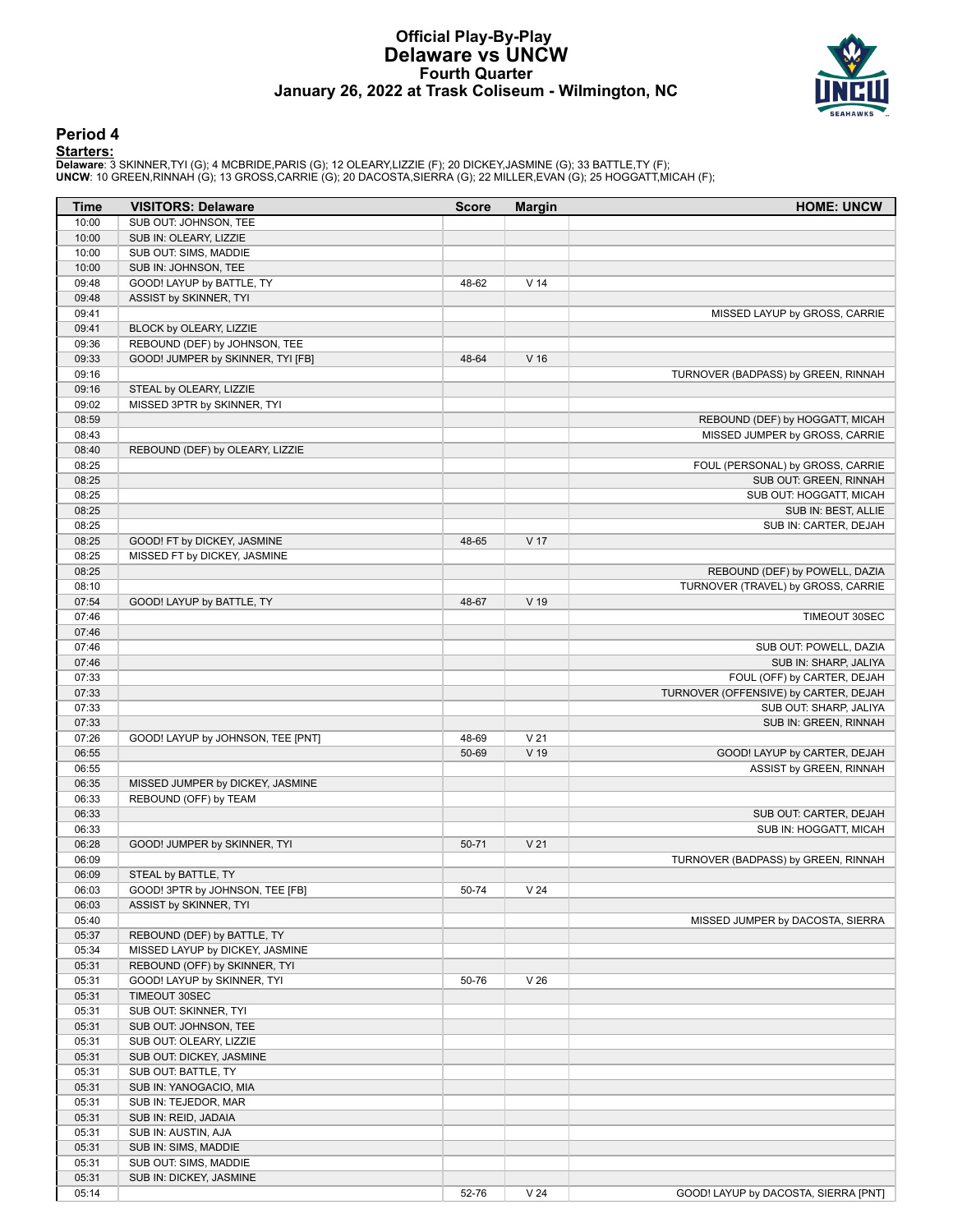### **Official Play-By-Play Delaware vs UNCW Fourth Quarter January 26, 2022 at Trask Coliseum - Wilmington, NC**



### **Period 4**

<mark>Starters :</mark><br>Delaware: 3 SKINNER,TYI (G); 4 MCBRIDE,PARIS (G); 12 OLEARY,LIZZIE (F); 20 DICKEY,JASMINE (G); 33 BATTLE,TY (F);<br>UNCW: 10 GREEN,RINNAH (G); 13 GROSS,CARRIE (G); 20 DACOSTA,SIERRA (G); 22 MILLER,EVAN (G); 25 HO

| <b>Time</b>    | <b>VISITORS: Delaware</b>         | <b>Score</b> | <b>Margin</b>   | <b>HOME: UNCW</b>                                                 |
|----------------|-----------------------------------|--------------|-----------------|-------------------------------------------------------------------|
| 10:00          | SUB OUT: JOHNSON, TEE             |              |                 |                                                                   |
| 10:00          | SUB IN: OLEARY, LIZZIE            |              |                 |                                                                   |
| 10:00          | SUB OUT: SIMS, MADDIE             |              |                 |                                                                   |
| 10:00          | SUB IN: JOHNSON, TEE              |              |                 |                                                                   |
| 09:48          | GOOD! LAYUP by BATTLE, TY         | 48-62        | V <sub>14</sub> |                                                                   |
| 09:48          | ASSIST by SKINNER, TYI            |              |                 |                                                                   |
| 09:41          |                                   |              |                 | MISSED LAYUP by GROSS, CARRIE                                     |
| 09:41          | BLOCK by OLEARY, LIZZIE           |              |                 |                                                                   |
| 09:36          | REBOUND (DEF) by JOHNSON, TEE     |              |                 |                                                                   |
| 09:33          | GOOD! JUMPER by SKINNER, TYI [FB] | 48-64        | V <sub>16</sub> |                                                                   |
| 09:16          |                                   |              |                 | TURNOVER (BADPASS) by GREEN, RINNAH                               |
| 09:16          | STEAL by OLEARY, LIZZIE           |              |                 |                                                                   |
| 09:02          | MISSED 3PTR by SKINNER, TYI       |              |                 |                                                                   |
| 08:59          |                                   |              |                 | REBOUND (DEF) by HOGGATT, MICAH<br>MISSED JUMPER by GROSS, CARRIE |
| 08:43<br>08:40 | REBOUND (DEF) by OLEARY, LIZZIE   |              |                 |                                                                   |
| 08:25          |                                   |              |                 | FOUL (PERSONAL) by GROSS, CARRIE                                  |
| 08:25          |                                   |              |                 | SUB OUT: GREEN, RINNAH                                            |
| 08:25          |                                   |              |                 | SUB OUT: HOGGATT, MICAH                                           |
| 08:25          |                                   |              |                 | SUB IN: BEST, ALLIE                                               |
| 08:25          |                                   |              |                 | SUB IN: CARTER, DEJAH                                             |
| 08:25          | GOOD! FT by DICKEY, JASMINE       | 48-65        | V 17            |                                                                   |
| 08:25          | MISSED FT by DICKEY, JASMINE      |              |                 |                                                                   |
| 08:25          |                                   |              |                 | REBOUND (DEF) by POWELL, DAZIA                                    |
| 08:10          |                                   |              |                 | TURNOVER (TRAVEL) by GROSS, CARRIE                                |
| 07:54          | GOOD! LAYUP by BATTLE, TY         | 48-67        | V 19            |                                                                   |
| 07:46          |                                   |              |                 | TIMEOUT 30SEC                                                     |
| 07:46          |                                   |              |                 |                                                                   |
| 07:46          |                                   |              |                 | SUB OUT: POWELL, DAZIA                                            |
| 07:46          |                                   |              |                 | SUB IN: SHARP, JALIYA                                             |
| 07:33          |                                   |              |                 | FOUL (OFF) by CARTER, DEJAH                                       |
| 07:33          |                                   |              |                 | TURNOVER (OFFENSIVE) by CARTER, DEJAH                             |
| 07:33          |                                   |              |                 | SUB OUT: SHARP, JALIYA                                            |
| 07:33          |                                   |              |                 | SUB IN: GREEN, RINNAH                                             |
| 07:26          | GOOD! LAYUP by JOHNSON, TEE [PNT] | 48-69        | V <sub>21</sub> |                                                                   |
| 06:55          |                                   | 50-69        | V 19            | GOOD! LAYUP by CARTER, DEJAH                                      |
| 06:55          |                                   |              |                 | ASSIST by GREEN, RINNAH                                           |
| 06:35          | MISSED JUMPER by DICKEY, JASMINE  |              |                 |                                                                   |
| 06:33          | REBOUND (OFF) by TEAM             |              |                 |                                                                   |
| 06:33          |                                   |              |                 | SUB OUT: CARTER, DEJAH                                            |
| 06:33          |                                   |              |                 | SUB IN: HOGGATT, MICAH                                            |
| 06:28          | GOOD! JUMPER by SKINNER, TYI      | 50-71        | V <sub>21</sub> |                                                                   |
| 06:09          |                                   |              |                 | TURNOVER (BADPASS) by GREEN, RINNAH                               |
| 06:09          | STEAL by BATTLE, TY               |              |                 |                                                                   |
| 06:03          | GOOD! 3PTR by JOHNSON, TEE [FB]   | 50-74        | V <sub>24</sub> |                                                                   |
| 06:03<br>05:40 | ASSIST by SKINNER, TYI            |              |                 | MISSED JUMPER by DACOSTA, SIERRA                                  |
| 05:37          | REBOUND (DEF) by BATTLE, TY       |              |                 |                                                                   |
| 05:34          | MISSED LAYUP by DICKEY, JASMINE   |              |                 |                                                                   |
| 05:31          | REBOUND (OFF) by SKINNER, TYI     |              |                 |                                                                   |
| 05:31          | GOOD! LAYUP by SKINNER, TYI       | 50-76        | V <sub>26</sub> |                                                                   |
| 05:31          | TIMEOUT 30SEC                     |              |                 |                                                                   |
| 05:31          | SUB OUT: SKINNER, TYI             |              |                 |                                                                   |
| 05:31          | SUB OUT: JOHNSON, TEE             |              |                 |                                                                   |
| 05:31          | SUB OUT: OLEARY, LIZZIE           |              |                 |                                                                   |
| 05:31          | SUB OUT: DICKEY, JASMINE          |              |                 |                                                                   |
| 05:31          | SUB OUT: BATTLE, TY               |              |                 |                                                                   |
| 05:31          | SUB IN: YANOGACIO, MIA            |              |                 |                                                                   |
| 05:31          | SUB IN: TEJEDOR, MAR              |              |                 |                                                                   |
| 05:31          | SUB IN: REID, JADAIA              |              |                 |                                                                   |
| 05:31          | SUB IN: AUSTIN, AJA               |              |                 |                                                                   |
| 05:31          | SUB IN: SIMS, MADDIE              |              |                 |                                                                   |
| 05:31          | SUB OUT: SIMS, MADDIE             |              |                 |                                                                   |
| 05:31          | SUB IN: DICKEY, JASMINE           |              |                 |                                                                   |
| 05:14          |                                   | 52-76        | V <sub>24</sub> | GOOD! LAYUP by DACOSTA, SIERRA [PNT]                              |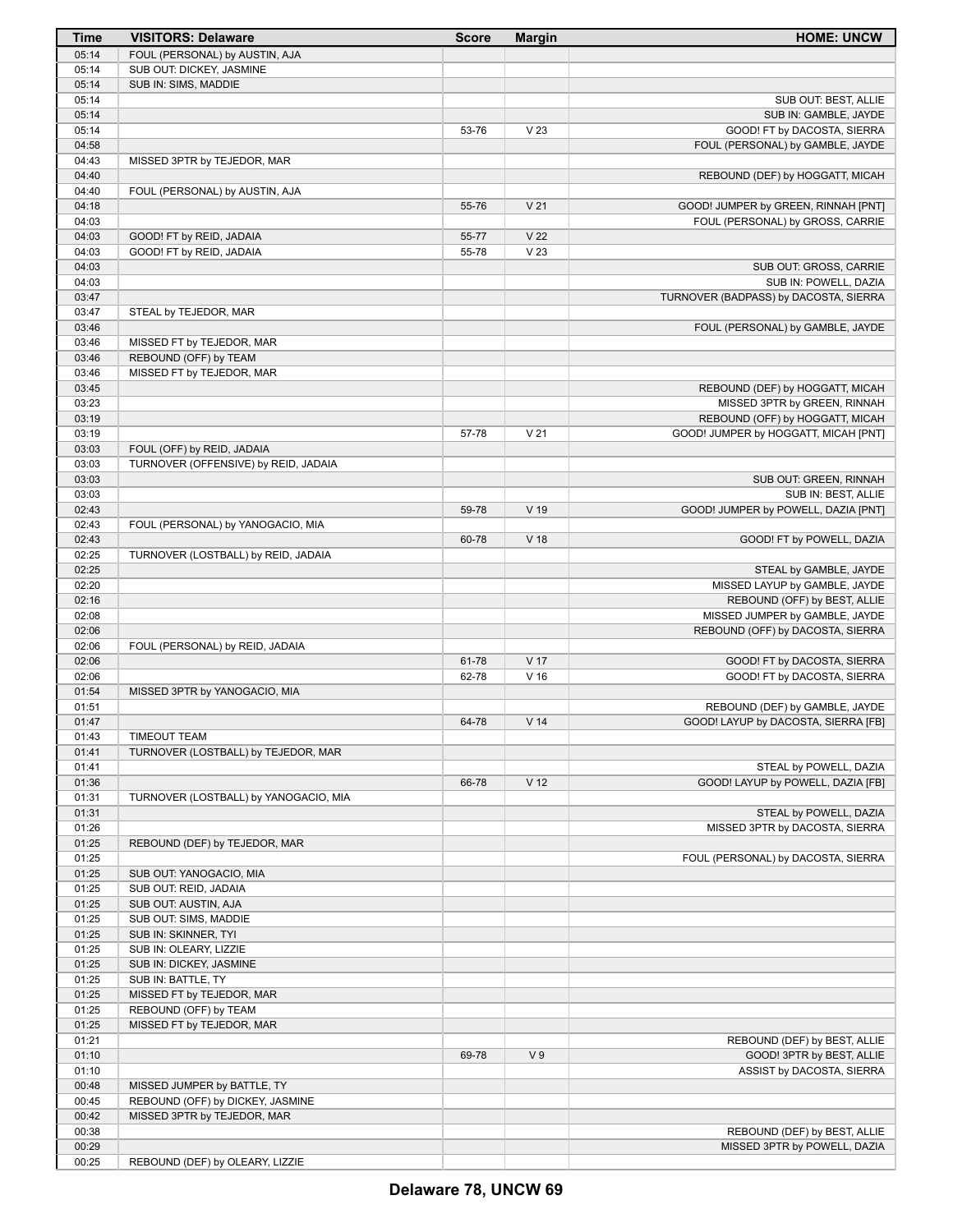| Time           | <b>VISITORS: Delaware</b>                        | <b>Score</b> | <b>Margin</b>   | <b>HOME: UNCW</b>                     |
|----------------|--------------------------------------------------|--------------|-----------------|---------------------------------------|
| 05:14          | FOUL (PERSONAL) by AUSTIN, AJA                   |              |                 |                                       |
| 05:14          | SUB OUT: DICKEY, JASMINE                         |              |                 |                                       |
| 05:14          | SUB IN: SIMS, MADDIE                             |              |                 |                                       |
| 05:14          |                                                  |              |                 | SUB OUT: BEST, ALLIE                  |
| 05:14          |                                                  |              |                 | SUB IN: GAMBLE, JAYDE                 |
| 05:14          |                                                  | 53-76        | V <sub>23</sub> | GOOD! FT by DACOSTA, SIERRA           |
| 04:58          |                                                  |              |                 | FOUL (PERSONAL) by GAMBLE, JAYDE      |
| 04:43          | MISSED 3PTR by TEJEDOR, MAR                      |              |                 |                                       |
| 04:40          |                                                  |              |                 | REBOUND (DEF) by HOGGATT, MICAH       |
| 04:40          | FOUL (PERSONAL) by AUSTIN, AJA                   |              |                 |                                       |
| 04:18          |                                                  | 55-76        | V <sub>21</sub> | GOOD! JUMPER by GREEN, RINNAH [PNT]   |
| 04:03          |                                                  |              |                 | FOUL (PERSONAL) by GROSS, CARRIE      |
| 04:03          | GOOD! FT by REID, JADAIA                         | 55-77        | V <sub>22</sub> |                                       |
| 04:03          | GOOD! FT by REID, JADAIA                         | 55-78        | V <sub>23</sub> |                                       |
| 04:03          |                                                  |              |                 | SUB OUT: GROSS, CARRIE                |
| 04:03<br>03:47 |                                                  |              |                 | SUB IN: POWELL, DAZIA                 |
| 03:47          | STEAL by TEJEDOR, MAR                            |              |                 | TURNOVER (BADPASS) by DACOSTA, SIERRA |
| 03:46          |                                                  |              |                 | FOUL (PERSONAL) by GAMBLE, JAYDE      |
| 03:46          | MISSED FT by TEJEDOR, MAR                        |              |                 |                                       |
| 03:46          | REBOUND (OFF) by TEAM                            |              |                 |                                       |
| 03:46          | MISSED FT by TEJEDOR, MAR                        |              |                 |                                       |
| 03:45          |                                                  |              |                 | REBOUND (DEF) by HOGGATT, MICAH       |
| 03:23          |                                                  |              |                 | MISSED 3PTR by GREEN, RINNAH          |
| 03:19          |                                                  |              |                 | REBOUND (OFF) by HOGGATT, MICAH       |
| 03:19          |                                                  | 57-78        | V <sub>21</sub> | GOOD! JUMPER by HOGGATT, MICAH [PNT]  |
| 03:03          | FOUL (OFF) by REID, JADAIA                       |              |                 |                                       |
| 03:03          | TURNOVER (OFFENSIVE) by REID, JADAIA             |              |                 |                                       |
| 03:03          |                                                  |              |                 | SUB OUT: GREEN, RINNAH                |
| 03:03          |                                                  |              |                 | SUB IN: BEST, ALLIE                   |
| 02:43          |                                                  | 59-78        | V <sub>19</sub> | GOOD! JUMPER by POWELL, DAZIA [PNT]   |
| 02:43          | FOUL (PERSONAL) by YANOGACIO, MIA                |              |                 |                                       |
| 02:43          |                                                  | 60-78        | V <sub>18</sub> | GOOD! FT by POWELL, DAZIA             |
| 02:25          | TURNOVER (LOSTBALL) by REID, JADAIA              |              |                 |                                       |
| 02:25          |                                                  |              |                 | STEAL by GAMBLE, JAYDE                |
| 02:20          |                                                  |              |                 | MISSED LAYUP by GAMBLE, JAYDE         |
| 02:16          |                                                  |              |                 | REBOUND (OFF) by BEST, ALLIE          |
| 02:08          |                                                  |              |                 | MISSED JUMPER by GAMBLE, JAYDE        |
| 02:06          |                                                  |              |                 | REBOUND (OFF) by DACOSTA, SIERRA      |
| 02:06          | FOUL (PERSONAL) by REID, JADAIA                  |              |                 |                                       |
| 02:06          |                                                  | 61-78        | V <sub>17</sub> | GOOD! FT by DACOSTA, SIERRA           |
| 02:06          |                                                  | 62-78        | V <sub>16</sub> | GOOD! FT by DACOSTA, SIERRA           |
| 01:54          | MISSED 3PTR by YANOGACIO, MIA                    |              |                 |                                       |
| 01:51          |                                                  |              |                 | REBOUND (DEF) by GAMBLE, JAYDE        |
| 01:47          |                                                  | 64-78        | V <sub>14</sub> | GOOD! LAYUP by DACOSTA, SIERRA [FB]   |
| 01:43          | <b>TIMEOUT TEAM</b>                              |              |                 |                                       |
| 01:41          | TURNOVER (LOSTBALL) by TEJEDOR, MAR              |              |                 |                                       |
| 01:41          |                                                  |              |                 | STEAL by POWELL, DAZIA                |
| 01:36          |                                                  | 66-78        | V <sub>12</sub> | GOOD! LAYUP by POWELL, DAZIA [FB]     |
| 01:31          | TURNOVER (LOSTBALL) by YANOGACIO, MIA            |              |                 |                                       |
| 01:31          |                                                  |              |                 | STEAL by POWELL, DAZIA                |
| 01:26          |                                                  |              |                 | MISSED 3PTR by DACOSTA, SIERRA        |
| 01:25          | REBOUND (DEF) by TEJEDOR, MAR                    |              |                 |                                       |
| 01:25          |                                                  |              |                 | FOUL (PERSONAL) by DACOSTA, SIERRA    |
| 01:25<br>01:25 | SUB OUT: YANOGACIO, MIA<br>SUB OUT: REID, JADAIA |              |                 |                                       |
|                | SUB OUT: AUSTIN, AJA                             |              |                 |                                       |
| 01:25          |                                                  |              |                 |                                       |
| 01:25<br>01:25 | SUB OUT: SIMS, MADDIE                            |              |                 |                                       |
| 01:25          | SUB IN: SKINNER, TYI<br>SUB IN: OLEARY, LIZZIE   |              |                 |                                       |
| 01:25          | SUB IN: DICKEY, JASMINE                          |              |                 |                                       |
| 01:25          | SUB IN: BATTLE, TY                               |              |                 |                                       |
| 01:25          | MISSED FT by TEJEDOR, MAR                        |              |                 |                                       |
| 01:25          | REBOUND (OFF) by TEAM                            |              |                 |                                       |
| 01:25          | MISSED FT by TEJEDOR, MAR                        |              |                 |                                       |
| 01:21          |                                                  |              |                 | REBOUND (DEF) by BEST, ALLIE          |
| 01:10          |                                                  | 69-78        | V <sub>9</sub>  | GOOD! 3PTR by BEST, ALLIE             |
| 01:10          |                                                  |              |                 | ASSIST by DACOSTA, SIERRA             |
| 00:48          | MISSED JUMPER by BATTLE, TY                      |              |                 |                                       |
| 00:45          | REBOUND (OFF) by DICKEY, JASMINE                 |              |                 |                                       |
| 00:42          | MISSED 3PTR by TEJEDOR, MAR                      |              |                 |                                       |
| 00:38          |                                                  |              |                 | REBOUND (DEF) by BEST, ALLIE          |
| 00:29          |                                                  |              |                 | MISSED 3PTR by POWELL, DAZIA          |
| 00:25          | REBOUND (DEF) by OLEARY, LIZZIE                  |              |                 |                                       |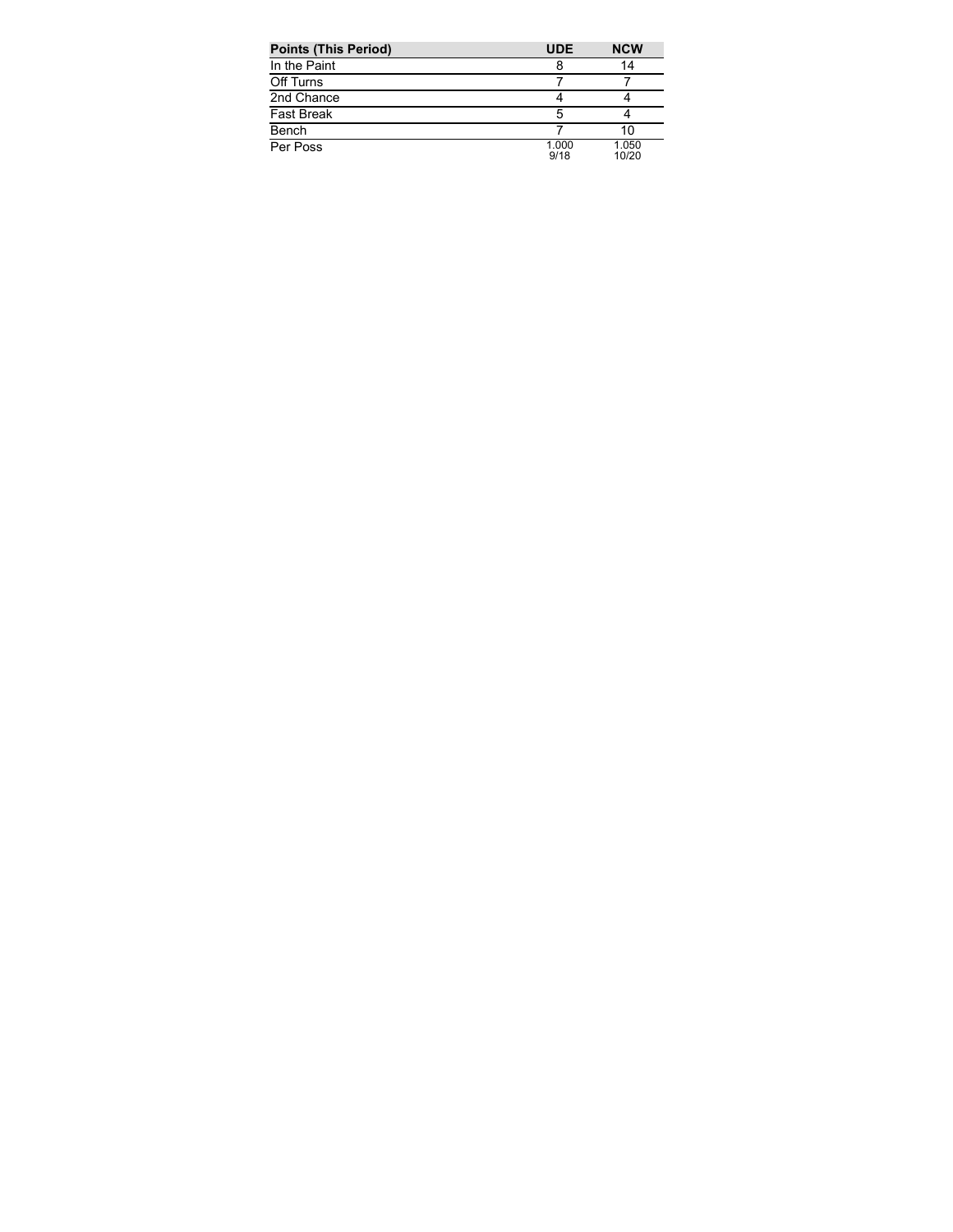| <b>Points (This Period)</b> | <b>UDE</b>    | <b>NCW</b>     |
|-----------------------------|---------------|----------------|
| In the Paint                |               | 14             |
| Off Turns                   |               |                |
| 2nd Chance                  |               |                |
| <b>Fast Break</b>           |               |                |
| Bench                       |               | 10             |
| Per Poss                    | 1.000<br>9/18 | 1.050<br>10/20 |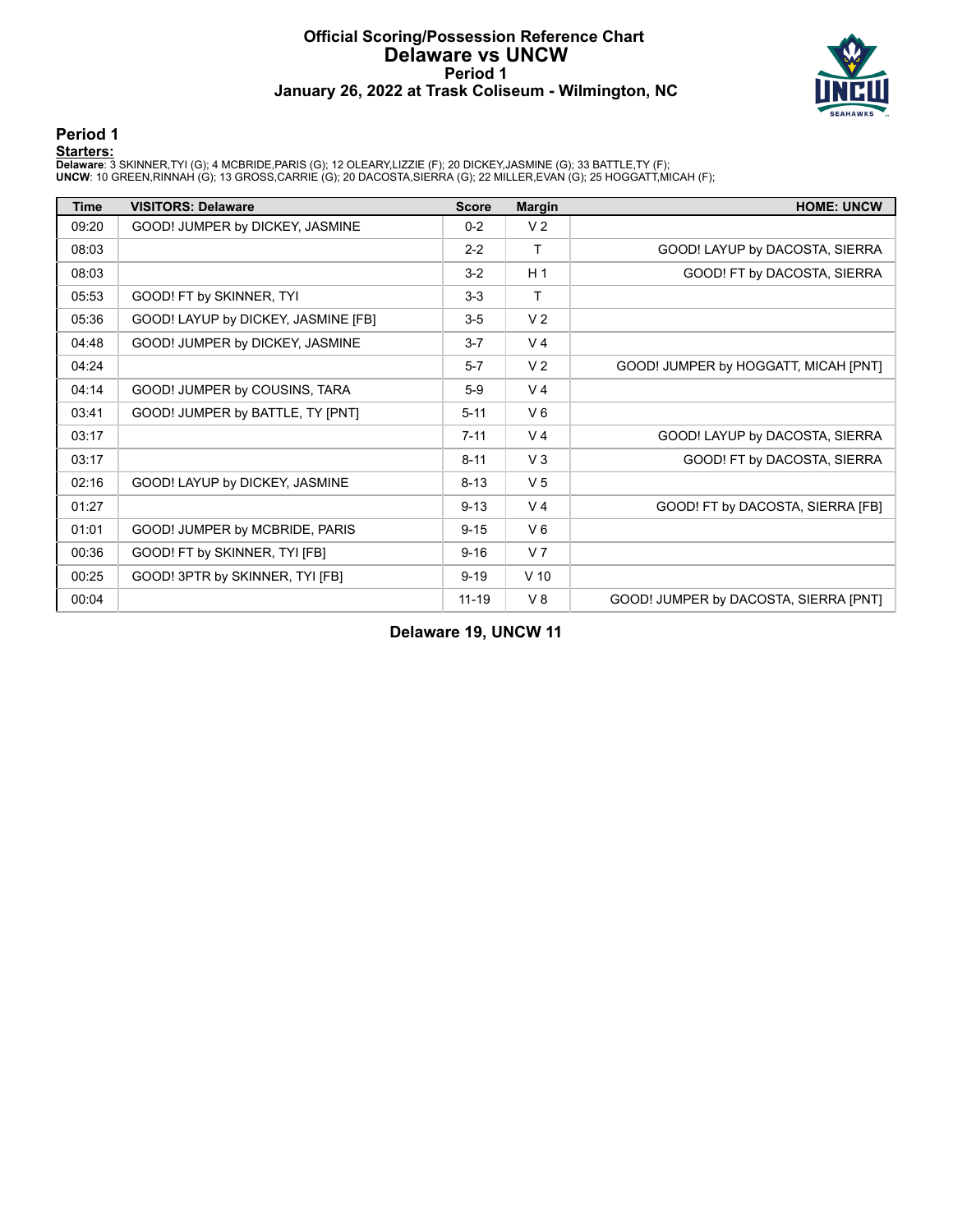# **Official Scoring/Possession Reference Chart Delaware vs UNCW Period 1 January 26, 2022 at Trask Coliseum - Wilmington, NC**



# **Period 1**

<mark>Starters :</mark><br>Delaware: 3 SKINNER,TYI (G); 4 MCBRIDE,PARIS (G); 12 OLEARY,LIZZIE (F); 20 DICKEY,JASMINE (G); 33 BATTLE,TY (F);<br>UNCW: 10 GREEN,RINNAH (G); 13 GROSS,CARRIE (G); 20 DACOSTA,SIERRA (G); 22 MILLER,EVAN (G); 25 HO

| Time  | <b>VISITORS: Delaware</b>           | <b>Score</b> | <b>Margin</b>   | <b>HOME: UNCW</b>                     |
|-------|-------------------------------------|--------------|-----------------|---------------------------------------|
| 09:20 | GOOD! JUMPER by DICKEY, JASMINE     | $0 - 2$      | V <sub>2</sub>  |                                       |
| 08:03 |                                     | $2 - 2$      | $\mathsf{T}$    | GOOD! LAYUP by DACOSTA, SIERRA        |
| 08:03 |                                     | $3 - 2$      | H <sub>1</sub>  | GOOD! FT by DACOSTA, SIERRA           |
| 05:53 | GOOD! FT by SKINNER, TYI            | $3-3$        | T               |                                       |
| 05:36 | GOOD! LAYUP by DICKEY, JASMINE [FB] | $3 - 5$      | V <sub>2</sub>  |                                       |
| 04:48 | GOOD! JUMPER by DICKEY, JASMINE     | $3 - 7$      | V <sub>4</sub>  |                                       |
| 04:24 |                                     | $5 - 7$      | V <sub>2</sub>  | GOOD! JUMPER by HOGGATT, MICAH [PNT]  |
| 04:14 | GOOD! JUMPER by COUSINS, TARA       | $5-9$        | V <sub>4</sub>  |                                       |
| 03:41 | GOOD! JUMPER by BATTLE, TY [PNT]    | $5 - 11$     | $V_6$           |                                       |
| 03:17 |                                     | $7 - 11$     | V <sub>4</sub>  | GOOD! LAYUP by DACOSTA, SIERRA        |
| 03:17 |                                     | $8 - 11$     | V <sub>3</sub>  | GOOD! FT by DACOSTA, SIERRA           |
| 02:16 | GOOD! LAYUP by DICKEY, JASMINE      | $8 - 13$     | V <sub>5</sub>  |                                       |
| 01:27 |                                     | $9 - 13$     | V <sub>4</sub>  | GOOD! FT by DACOSTA, SIERRA [FB]      |
| 01:01 | GOOD! JUMPER by MCBRIDE, PARIS      | $9 - 15$     | $V_6$           |                                       |
| 00:36 | GOOD! FT by SKINNER, TYI [FB]       | $9 - 16$     | V <sub>7</sub>  |                                       |
| 00:25 | GOOD! 3PTR by SKINNER, TYI [FB]     | $9 - 19$     | V <sub>10</sub> |                                       |
| 00:04 |                                     | $11 - 19$    | V8              | GOOD! JUMPER by DACOSTA, SIERRA [PNT] |

**Delaware 19, UNCW 11**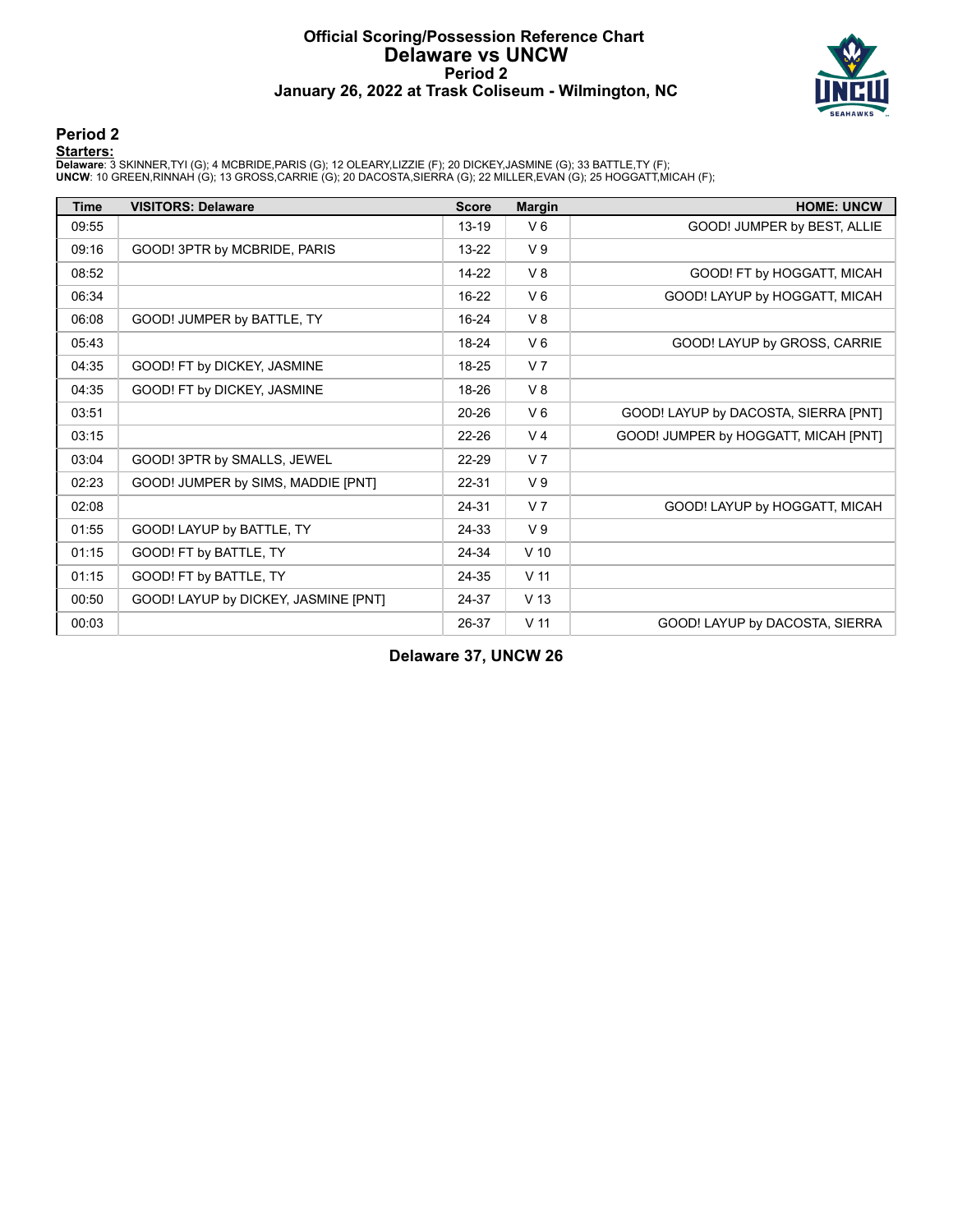# **Official Scoring/Possession Reference Chart Delaware vs UNCW Period 2 January 26, 2022 at Trask Coliseum - Wilmington, NC**



# **Period 2**

<mark>Starters :</mark><br>Delaware: 3 SKINNER,TYI (G); 4 MCBRIDE,PARIS (G); 12 OLEARY,LIZZIE (F); 20 DICKEY,JASMINE (G); 33 BATTLE,TY (F);<br>UNCW: 10 GREEN,RINNAH (G); 13 GROSS,CARRIE (G); 20 DACOSTA,SIERRA (G); 22 MILLER,EVAN (G); 25 HO

| <b>Time</b> | <b>VISITORS: Delaware</b>            | <b>Score</b> | <b>Margin</b>   | <b>HOME: UNCW</b>                    |
|-------------|--------------------------------------|--------------|-----------------|--------------------------------------|
| 09:55       |                                      | $13 - 19$    | $V_6$           | GOOD! JUMPER by BEST, ALLIE          |
| 09:16       | GOOD! 3PTR by MCBRIDE, PARIS         | 13-22        | V <sub>9</sub>  |                                      |
| 08:52       |                                      | $14 - 22$    | V8              | GOOD! FT by HOGGATT, MICAH           |
| 06:34       |                                      | $16 - 22$    | $V_6$           | GOOD! LAYUP by HOGGATT, MICAH        |
| 06:08       | GOOD! JUMPER by BATTLE, TY           | $16 - 24$    | V8              |                                      |
| 05:43       |                                      | 18-24        | $V_6$           | GOOD! LAYUP by GROSS, CARRIE         |
| 04:35       | GOOD! FT by DICKEY, JASMINE          | 18-25        | V <sub>7</sub>  |                                      |
| 04:35       | GOOD! FT by DICKEY, JASMINE          | 18-26        | V8              |                                      |
| 03:51       |                                      | 20-26        | $V_6$           | GOOD! LAYUP by DACOSTA, SIERRA [PNT] |
| 03:15       |                                      | $22 - 26$    | V <sub>4</sub>  | GOOD! JUMPER by HOGGATT, MICAH [PNT] |
| 03:04       | GOOD! 3PTR by SMALLS, JEWEL          | 22-29        | V <sub>7</sub>  |                                      |
| 02:23       | GOOD! JUMPER by SIMS, MADDIE [PNT]   | 22-31        | V <sub>9</sub>  |                                      |
| 02:08       |                                      | 24-31        | V <sub>7</sub>  | GOOD! LAYUP by HOGGATT, MICAH        |
| 01:55       | GOOD! LAYUP by BATTLE, TY            | 24-33        | V <sub>9</sub>  |                                      |
| 01:15       | GOOD! FT by BATTLE, TY               | 24-34        | $V$ 10          |                                      |
| 01:15       | GOOD! FT by BATTLE, TY               | 24-35        | V <sub>11</sub> |                                      |
| 00:50       | GOOD! LAYUP by DICKEY, JASMINE [PNT] | 24-37        | V <sub>13</sub> |                                      |
| 00:03       |                                      | 26-37        | V <sub>11</sub> | GOOD! LAYUP by DACOSTA, SIERRA       |

**Delaware 37, UNCW 26**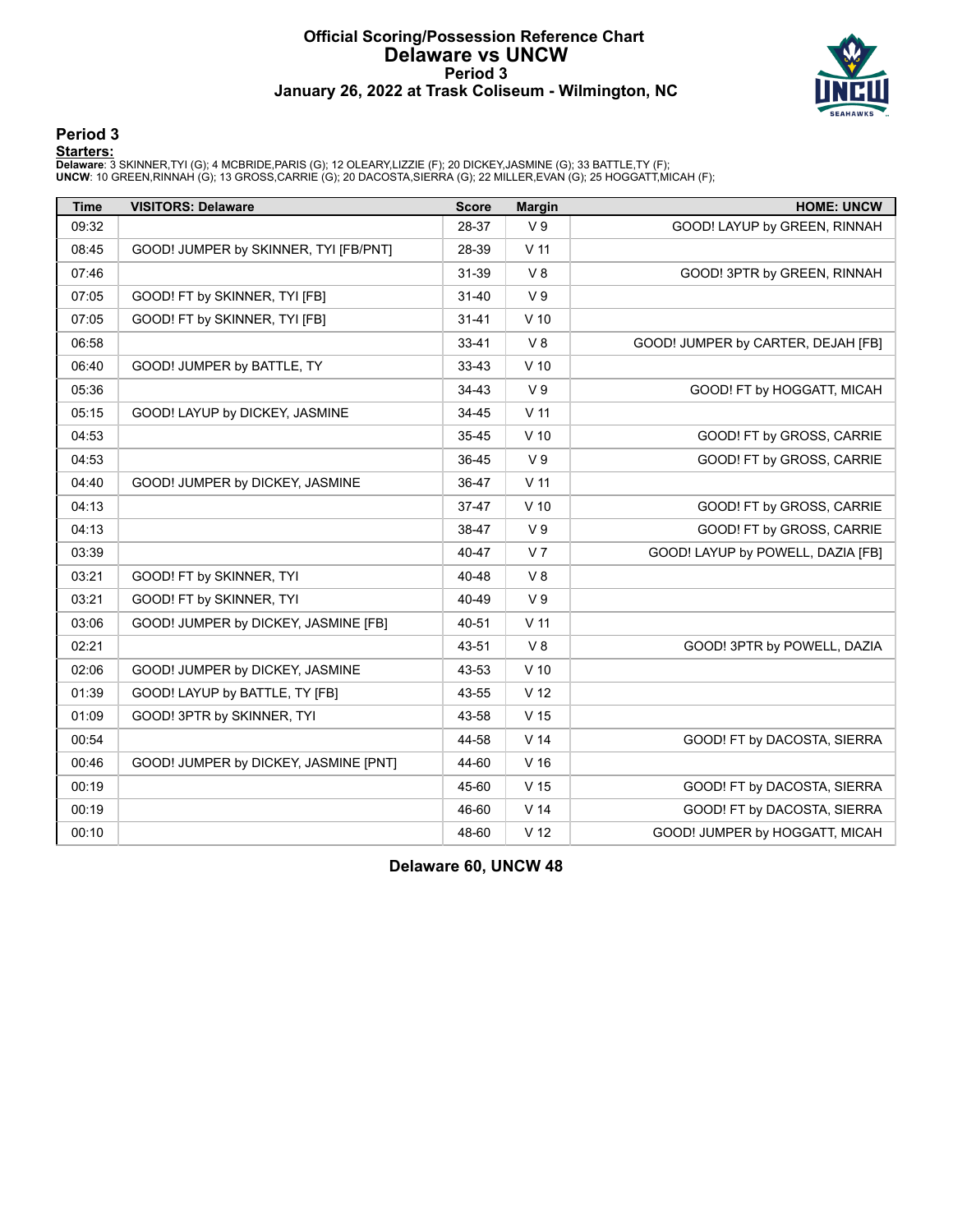# **Official Scoring/Possession Reference Chart Delaware vs UNCW Period 3 January 26, 2022 at Trask Coliseum - Wilmington, NC**



# **Period 3**

<mark>Starters :</mark><br>Delaware: 3 SKINNER,TYI (G); 4 MCBRIDE,PARIS (G); 12 OLEARY,LIZZIE (F); 20 DICKEY,JASMINE (G); 33 BATTLE,TY (F);<br>UNCW: 10 GREEN,RINNAH (G); 13 GROSS,CARRIE (G); 20 DACOSTA,SIERRA (G); 22 MILLER,EVAN (G); 25 HO

| <b>Time</b> | <b>VISITORS: Delaware</b>             | <b>Score</b> | <b>Margin</b>   | <b>HOME: UNCW</b>                  |
|-------------|---------------------------------------|--------------|-----------------|------------------------------------|
| 09:32       |                                       | 28-37        | V <sub>9</sub>  | GOOD! LAYUP by GREEN, RINNAH       |
| 08:45       | GOOD! JUMPER by SKINNER, TYI [FB/PNT] | 28-39        | $V$ 11          |                                    |
| 07:46       |                                       | 31-39        | V8              | GOOD! 3PTR by GREEN, RINNAH        |
| 07:05       | GOOD! FT by SKINNER, TYI [FB]         | $31 - 40$    | V <sub>9</sub>  |                                    |
| 07:05       | GOOD! FT by SKINNER, TYI [FB]         | $31 - 41$    | $V$ 10          |                                    |
| 06:58       |                                       | $33 - 41$    | V8              | GOOD! JUMPER by CARTER, DEJAH [FB] |
| 06:40       | GOOD! JUMPER by BATTLE, TY            | 33-43        | $V$ 10          |                                    |
| 05:36       |                                       | 34-43        | V <sub>9</sub>  | GOOD! FT by HOGGATT, MICAH         |
| 05:15       | GOOD! LAYUP by DICKEY, JASMINE        | 34-45        | V <sub>11</sub> |                                    |
| 04:53       |                                       | 35-45        | $V$ 10          | GOOD! FT by GROSS, CARRIE          |
| 04:53       |                                       | 36-45        | V <sub>9</sub>  | GOOD! FT by GROSS, CARRIE          |
| 04:40       | GOOD! JUMPER by DICKEY, JASMINE       | 36-47        | $V$ 11          |                                    |
| 04:13       |                                       | $37 - 47$    | $V$ 10          | GOOD! FT by GROSS, CARRIE          |
| 04:13       |                                       | 38-47        | V <sub>9</sub>  | GOOD! FT by GROSS, CARRIE          |
| 03:39       |                                       | 40-47        | V <sub>7</sub>  | GOOD! LAYUP by POWELL, DAZIA [FB]  |
| 03:21       | GOOD! FT by SKINNER, TYI              | 40-48        | V8              |                                    |
| 03:21       | GOOD! FT by SKINNER, TYI              | 40-49        | V <sub>9</sub>  |                                    |
| 03:06       | GOOD! JUMPER by DICKEY, JASMINE [FB]  | 40-51        | V <sub>11</sub> |                                    |
| 02:21       |                                       | 43-51        | V8              | GOOD! 3PTR by POWELL, DAZIA        |
| 02:06       | GOOD! JUMPER by DICKEY, JASMINE       | 43-53        | $V$ 10          |                                    |
| 01:39       | GOOD! LAYUP by BATTLE, TY [FB]        | 43-55        | V <sub>12</sub> |                                    |
| 01:09       | GOOD! 3PTR by SKINNER, TYI            | 43-58        | V <sub>15</sub> |                                    |
| 00:54       |                                       | 44-58        | V <sub>14</sub> | GOOD! FT by DACOSTA, SIERRA        |
| 00:46       | GOOD! JUMPER by DICKEY, JASMINE [PNT] | 44-60        | V <sub>16</sub> |                                    |
| 00:19       |                                       | 45-60        | V <sub>15</sub> | GOOD! FT by DACOSTA, SIERRA        |
| 00:19       |                                       | 46-60        | V <sub>14</sub> | GOOD! FT by DACOSTA, SIERRA        |
| 00:10       |                                       | 48-60        | V <sub>12</sub> | GOOD! JUMPER by HOGGATT, MICAH     |

**Delaware 60, UNCW 48**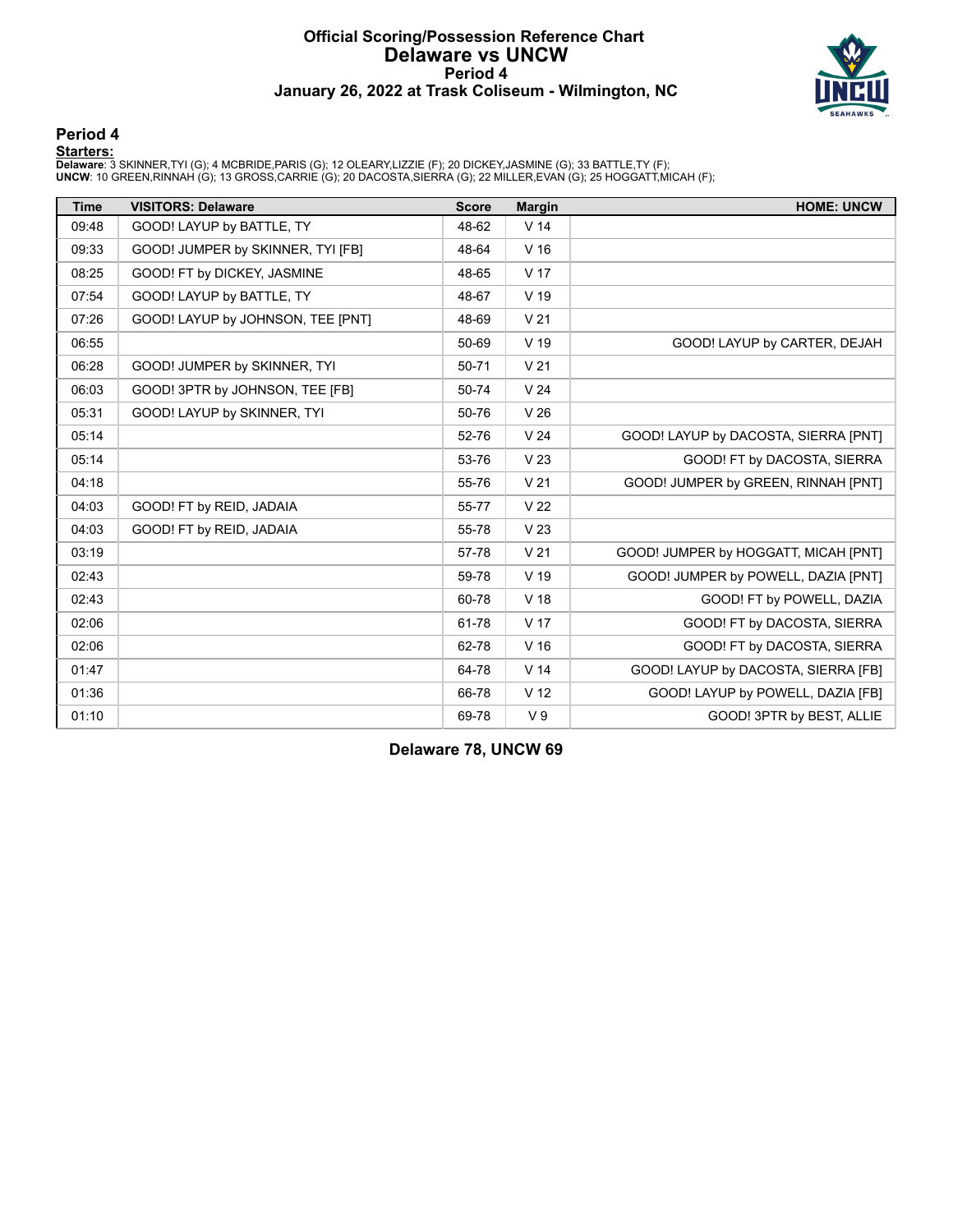# **Official Scoring/Possession Reference Chart Delaware vs UNCW Period 4 January 26, 2022 at Trask Coliseum - Wilmington, NC**



### **Period 4**

<mark>Starters :</mark><br>Delaware: 3 SKINNER,TYI (G); 4 MCBRIDE,PARIS (G); 12 OLEARY,LIZZIE (F); 20 DICKEY,JASMINE (G); 33 BATTLE,TY (F);<br>UNCW: 10 GREEN,RINNAH (G); 13 GROSS,CARRIE (G); 20 DACOSTA,SIERRA (G); 22 MILLER,EVAN (G); 25 HO

| <b>Time</b> | <b>VISITORS: Delaware</b>         | <b>Score</b> | <b>Margin</b>   | <b>HOME: UNCW</b>                    |
|-------------|-----------------------------------|--------------|-----------------|--------------------------------------|
| 09:48       | GOOD! LAYUP by BATTLE, TY         | 48-62        | V <sub>14</sub> |                                      |
| 09:33       | GOOD! JUMPER by SKINNER, TYI [FB] | 48-64        | V <sub>16</sub> |                                      |
| 08:25       | GOOD! FT by DICKEY, JASMINE       | 48-65        | V <sub>17</sub> |                                      |
| 07:54       | GOOD! LAYUP by BATTLE, TY         | 48-67        | V <sub>19</sub> |                                      |
| 07:26       | GOOD! LAYUP by JOHNSON, TEE [PNT] | 48-69        | V <sub>21</sub> |                                      |
| 06:55       |                                   | 50-69        | V <sub>19</sub> | GOOD! LAYUP by CARTER, DEJAH         |
| 06:28       | GOOD! JUMPER by SKINNER, TYI      | 50-71        | V <sub>21</sub> |                                      |
| 06:03       | GOOD! 3PTR by JOHNSON, TEE [FB]   | 50-74        | V <sub>24</sub> |                                      |
| 05:31       | GOOD! LAYUP by SKINNER, TYI       | 50-76        | V <sub>26</sub> |                                      |
| 05:14       |                                   | 52-76        | V <sub>24</sub> | GOOD! LAYUP by DACOSTA, SIERRA [PNT] |
| 05:14       |                                   | 53-76        | V <sub>23</sub> | GOOD! FT by DACOSTA, SIERRA          |
| 04:18       |                                   | 55-76        | V <sub>21</sub> | GOOD! JUMPER by GREEN, RINNAH [PNT]  |
| 04:03       | GOOD! FT by REID, JADAIA          | 55-77        | V <sub>22</sub> |                                      |
| 04:03       | GOOD! FT by REID, JADAIA          | 55-78        | V <sub>23</sub> |                                      |
| 03:19       |                                   | 57-78        | V <sub>21</sub> | GOOD! JUMPER by HOGGATT, MICAH [PNT] |
| 02:43       |                                   | 59-78        | V 19            | GOOD! JUMPER by POWELL, DAZIA [PNT]  |
| 02:43       |                                   | 60-78        | V <sub>18</sub> | GOOD! FT by POWELL, DAZIA            |
| 02:06       |                                   | 61-78        | V <sub>17</sub> | GOOD! FT by DACOSTA, SIERRA          |
| 02:06       |                                   | 62-78        | V <sub>16</sub> | GOOD! FT by DACOSTA, SIERRA          |
| 01:47       |                                   | 64-78        | V <sub>14</sub> | GOOD! LAYUP by DACOSTA, SIERRA [FB]  |
| 01:36       |                                   | 66-78        | V <sub>12</sub> | GOOD! LAYUP by POWELL, DAZIA [FB]    |
| 01:10       |                                   | 69-78        | V <sub>9</sub>  | GOOD! 3PTR by BEST, ALLIE            |

**Delaware 78, UNCW 69**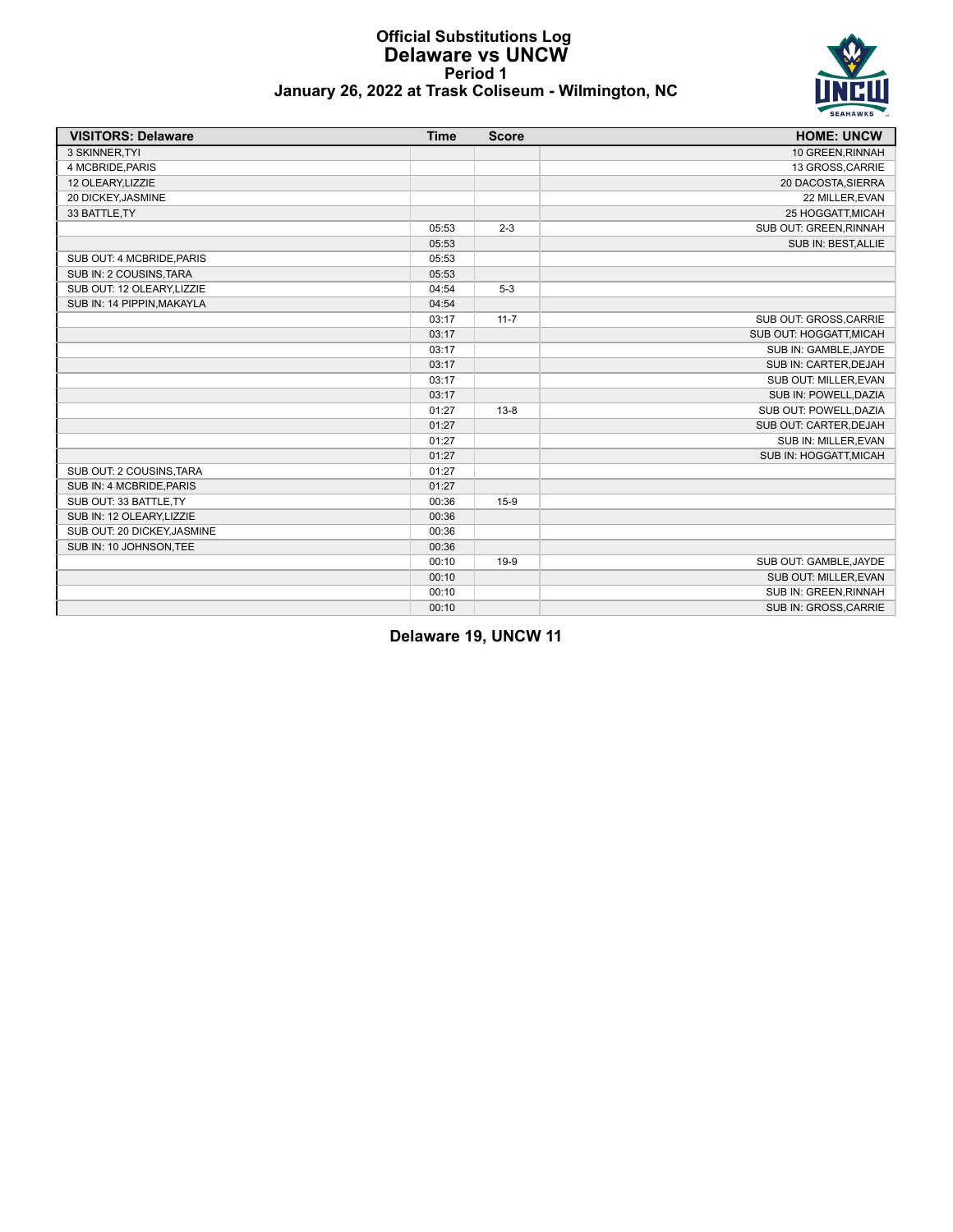### **Official Substitutions Log Delaware vs UNCW Period 1 January 26, 2022 at Trask Coliseum - Wilmington, NC**



| <b>VISITORS: Delaware</b>   | <b>Time</b> | <b>Score</b> | <b>HOME: UNCW</b>       |
|-----------------------------|-------------|--------------|-------------------------|
| 3 SKINNER.TYI               |             |              | 10 GREEN, RINNAH        |
| 4 MCBRIDE, PARIS            |             |              | 13 GROSS, CARRIE        |
| 12 OLEARY, LIZZIE           |             |              | 20 DACOSTA, SIERRA      |
| 20 DICKEY, JASMINE          |             |              | 22 MILLER, EVAN         |
| 33 BATTLE, TY               |             |              | 25 HOGGATT, MICAH       |
|                             | 05:53       | $2 - 3$      | SUB OUT: GREEN, RINNAH  |
|                             | 05:53       |              | SUB IN: BEST, ALLIE     |
| SUB OUT: 4 MCBRIDE.PARIS    | 05:53       |              |                         |
| SUB IN: 2 COUSINS TARA      | 05:53       |              |                         |
| SUB OUT: 12 OLEARY, LIZZIE  | 04:54       | $5-3$        |                         |
| SUB IN: 14 PIPPIN, MAKAYLA  | 04:54       |              |                         |
|                             | 03:17       | $11 - 7$     | SUB OUT: GROSS, CARRIE  |
|                             | 03:17       |              | SUB OUT: HOGGATT, MICAH |
|                             | 03:17       |              | SUB IN: GAMBLE, JAYDE   |
|                             | 03:17       |              | SUB IN: CARTER, DEJAH   |
|                             | 03:17       |              | SUB OUT: MILLER, EVAN   |
|                             | 03:17       |              | SUB IN: POWELL, DAZIA   |
|                             | 01:27       | $13 - 8$     | SUB OUT: POWELL, DAZIA  |
|                             | 01:27       |              | SUB OUT: CARTER, DEJAH  |
|                             | 01:27       |              | SUB IN: MILLER, EVAN    |
|                             | 01:27       |              | SUB IN: HOGGATT, MICAH  |
| SUB OUT: 2 COUSINS, TARA    | 01:27       |              |                         |
| SUB IN: 4 MCBRIDE, PARIS    | 01:27       |              |                         |
| SUB OUT: 33 BATTLE, TY      | 00:36       | $15-9$       |                         |
| SUB IN: 12 OLEARY, LIZZIE   | 00:36       |              |                         |
| SUB OUT: 20 DICKEY, JASMINE | 00:36       |              |                         |
| SUB IN: 10 JOHNSON, TEE     | 00:36       |              |                         |
|                             | 00:10       | 19-9         | SUB OUT: GAMBLE, JAYDE  |
|                             | 00:10       |              | SUB OUT: MILLER, EVAN   |
|                             | 00:10       |              | SUB IN: GREEN, RINNAH   |
|                             | 00:10       |              | SUB IN: GROSS, CARRIE   |

**Delaware 19, UNCW 11**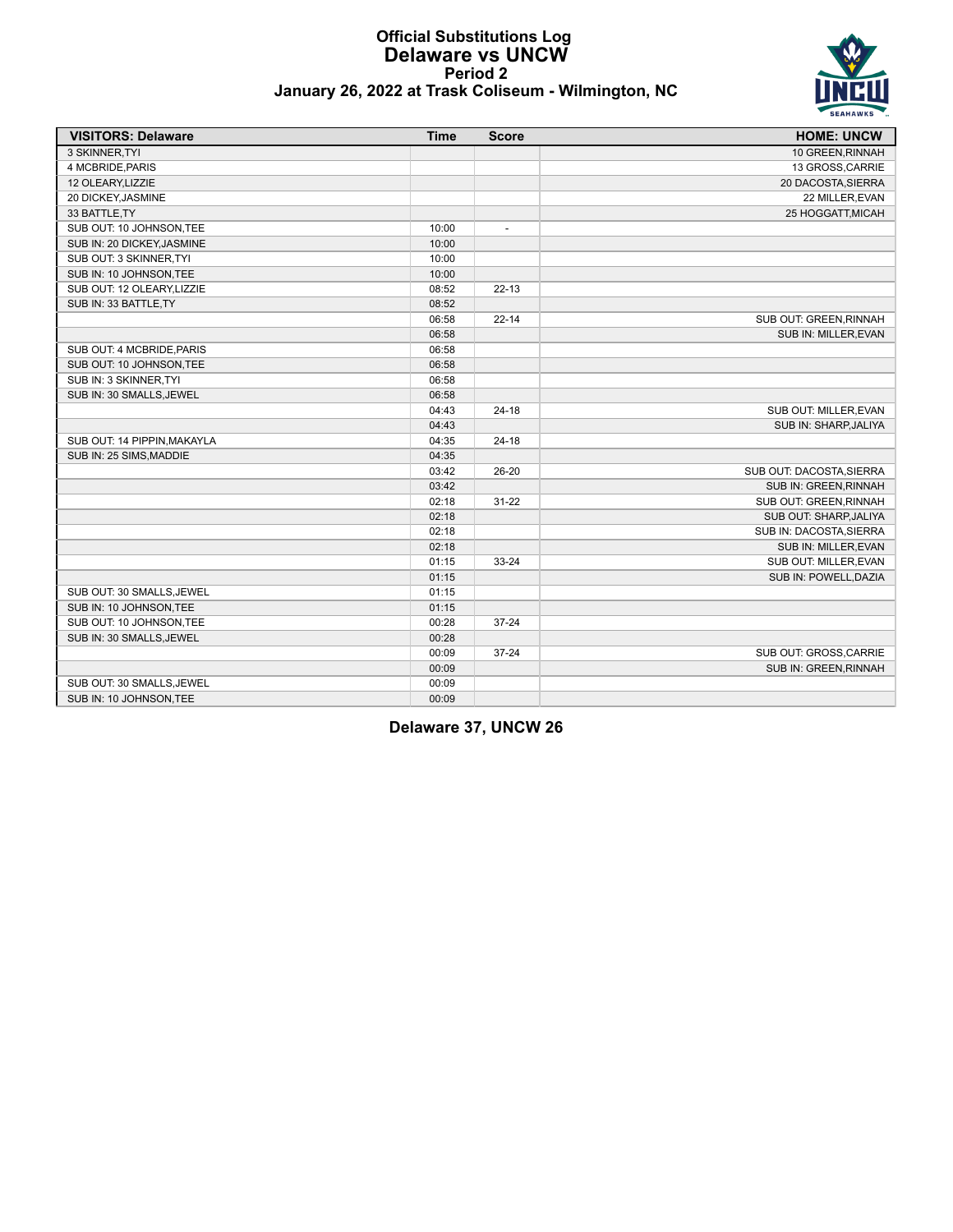

### **Official Substitutions Log Delaware vs UNCW Period 2 January 26, 2022 at Trask Coliseum - Wilmington, NC**

| <b>VISITORS: Delaware</b>   | <b>Time</b> | <b>Score</b>             | <b>HOME: UNCW</b>        |
|-----------------------------|-------------|--------------------------|--------------------------|
| 3 SKINNER, TYI              |             |                          | 10 GREEN, RINNAH         |
| 4 MCBRIDE, PARIS            |             |                          | 13 GROSS, CARRIE         |
| 12 OLEARY, LIZZIE           |             |                          | 20 DACOSTA, SIERRA       |
| 20 DICKEY, JASMINE          |             |                          | 22 MILLER, EVAN          |
| 33 BATTLE, TY               |             |                          | 25 HOGGATT, MICAH        |
| SUB OUT: 10 JOHNSON, TEE    | 10:00       | $\overline{\phantom{a}}$ |                          |
| SUB IN: 20 DICKEY, JASMINE  | 10:00       |                          |                          |
| SUB OUT: 3 SKINNER, TYI     | 10:00       |                          |                          |
| SUB IN: 10 JOHNSON, TEE     | 10:00       |                          |                          |
| SUB OUT: 12 OLEARY, LIZZIE  | 08:52       | $22 - 13$                |                          |
| SUB IN: 33 BATTLE, TY       | 08:52       |                          |                          |
|                             | 06:58       | $22 - 14$                | SUB OUT: GREEN, RINNAH   |
|                             | 06:58       |                          | SUB IN: MILLER, EVAN     |
| SUB OUT: 4 MCBRIDE, PARIS   | 06:58       |                          |                          |
| SUB OUT: 10 JOHNSON, TEE    | 06:58       |                          |                          |
| SUB IN: 3 SKINNER TYI       | 06:58       |                          |                          |
| SUB IN: 30 SMALLS, JEWEL    | 06:58       |                          |                          |
|                             | 04:43       | $24 - 18$                | SUB OUT: MILLER, EVAN    |
|                             | 04:43       |                          | SUB IN: SHARP, JALIYA    |
| SUB OUT: 14 PIPPIN, MAKAYLA | 04:35       | $24 - 18$                |                          |
| SUB IN: 25 SIMS, MADDIE     | 04:35       |                          |                          |
|                             | 03:42       | 26-20                    | SUB OUT: DACOSTA, SIERRA |
|                             | 03:42       |                          | SUB IN: GREEN, RINNAH    |
|                             | 02:18       | $31 - 22$                | SUB OUT: GREEN, RINNAH   |
|                             | 02:18       |                          | SUB OUT: SHARP, JALIYA   |
|                             | 02:18       |                          | SUB IN: DACOSTA, SIERRA  |
|                             | 02:18       |                          | SUB IN: MILLER, EVAN     |
|                             | 01:15       | 33-24                    | SUB OUT: MILLER, EVAN    |
|                             | 01:15       |                          | SUB IN: POWELL, DAZIA    |
| SUB OUT: 30 SMALLS, JEWEL   | 01:15       |                          |                          |
| SUB IN: 10 JOHNSON, TEE     | 01:15       |                          |                          |
| SUB OUT: 10 JOHNSON, TEE    | 00:28       | $37 - 24$                |                          |
| SUB IN: 30 SMALLS, JEWEL    | 00:28       |                          |                          |
|                             | 00:09       | $37 - 24$                | SUB OUT: GROSS, CARRIE   |
|                             | 00:09       |                          | SUB IN: GREEN, RINNAH    |
| SUB OUT: 30 SMALLS, JEWEL   | 00:09       |                          |                          |
| SUB IN: 10 JOHNSON, TEE     | 00:09       |                          |                          |

**Delaware 37, UNCW 26**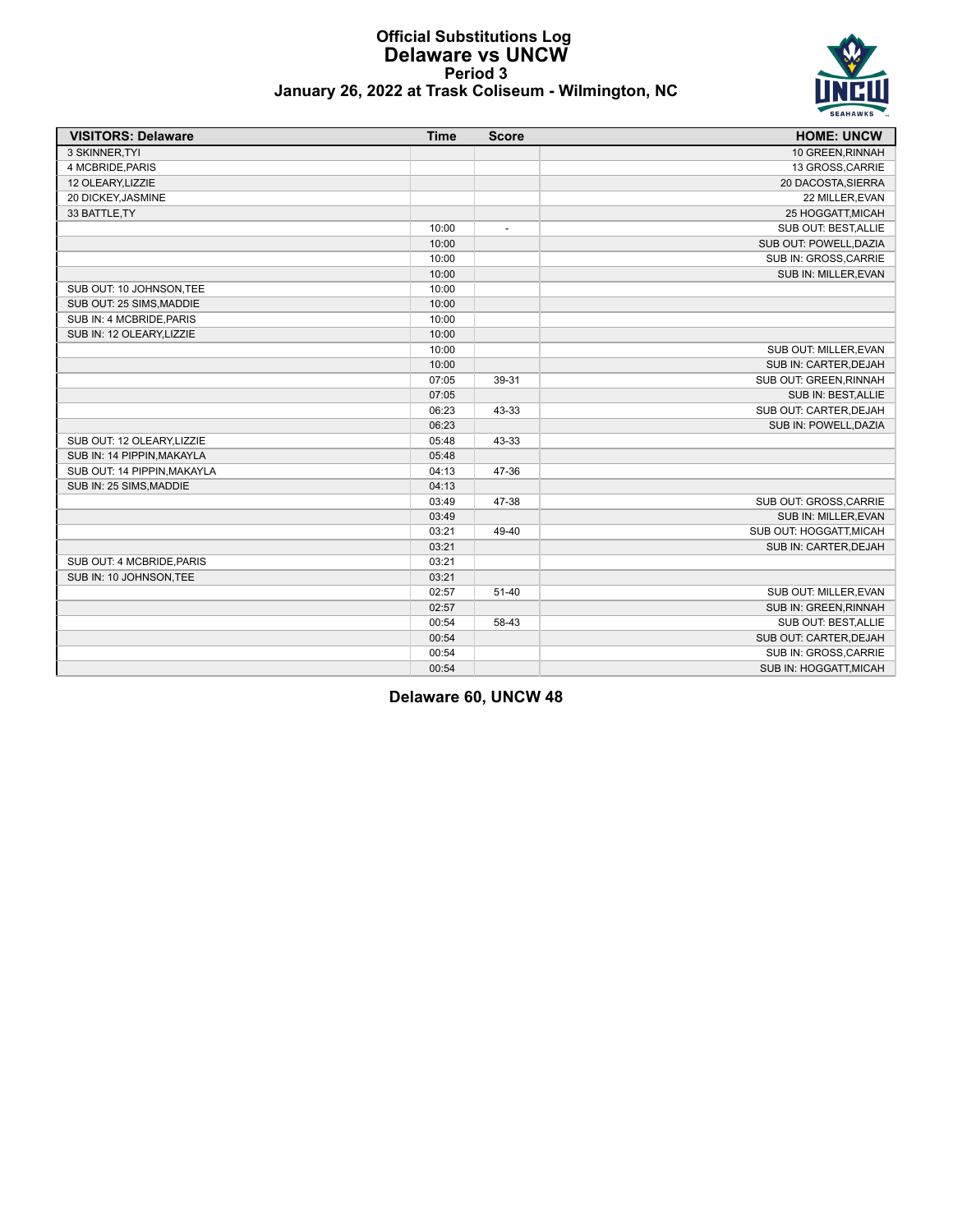

### **Official Substitutions Log Delaware vs UNCW Period 3 January 26, 2022 at Trask Coliseum - Wilmington, NC**

| <b>VISITORS: Delaware</b>   | <b>Time</b> | <b>Score</b>             | <b>HOME: UNCW</b>       |
|-----------------------------|-------------|--------------------------|-------------------------|
| 3 SKINNER, TYI              |             |                          | 10 GREEN, RINNAH        |
| 4 MCBRIDE.PARIS             |             |                          | 13 GROSS, CARRIE        |
| 12 OLEARY, LIZZIE           |             |                          | 20 DACOSTA, SIERRA      |
| 20 DICKEY, JASMINE          |             |                          | 22 MILLER, EVAN         |
| 33 BATTLE, TY               |             |                          | 25 HOGGATT, MICAH       |
|                             | 10:00       | $\overline{\phantom{a}}$ | SUB OUT: BEST, ALLIE    |
|                             | 10:00       |                          | SUB OUT: POWELL, DAZIA  |
|                             | 10:00       |                          | SUB IN: GROSS, CARRIE   |
|                             | 10:00       |                          | SUB IN: MILLER, EVAN    |
| SUB OUT: 10 JOHNSON, TEE    | 10:00       |                          |                         |
| SUB OUT: 25 SIMS, MADDIE    | 10:00       |                          |                         |
| SUB IN: 4 MCBRIDE, PARIS    | 10:00       |                          |                         |
| SUB IN: 12 OLEARY, LIZZIE   | 10:00       |                          |                         |
|                             | 10:00       |                          | SUB OUT: MILLER, EVAN   |
|                             | 10:00       |                          | SUB IN: CARTER, DEJAH   |
|                             | 07:05       | 39-31                    | SUB OUT: GREEN, RINNAH  |
|                             | 07:05       |                          | SUB IN: BEST, ALLIE     |
|                             | 06:23       | 43-33                    | SUB OUT: CARTER, DEJAH  |
|                             | 06:23       |                          | SUB IN: POWELL, DAZIA   |
| SUB OUT: 12 OLEARY, LIZZIE  | 05:48       | 43-33                    |                         |
| SUB IN: 14 PIPPIN, MAKAYLA  | 05:48       |                          |                         |
| SUB OUT: 14 PIPPIN, MAKAYLA | 04:13       | 47-36                    |                         |
| SUB IN: 25 SIMS, MADDIE     | 04:13       |                          |                         |
|                             | 03:49       | 47-38                    | SUB OUT: GROSS, CARRIE  |
|                             | 03:49       |                          | SUB IN: MILLER, EVAN    |
|                             | 03:21       | 49-40                    | SUB OUT: HOGGATT, MICAH |
|                             | 03:21       |                          | SUB IN: CARTER, DEJAH   |
| SUB OUT: 4 MCBRIDE, PARIS   | 03:21       |                          |                         |
| SUB IN: 10 JOHNSON, TEE     | 03:21       |                          |                         |
|                             | 02:57       | $51 - 40$                | SUB OUT: MILLER.EVAN    |
|                             | 02:57       |                          | SUB IN: GREEN, RINNAH   |
|                             | 00:54       | 58-43                    | SUB OUT: BEST, ALLIE    |
|                             | 00:54       |                          | SUB OUT: CARTER, DEJAH  |
|                             | 00:54       |                          | SUB IN: GROSS, CARRIE   |
|                             | 00:54       |                          | SUB IN: HOGGATT, MICAH  |

**Delaware 60, UNCW 48**